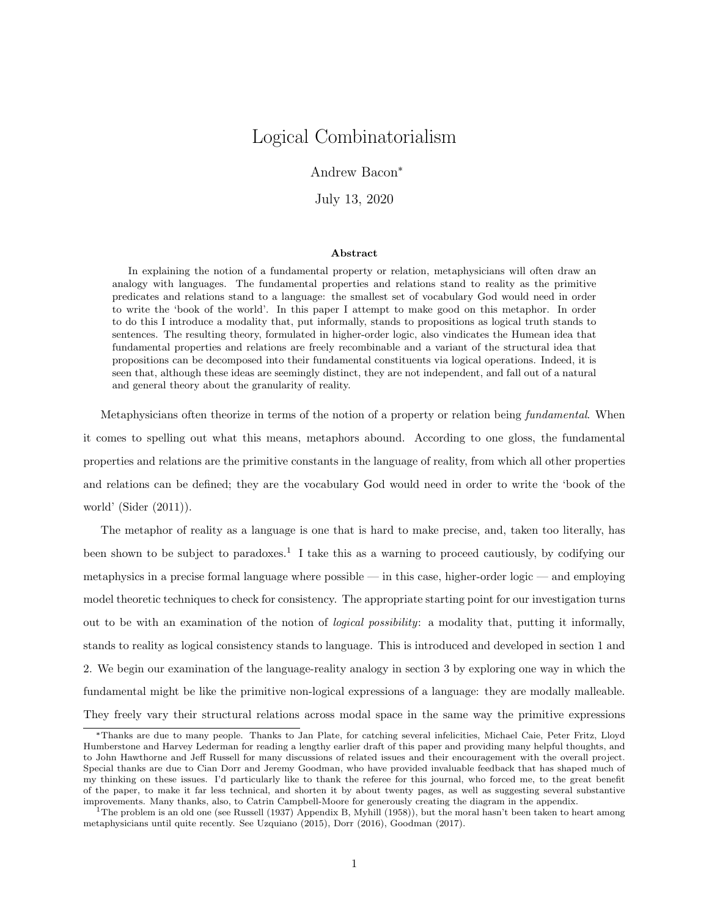# Logical Combinatorialism

Andrew Bacon\*

July 13, 2020

#### Abstract

In explaining the notion of a fundamental property or relation, metaphysicians will often draw an analogy with languages. The fundamental properties and relations stand to reality as the primitive predicates and relations stand to a language: the smallest set of vocabulary God would need in order to write the 'book of the world'. In this paper I attempt to make good on this metaphor. In order to do this I introduce a modality that, put informally, stands to propositions as logical truth stands to sentences. The resulting theory, formulated in higher-order logic, also vindicates the Humean idea that fundamental properties and relations are freely recombinable and a variant of the structural idea that propositions can be decomposed into their fundamental constituents via logical operations. Indeed, it is seen that, although these ideas are seemingly distinct, they are not independent, and fall out of a natural and general theory about the granularity of reality.

Metaphysicians often theorize in terms of the notion of a property or relation being fundamental. When it comes to spelling out what this means, metaphors abound. According to one gloss, the fundamental properties and relations are the primitive constants in the language of reality, from which all other properties and relations can be defined; they are the vocabulary God would need in order to write the 'book of the world' (Sider (2011)).

The metaphor of reality as a language is one that is hard to make precise, and, taken too literally, has been shown to be subject to paradoxes.<sup>1</sup> I take this as a warning to proceed cautiously, by codifying our metaphysics in a precise formal language where possible — in this case, higher-order logic — and employing model theoretic techniques to check for consistency. The appropriate starting point for our investigation turns out to be with an examination of the notion of logical possibility: a modality that, putting it informally, stands to reality as logical consistency stands to language. This is introduced and developed in section 1 and 2. We begin our examination of the language-reality analogy in section 3 by exploring one way in which the fundamental might be like the primitive non-logical expressions of a language: they are modally malleable. They freely vary their structural relations across modal space in the same way the primitive expressions

<sup>\*</sup>Thanks are due to many people. Thanks to Jan Plate, for catching several infelicities, Michael Caie, Peter Fritz, Lloyd Humberstone and Harvey Lederman for reading a lengthy earlier draft of this paper and providing many helpful thoughts, and to John Hawthorne and Jeff Russell for many discussions of related issues and their encouragement with the overall project. Special thanks are due to Cian Dorr and Jeremy Goodman, who have provided invaluable feedback that has shaped much of my thinking on these issues. I'd particularly like to thank the referee for this journal, who forced me, to the great benefit of the paper, to make it far less technical, and shorten it by about twenty pages, as well as suggesting several substantive improvements. Many thanks, also, to Catrin Campbell-Moore for generously creating the diagram in the appendix.

<sup>&</sup>lt;sup>1</sup>The problem is an old one (see Russell (1937) Appendix B, Myhill (1958)), but the moral hasn't been taken to heart among metaphysicians until quite recently. See Uzquiano (2015), Dorr (2016), Goodman (2017).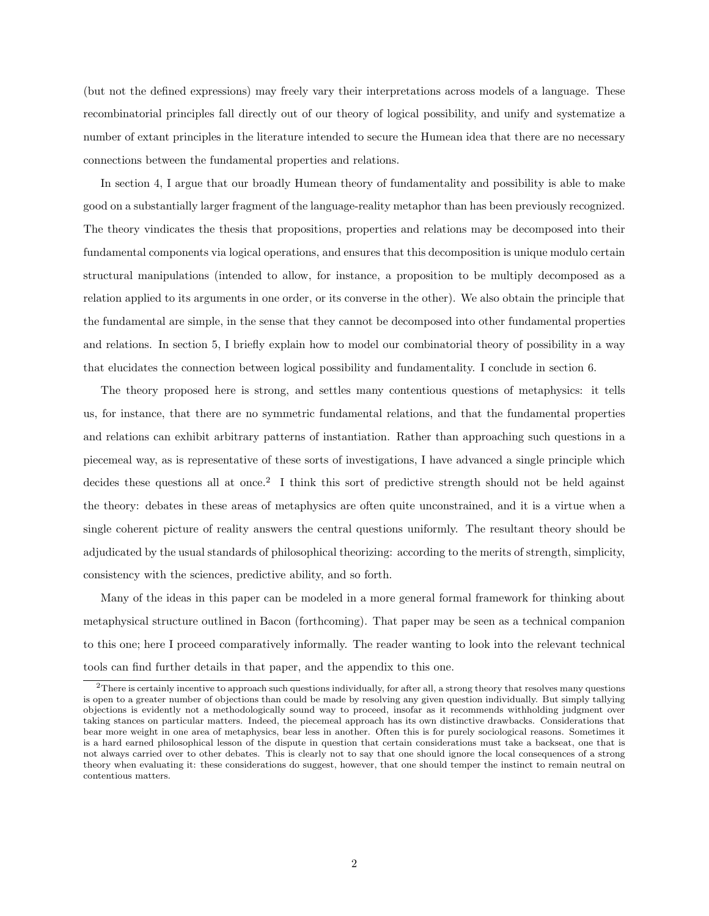(but not the defined expressions) may freely vary their interpretations across models of a language. These recombinatorial principles fall directly out of our theory of logical possibility, and unify and systematize a number of extant principles in the literature intended to secure the Humean idea that there are no necessary connections between the fundamental properties and relations.

In section 4, I argue that our broadly Humean theory of fundamentality and possibility is able to make good on a substantially larger fragment of the language-reality metaphor than has been previously recognized. The theory vindicates the thesis that propositions, properties and relations may be decomposed into their fundamental components via logical operations, and ensures that this decomposition is unique modulo certain structural manipulations (intended to allow, for instance, a proposition to be multiply decomposed as a relation applied to its arguments in one order, or its converse in the other). We also obtain the principle that the fundamental are simple, in the sense that they cannot be decomposed into other fundamental properties and relations. In section 5, I briefly explain how to model our combinatorial theory of possibility in a way that elucidates the connection between logical possibility and fundamentality. I conclude in section 6.

The theory proposed here is strong, and settles many contentious questions of metaphysics: it tells us, for instance, that there are no symmetric fundamental relations, and that the fundamental properties and relations can exhibit arbitrary patterns of instantiation. Rather than approaching such questions in a piecemeal way, as is representative of these sorts of investigations, I have advanced a single principle which decides these questions all at once.<sup>2</sup> I think this sort of predictive strength should not be held against the theory: debates in these areas of metaphysics are often quite unconstrained, and it is a virtue when a single coherent picture of reality answers the central questions uniformly. The resultant theory should be adjudicated by the usual standards of philosophical theorizing: according to the merits of strength, simplicity, consistency with the sciences, predictive ability, and so forth.

Many of the ideas in this paper can be modeled in a more general formal framework for thinking about metaphysical structure outlined in Bacon (forthcoming). That paper may be seen as a technical companion to this one; here I proceed comparatively informally. The reader wanting to look into the relevant technical tools can find further details in that paper, and the appendix to this one.

<sup>2</sup>There is certainly incentive to approach such questions individually, for after all, a strong theory that resolves many questions is open to a greater number of objections than could be made by resolving any given question individually. But simply tallying objections is evidently not a methodologically sound way to proceed, insofar as it recommends withholding judgment over taking stances on particular matters. Indeed, the piecemeal approach has its own distinctive drawbacks. Considerations that bear more weight in one area of metaphysics, bear less in another. Often this is for purely sociological reasons. Sometimes it is a hard earned philosophical lesson of the dispute in question that certain considerations must take a backseat, one that is not always carried over to other debates. This is clearly not to say that one should ignore the local consequences of a strong theory when evaluating it: these considerations do suggest, however, that one should temper the instinct to remain neutral on contentious matters.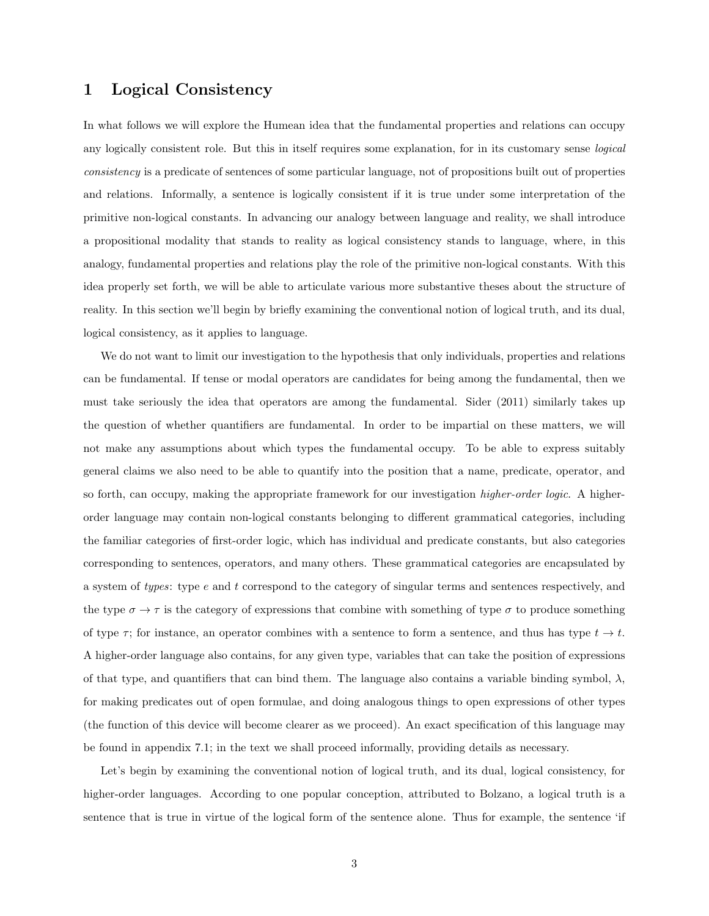### 1 Logical Consistency

In what follows we will explore the Humean idea that the fundamental properties and relations can occupy any logically consistent role. But this in itself requires some explanation, for in its customary sense logical consistency is a predicate of sentences of some particular language, not of propositions built out of properties and relations. Informally, a sentence is logically consistent if it is true under some interpretation of the primitive non-logical constants. In advancing our analogy between language and reality, we shall introduce a propositional modality that stands to reality as logical consistency stands to language, where, in this analogy, fundamental properties and relations play the role of the primitive non-logical constants. With this idea properly set forth, we will be able to articulate various more substantive theses about the structure of reality. In this section we'll begin by briefly examining the conventional notion of logical truth, and its dual, logical consistency, as it applies to language.

We do not want to limit our investigation to the hypothesis that only individuals, properties and relations can be fundamental. If tense or modal operators are candidates for being among the fundamental, then we must take seriously the idea that operators are among the fundamental. Sider (2011) similarly takes up the question of whether quantifiers are fundamental. In order to be impartial on these matters, we will not make any assumptions about which types the fundamental occupy. To be able to express suitably general claims we also need to be able to quantify into the position that a name, predicate, operator, and so forth, can occupy, making the appropriate framework for our investigation *higher-order logic*. A higherorder language may contain non-logical constants belonging to different grammatical categories, including the familiar categories of first-order logic, which has individual and predicate constants, but also categories corresponding to sentences, operators, and many others. These grammatical categories are encapsulated by a system of types: type e and t correspond to the category of singular terms and sentences respectively, and the type  $\sigma \to \tau$  is the category of expressions that combine with something of type  $\sigma$  to produce something of type  $\tau$ ; for instance, an operator combines with a sentence to form a sentence, and thus has type  $t \to t$ . A higher-order language also contains, for any given type, variables that can take the position of expressions of that type, and quantifiers that can bind them. The language also contains a variable binding symbol,  $\lambda$ , for making predicates out of open formulae, and doing analogous things to open expressions of other types (the function of this device will become clearer as we proceed). An exact specification of this language may be found in appendix 7.1; in the text we shall proceed informally, providing details as necessary.

Let's begin by examining the conventional notion of logical truth, and its dual, logical consistency, for higher-order languages. According to one popular conception, attributed to Bolzano, a logical truth is a sentence that is true in virtue of the logical form of the sentence alone. Thus for example, the sentence 'if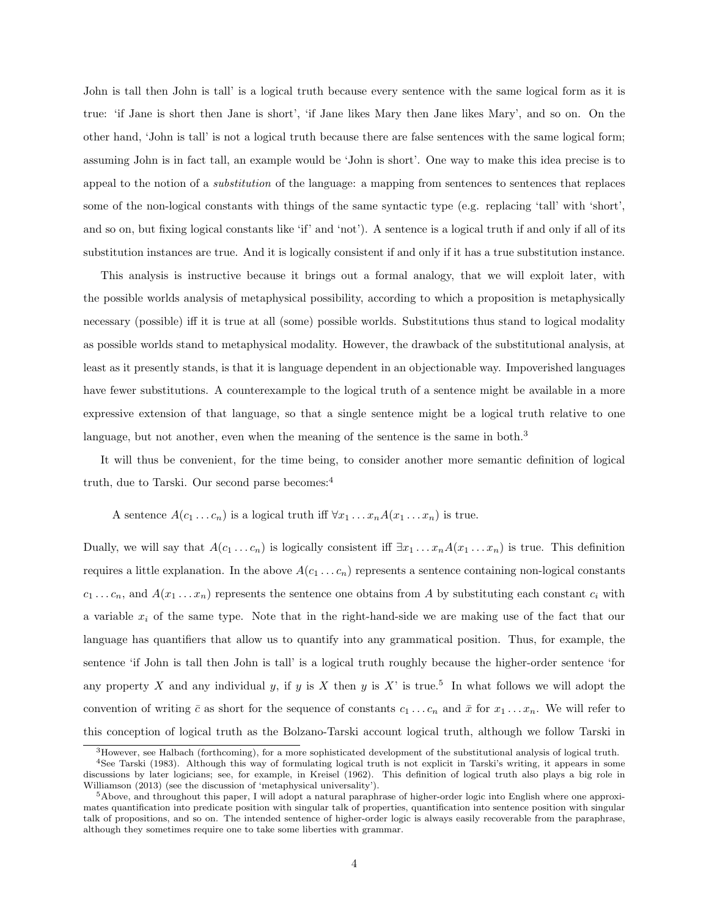John is tall then John is tall' is a logical truth because every sentence with the same logical form as it is true: 'if Jane is short then Jane is short', 'if Jane likes Mary then Jane likes Mary', and so on. On the other hand, 'John is tall' is not a logical truth because there are false sentences with the same logical form; assuming John is in fact tall, an example would be 'John is short'. One way to make this idea precise is to appeal to the notion of a substitution of the language: a mapping from sentences to sentences that replaces some of the non-logical constants with things of the same syntactic type (e.g. replacing 'tall' with 'short', and so on, but fixing logical constants like 'if' and 'not'). A sentence is a logical truth if and only if all of its substitution instances are true. And it is logically consistent if and only if it has a true substitution instance.

This analysis is instructive because it brings out a formal analogy, that we will exploit later, with the possible worlds analysis of metaphysical possibility, according to which a proposition is metaphysically necessary (possible) iff it is true at all (some) possible worlds. Substitutions thus stand to logical modality as possible worlds stand to metaphysical modality. However, the drawback of the substitutional analysis, at least as it presently stands, is that it is language dependent in an objectionable way. Impoverished languages have fewer substitutions. A counterexample to the logical truth of a sentence might be available in a more expressive extension of that language, so that a single sentence might be a logical truth relative to one language, but not another, even when the meaning of the sentence is the same in both.<sup>3</sup>

It will thus be convenient, for the time being, to consider another more semantic definition of logical truth, due to Tarski. Our second parse becomes:<sup>4</sup>

A sentence  $A(c_1 \ldots c_n)$  is a logical truth iff  $\forall x_1 \ldots x_n A(x_1 \ldots x_n)$  is true.

Dually, we will say that  $A(c_1 \ldots c_n)$  is logically consistent iff  $\exists x_1 \ldots x_n A(x_1 \ldots x_n)$  is true. This definition requires a little explanation. In the above  $A(c_1 \ldots c_n)$  represents a sentence containing non-logical constants  $c_1 \ldots c_n$ , and  $A(x_1 \ldots x_n)$  represents the sentence one obtains from A by substituting each constant  $c_i$  with a variable  $x_i$  of the same type. Note that in the right-hand-side we are making use of the fact that our language has quantifiers that allow us to quantify into any grammatical position. Thus, for example, the sentence 'if John is tall then John is tall' is a logical truth roughly because the higher-order sentence 'for any property X and any individual y, if y is X then y is X' is true.<sup>5</sup> In what follows we will adopt the convention of writing  $\bar{c}$  as short for the sequence of constants  $c_1 \ldots c_n$  and  $\bar{x}$  for  $x_1 \ldots x_n$ . We will refer to this conception of logical truth as the Bolzano-Tarski account logical truth, although we follow Tarski in

 $3$ However, see Halbach (forthcoming), for a more sophisticated development of the substitutional analysis of logical truth.

<sup>4</sup>See Tarski (1983). Although this way of formulating logical truth is not explicit in Tarski's writing, it appears in some discussions by later logicians; see, for example, in Kreisel (1962). This definition of logical truth also plays a big role in Williamson (2013) (see the discussion of 'metaphysical universality').

<sup>5</sup>Above, and throughout this paper, I will adopt a natural paraphrase of higher-order logic into English where one approximates quantification into predicate position with singular talk of properties, quantification into sentence position with singular talk of propositions, and so on. The intended sentence of higher-order logic is always easily recoverable from the paraphrase, although they sometimes require one to take some liberties with grammar.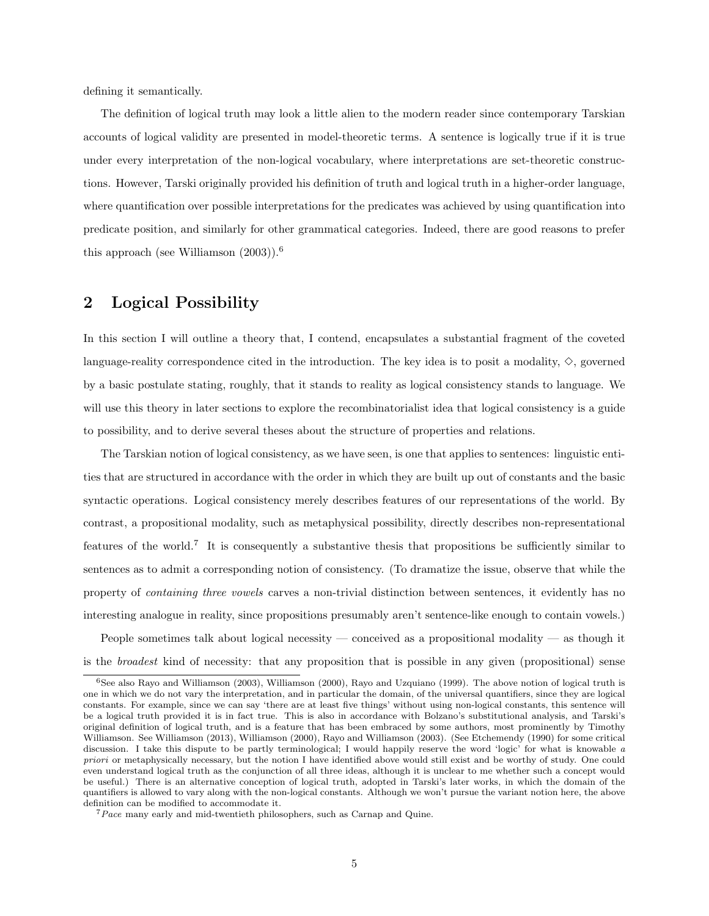defining it semantically.

The definition of logical truth may look a little alien to the modern reader since contemporary Tarskian accounts of logical validity are presented in model-theoretic terms. A sentence is logically true if it is true under every interpretation of the non-logical vocabulary, where interpretations are set-theoretic constructions. However, Tarski originally provided his definition of truth and logical truth in a higher-order language, where quantification over possible interpretations for the predicates was achieved by using quantification into predicate position, and similarly for other grammatical categories. Indeed, there are good reasons to prefer this approach (see Williamson  $(2003)$ ).<sup>6</sup>

### 2 Logical Possibility

In this section I will outline a theory that, I contend, encapsulates a substantial fragment of the coveted language-reality correspondence cited in the introduction. The key idea is to posit a modality,  $\diamond$ , governed by a basic postulate stating, roughly, that it stands to reality as logical consistency stands to language. We will use this theory in later sections to explore the recombinatorialist idea that logical consistency is a guide to possibility, and to derive several theses about the structure of properties and relations.

The Tarskian notion of logical consistency, as we have seen, is one that applies to sentences: linguistic entities that are structured in accordance with the order in which they are built up out of constants and the basic syntactic operations. Logical consistency merely describes features of our representations of the world. By contrast, a propositional modality, such as metaphysical possibility, directly describes non-representational features of the world.<sup>7</sup> It is consequently a substantive thesis that propositions be sufficiently similar to sentences as to admit a corresponding notion of consistency. (To dramatize the issue, observe that while the property of containing three vowels carves a non-trivial distinction between sentences, it evidently has no interesting analogue in reality, since propositions presumably aren't sentence-like enough to contain vowels.)

People sometimes talk about logical necessity — conceived as a propositional modality — as though it is the broadest kind of necessity: that any proposition that is possible in any given (propositional) sense

<sup>6</sup>See also Rayo and Williamson (2003), Williamson (2000), Rayo and Uzquiano (1999). The above notion of logical truth is one in which we do not vary the interpretation, and in particular the domain, of the universal quantifiers, since they are logical constants. For example, since we can say 'there are at least five things' without using non-logical constants, this sentence will be a logical truth provided it is in fact true. This is also in accordance with Bolzano's substitutional analysis, and Tarski's original definition of logical truth, and is a feature that has been embraced by some authors, most prominently by Timothy Williamson. See Williamson (2013), Williamson (2000), Rayo and Williamson (2003). (See Etchemendy (1990) for some critical discussion. I take this dispute to be partly terminological; I would happily reserve the word 'logic' for what is knowable a priori or metaphysically necessary, but the notion I have identified above would still exist and be worthy of study. One could even understand logical truth as the conjunction of all three ideas, although it is unclear to me whether such a concept would be useful.) There is an alternative conception of logical truth, adopted in Tarski's later works, in which the domain of the quantifiers is allowed to vary along with the non-logical constants. Although we won't pursue the variant notion here, the above definition can be modified to accommodate it.

<sup>7</sup>Pace many early and mid-twentieth philosophers, such as Carnap and Quine.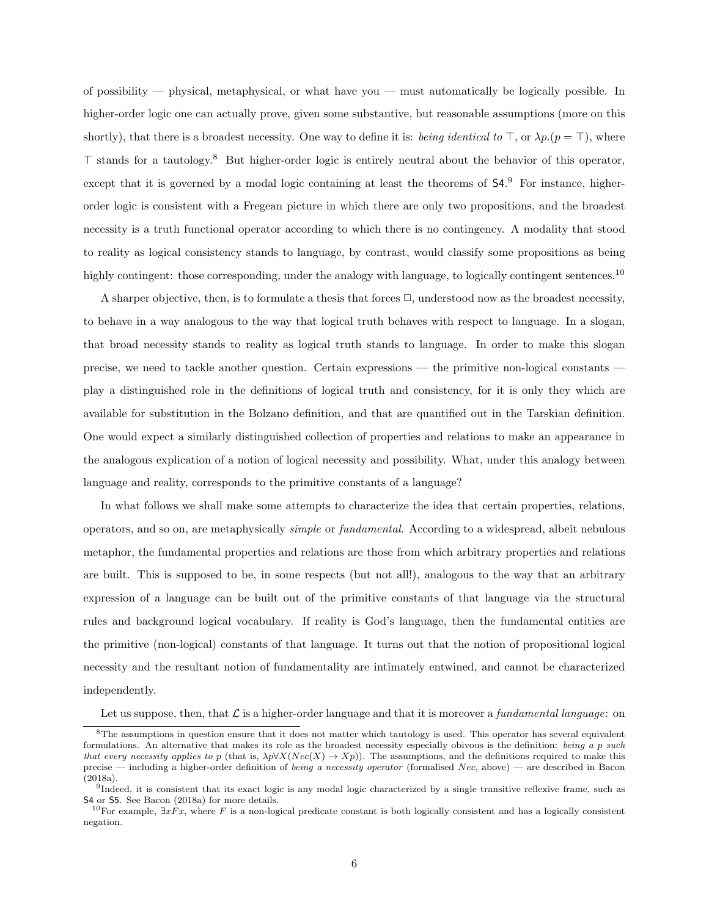of possibility — physical, metaphysical, or what have you — must automatically be logically possible. In higher-order logic one can actually prove, given some substantive, but reasonable assumptions (more on this shortly), that there is a broadest necessity. One way to define it is: being identical to  $\top$ , or  $\lambda p.(p = \top)$ , where  $\top$  stands for a tautology.<sup>8</sup> But higher-order logic is entirely neutral about the behavior of this operator, except that it is governed by a modal logic containing at least the theorems of  $54.9$  For instance, higherorder logic is consistent with a Fregean picture in which there are only two propositions, and the broadest necessity is a truth functional operator according to which there is no contingency. A modality that stood to reality as logical consistency stands to language, by contrast, would classify some propositions as being highly contingent: those corresponding, under the analogy with language, to logically contingent sentences.<sup>10</sup>

A sharper objective, then, is to formulate a thesis that forces  $\Box$ , understood now as the broadest necessity, to behave in a way analogous to the way that logical truth behaves with respect to language. In a slogan, that broad necessity stands to reality as logical truth stands to language. In order to make this slogan precise, we need to tackle another question. Certain expressions — the primitive non-logical constants play a distinguished role in the definitions of logical truth and consistency, for it is only they which are available for substitution in the Bolzano definition, and that are quantified out in the Tarskian definition. One would expect a similarly distinguished collection of properties and relations to make an appearance in the analogous explication of a notion of logical necessity and possibility. What, under this analogy between language and reality, corresponds to the primitive constants of a language?

In what follows we shall make some attempts to characterize the idea that certain properties, relations, operators, and so on, are metaphysically simple or fundamental. According to a widespread, albeit nebulous metaphor, the fundamental properties and relations are those from which arbitrary properties and relations are built. This is supposed to be, in some respects (but not all!), analogous to the way that an arbitrary expression of a language can be built out of the primitive constants of that language via the structural rules and background logical vocabulary. If reality is God's language, then the fundamental entities are the primitive (non-logical) constants of that language. It turns out that the notion of propositional logical necessity and the resultant notion of fundamentality are intimately entwined, and cannot be characterized independently.

Let us suppose, then, that  $\mathcal L$  is a higher-order language and that it is moreover a fundamental language: on

<sup>&</sup>lt;sup>8</sup>The assumptions in question ensure that it does not matter which tautology is used. This operator has several equivalent formulations. An alternative that makes its role as the broadest necessity especially obivous is the definition: being a p such that every necessity applies to p (that is,  $\lambda p \forall X(Nec(X) \rightarrow Xp)$ ). The assumptions, and the definitions required to make this precise — including a higher-order definition of being a necessity operator (formalised Nec, above) — are described in Bacon (2018a).

<sup>&</sup>lt;sup>9</sup>Indeed, it is consistent that its exact logic is any modal logic characterized by a single transitive reflexive frame, such as S4 or S5. See Bacon (2018a) for more details.

<sup>&</sup>lt;sup>10</sup>For example,  $\exists xFx$ , where F is a non-logical predicate constant is both logically consistent and has a logically consistent negation.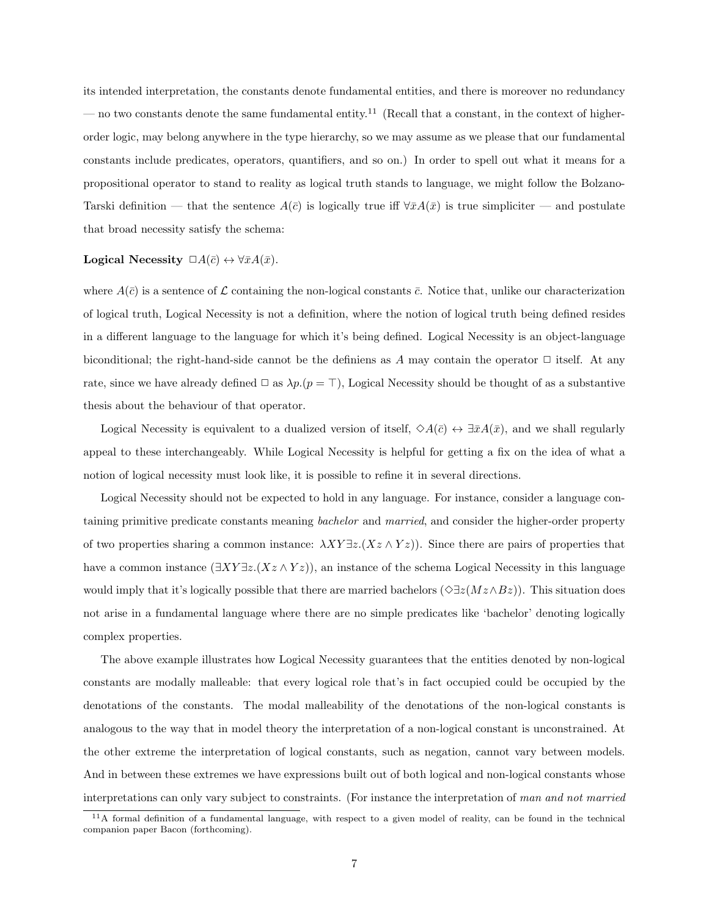its intended interpretation, the constants denote fundamental entities, and there is moreover no redundancy — no two constants denote the same fundamental entity.<sup>11</sup> (Recall that a constant, in the context of higherorder logic, may belong anywhere in the type hierarchy, so we may assume as we please that our fundamental constants include predicates, operators, quantifiers, and so on.) In order to spell out what it means for a propositional operator to stand to reality as logical truth stands to language, we might follow the Bolzano-Tarski definition — that the sentence  $A(\bar{c})$  is logically true iff  $\forall \bar{x}A(\bar{x})$  is true simpliciter — and postulate that broad necessity satisfy the schema:

#### Logical Necessity  $\Box A(\bar{c}) \leftrightarrow \forall \bar{x}A(\bar{x})$ .

where  $A(\bar{c})$  is a sentence of L containing the non-logical constants  $\bar{c}$ . Notice that, unlike our characterization of logical truth, Logical Necessity is not a definition, where the notion of logical truth being defined resides in a different language to the language for which it's being defined. Logical Necessity is an object-language biconditional; the right-hand-side cannot be the definiens as A may contain the operator  $\Box$  itself. At any rate, since we have already defined  $\Box$  as  $\lambda p.(p = \top)$ , Logical Necessity should be thought of as a substantive thesis about the behaviour of that operator.

Logical Necessity is equivalent to a dualized version of itself,  $\diamond A(\bar{c}) \leftrightarrow \exists \bar{x}A(\bar{x})$ , and we shall regularly appeal to these interchangeably. While Logical Necessity is helpful for getting a fix on the idea of what a notion of logical necessity must look like, it is possible to refine it in several directions.

Logical Necessity should not be expected to hold in any language. For instance, consider a language containing primitive predicate constants meaning *bachelor* and married, and consider the higher-order property of two properties sharing a common instance:  $\lambda XY \exists z. (Xz \wedge Yz)$ . Since there are pairs of properties that have a common instance  $(\exists XY \exists z. (Xz \land Yz))$ , an instance of the schema Logical Necessity in this language would imply that it's logically possible that there are married bachelors ( $\Diamond \exists z(Mz \wedge Bz)$ ). This situation does not arise in a fundamental language where there are no simple predicates like 'bachelor' denoting logically complex properties.

The above example illustrates how Logical Necessity guarantees that the entities denoted by non-logical constants are modally malleable: that every logical role that's in fact occupied could be occupied by the denotations of the constants. The modal malleability of the denotations of the non-logical constants is analogous to the way that in model theory the interpretation of a non-logical constant is unconstrained. At the other extreme the interpretation of logical constants, such as negation, cannot vary between models. And in between these extremes we have expressions built out of both logical and non-logical constants whose interpretations can only vary subject to constraints. (For instance the interpretation of man and not married

 $11A$  formal definition of a fundamental language, with respect to a given model of reality, can be found in the technical companion paper Bacon (forthcoming).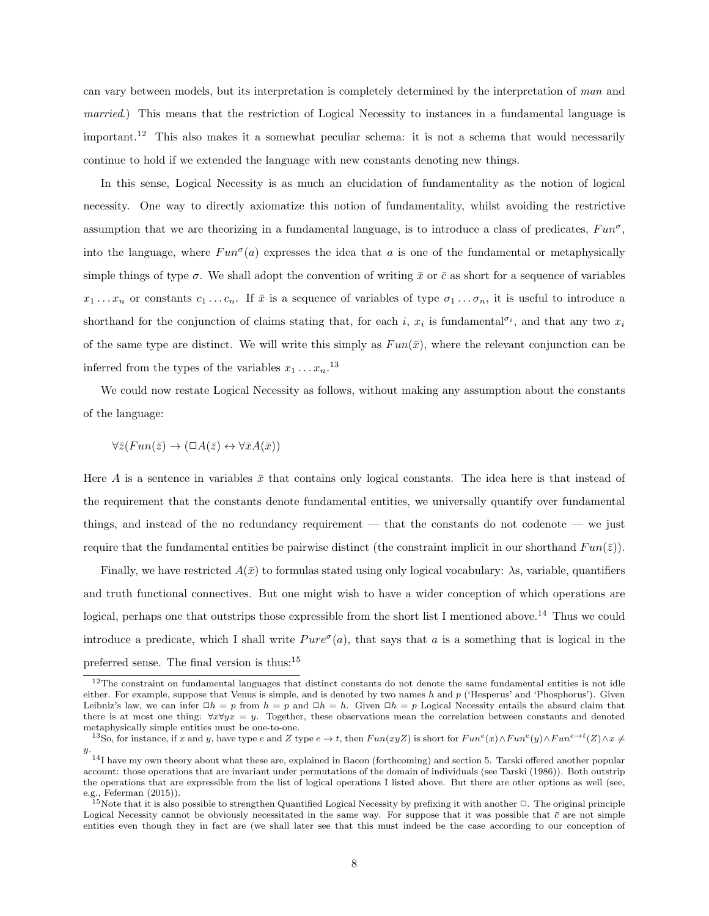can vary between models, but its interpretation is completely determined by the interpretation of man and married.) This means that the restriction of Logical Necessity to instances in a fundamental language is important.<sup>12</sup> This also makes it a somewhat peculiar schema: it is not a schema that would necessarily continue to hold if we extended the language with new constants denoting new things.

In this sense, Logical Necessity is as much an elucidation of fundamentality as the notion of logical necessity. One way to directly axiomatize this notion of fundamentality, whilst avoiding the restrictive assumption that we are theorizing in a fundamental language, is to introduce a class of predicates,  $Fun^{\sigma}$ , into the language, where  $Fun^{\sigma}(a)$  expresses the idea that a is one of the fundamental or metaphysically simple things of type  $\sigma$ . We shall adopt the convention of writing  $\bar{x}$  or  $\bar{c}$  as short for a sequence of variables  $x_1 \ldots x_n$  or constants  $c_1 \ldots c_n$ . If  $\bar{x}$  is a sequence of variables of type  $\sigma_1 \ldots \sigma_n$ , it is useful to introduce a shorthand for the conjunction of claims stating that, for each i,  $x_i$  is fundamental<sup> $\sigma_i$ </sup>, and that any two  $x_i$ of the same type are distinct. We will write this simply as  $Fun(\bar{x})$ , where the relevant conjunction can be inferred from the types of the variables  $x_1 \ldots x_n$ <sup>13</sup>

We could now restate Logical Necessity as follows, without making any assumption about the constants of the language:

$$
\forall \bar{z}(Fun(\bar{z}) \to (\Box A(\bar{z}) \leftrightarrow \forall \bar{x}A(\bar{x}))
$$

Here A is a sentence in variables  $\bar{x}$  that contains only logical constants. The idea here is that instead of the requirement that the constants denote fundamental entities, we universally quantify over fundamental things, and instead of the no redundancy requirement — that the constants do not codenote — we just require that the fundamental entities be pairwise distinct (the constraint implicit in our shorthand  $Fun(\bar{z})$ ).

Finally, we have restricted  $A(\bar{x})$  to formulas stated using only logical vocabulary:  $\lambda$ s, variable, quantifiers and truth functional connectives. But one might wish to have a wider conception of which operations are logical, perhaps one that outstrips those expressible from the short list I mentioned above.<sup>14</sup> Thus we could introduce a predicate, which I shall write  $Pure^{\sigma}(a)$ , that says that a is a something that is logical in the preferred sense. The final version is thus:<sup>15</sup>

<sup>&</sup>lt;sup>12</sup>The constraint on fundamental languages that distinct constants do not denote the same fundamental entities is not idle either. For example, suppose that Venus is simple, and is denoted by two names  $h$  and  $p$  ('Hesperus' and 'Phosphorus'). Given Leibniz's law, we can infer  $\Box h = p$  from  $h = p$  and  $\Box h = h$ . Given  $\Box h = p$  Logical Necessity entails the absurd claim that there is at most one thing:  $\forall x \forall yx = y$ . Together, these observations mean the correlation between constants and denoted metaphysically simple entities must be one-to-one.

<sup>&</sup>lt;sup>13</sup>So, for instance, if x and y, have type e and Z type  $e \to t$ , then  $Fun(xyZ)$  is short for  $Fun^e(x) \wedge Fun^e(y) \wedge Fun^{e \to t}(Z) \wedge x \neq 0$ y.

<sup>&</sup>lt;sup>14</sup>I have my own theory about what these are, explained in Bacon (forthcoming) and section 5. Tarski offered another popular account: those operations that are invariant under permutations of the domain of individuals (see Tarski (1986)). Both outstrip the operations that are expressible from the list of logical operations I listed above. But there are other options as well (see, e.g., Feferman (2015)).

 $^{15}$ Note that it is also possible to strengthen Quantified Logical Necessity by prefixing it with another  $\Box$ . The original principle Logical Necessity cannot be obviously necessitated in the same way. For suppose that it was possible that  $\bar{c}$  are not simple entities even though they in fact are (we shall later see that this must indeed be the case according to our conception of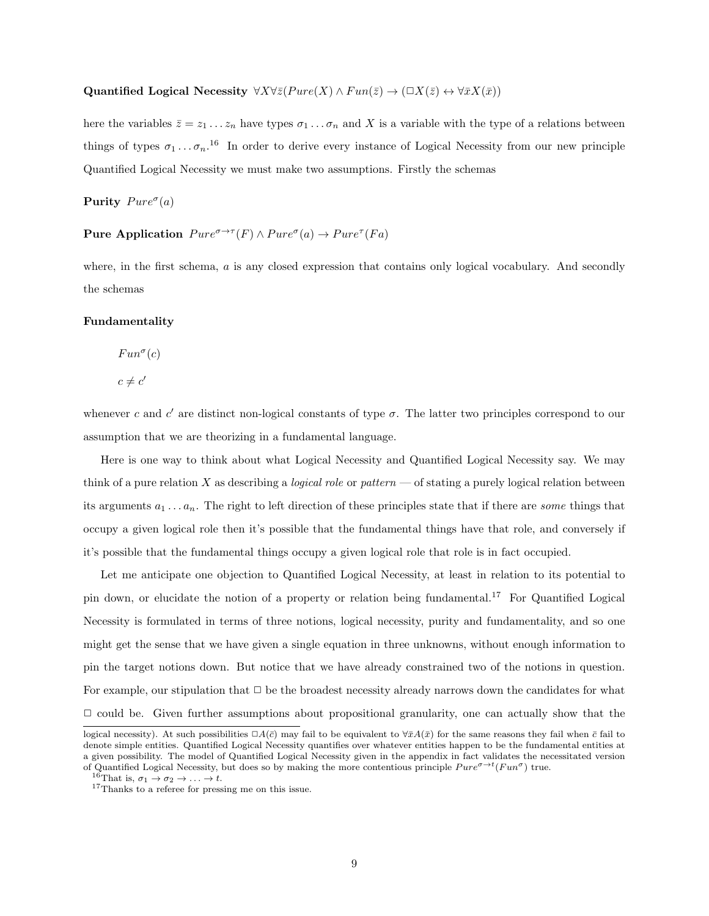#### Quantified Logical Necessity  $\forall X \forall \bar{z}(P \text{ure}(X) \land Fun(\bar{z}) \rightarrow (\Box X(\bar{z}) \leftrightarrow \forall \bar{x}X(\bar{x}))$

here the variables  $\bar{z} = z_1 \ldots z_n$  have types  $\sigma_1 \ldots \sigma_n$  and X is a variable with the type of a relations between things of types  $\sigma_1 \ldots \sigma_n$ .<sup>16</sup> In order to derive every instance of Logical Necessity from our new principle Quantified Logical Necessity we must make two assumptions. Firstly the schemas

Purity  $Pure^{\sigma}(a)$ 

#### Pure Application  $Pure^{\sigma \rightarrow \tau}(F) \land Pure^{\sigma}(a) \rightarrow Pure^{\tau}(Fa)$

where, in the first schema, a is any closed expression that contains only logical vocabulary. And secondly the schemas

#### Fundamentality

 $Fun^{\sigma}(c)$ 

$$
c \neq c'
$$

whenever c and c' are distinct non-logical constants of type  $\sigma$ . The latter two principles correspond to our assumption that we are theorizing in a fundamental language.

Here is one way to think about what Logical Necessity and Quantified Logical Necessity say. We may think of a pure relation X as describing a *logical role* or *pattern* — of stating a purely logical relation between its arguments  $a_1 \ldots a_n$ . The right to left direction of these principles state that if there are some things that occupy a given logical role then it's possible that the fundamental things have that role, and conversely if it's possible that the fundamental things occupy a given logical role that role is in fact occupied.

Let me anticipate one objection to Quantified Logical Necessity, at least in relation to its potential to pin down, or elucidate the notion of a property or relation being fundamental.<sup>17</sup> For Quantified Logical Necessity is formulated in terms of three notions, logical necessity, purity and fundamentality, and so one might get the sense that we have given a single equation in three unknowns, without enough information to pin the target notions down. But notice that we have already constrained two of the notions in question. For example, our stipulation that  $\Box$  be the broadest necessity already narrows down the candidates for what  $\Box$  could be. Given further assumptions about propositional granularity, one can actually show that the

logical necessity). At such possibilities  $\Box A(\bar{c})$  may fail to be equivalent to  $\forall \bar{x}A(\bar{x})$  for the same reasons they fail when  $\bar{c}$  fail to denote simple entities. Quantified Logical Necessity quantifies over whatever entities happen to be the fundamental entities at a given possibility. The model of Quantified Logical Necessity given in the appendix in fact validates the necessitated version of Quantified Logical Necessity, but does so by making the more contentious principle  $Pure^{\sigma \to t}(Fun^{\sigma})$  true.

<sup>&</sup>lt;sup>16</sup>That is,  $\sigma_1 \rightarrow \sigma_2 \rightarrow \ldots \rightarrow t$ .

<sup>&</sup>lt;sup>17</sup>Thanks to a referee for pressing me on this issue.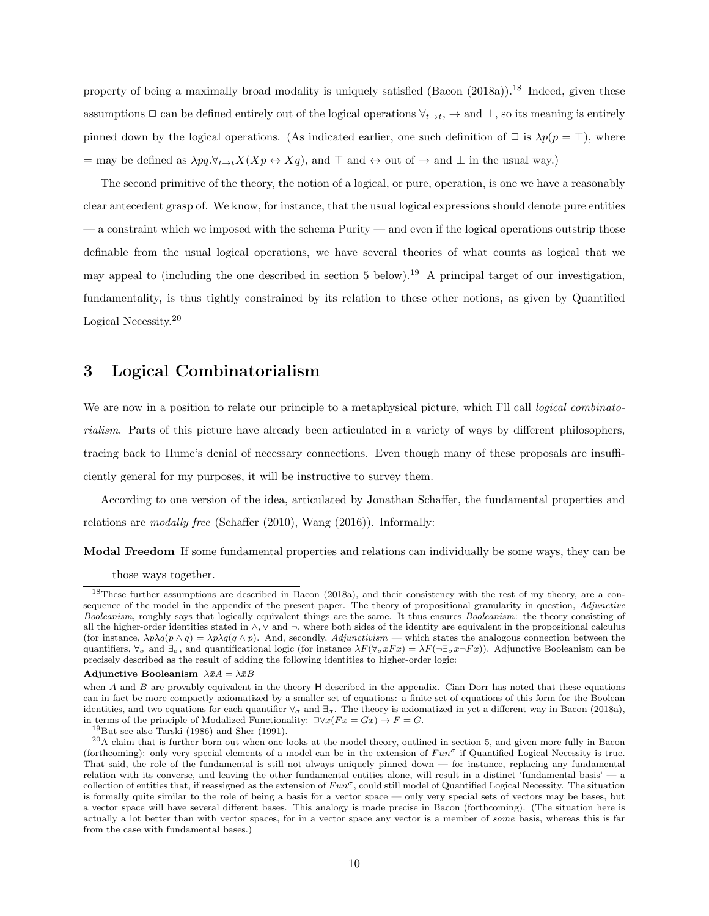property of being a maximally broad modality is uniquely satisfied  $(Bacon (2018a))$ .<sup>18</sup> Indeed, given these assumptions  $\Box$  can be defined entirely out of the logical operations  $\forall_{t\to t}$ ,  $\to$  and  $\bot$ , so its meaning is entirely pinned down by the logical operations. (As indicated earlier, one such definition of  $\Box$  is  $\lambda p(p = \top)$ , where = may be defined as  $\lambda pq.\forall_{t\to t}X(Xp\leftrightarrow Xq)$ , and  $\top$  and  $\leftrightarrow$  out of  $\to$  and  $\bot$  in the usual way.)

The second primitive of the theory, the notion of a logical, or pure, operation, is one we have a reasonably clear antecedent grasp of. We know, for instance, that the usual logical expressions should denote pure entities — a constraint which we imposed with the schema Purity — and even if the logical operations outstrip those definable from the usual logical operations, we have several theories of what counts as logical that we may appeal to (including the one described in section 5 below).<sup>19</sup> A principal target of our investigation, fundamentality, is thus tightly constrained by its relation to these other notions, as given by Quantified Logical Necessity.<sup>20</sup>

### 3 Logical Combinatorialism

We are now in a position to relate our principle to a metaphysical picture, which I'll call *logical combinato*rialism. Parts of this picture have already been articulated in a variety of ways by different philosophers, tracing back to Hume's denial of necessary connections. Even though many of these proposals are insufficiently general for my purposes, it will be instructive to survey them.

According to one version of the idea, articulated by Jonathan Schaffer, the fundamental properties and relations are modally free (Schaffer (2010), Wang (2016)). Informally:

Modal Freedom If some fundamental properties and relations can individually be some ways, they can be

those ways together.

<sup>&</sup>lt;sup>18</sup>These further assumptions are described in Bacon (2018a), and their consistency with the rest of my theory, are a consequence of the model in the appendix of the present paper. The theory of propositional granularity in question, *Adjunctive* Booleanism, roughly says that logically equivalent things are the same. It thus ensures Booleanism: the theory consisting of all the higher-order identities stated in  $\wedge$ ,  $\vee$  and  $\neg$ , where both sides of the identity are equivalent in the propositional calculus (for instance,  $\lambda p \lambda q(p \wedge q) = \lambda p \lambda q(q \wedge p)$ ). And, secondly, Adjunctivism — which states the analogous connection between the quantifiers,  $\forall \sigma$  and  $\exists \sigma$ , and quantificational logic (for instance  $\lambda F(\forall \sigma x F x) = \lambda F(\neg \exists \sigma x \neg F x)$ ). Adjunctive Booleanism can be precisely described as the result of adding the following identities to higher-order logic:

Adjunctive Booleanism  $\lambda \bar{x}A = \lambda \bar{x}B$ 

when  $A$  and  $B$  are provably equivalent in the theory  $H$  described in the appendix. Cian Dorr has noted that these equations can in fact be more compactly axiomatized by a smaller set of equations: a finite set of equations of this form for the Boolean identities, and two equations for each quantifier  $\forall_{\sigma}$  and  $\exists_{\sigma}$ . The theory is axiomatized in yet a different way in Bacon (2018a), in terms of the principle of Modalized Functionality:  $\Box \forall x(Fx = Gx) \rightarrow F = G$ .

<sup>19</sup>But see also Tarski (1986) and Sher (1991).

 $20A$  claim that is further born out when one looks at the model theory, outlined in section 5, and given more fully in Bacon (forthcoming): only very special elements of a model can be in the extension of  $Fun^{\sigma}$  if Quantified Logical Necessity is true. That said, the role of the fundamental is still not always uniquely pinned down — for instance, replacing any fundamental relation with its converse, and leaving the other fundamental entities alone, will result in a distinct 'fundamental basis' — a collection of entities that, if reassigned as the extension of  $Fun^{\sigma}$ , could still model of Quantified Logical Necessity. The situation is formally quite similar to the role of being a basis for a vector space — only very special sets of vectors may be bases, but a vector space will have several different bases. This analogy is made precise in Bacon (forthcoming). (The situation here is actually a lot better than with vector spaces, for in a vector space any vector is a member of some basis, whereas this is far from the case with fundamental bases.)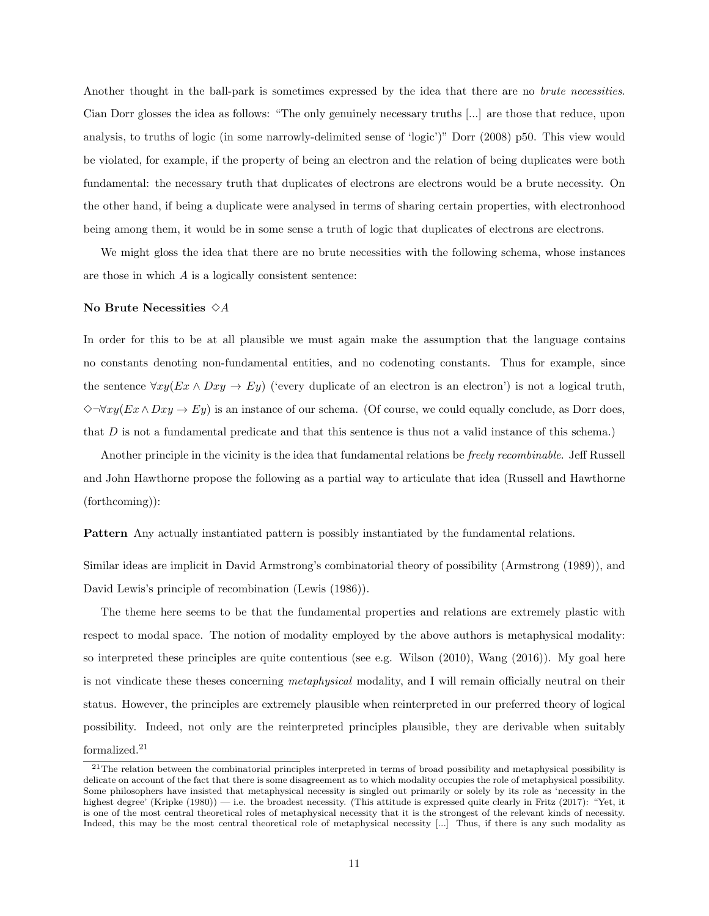Another thought in the ball-park is sometimes expressed by the idea that there are no *brute necessities*. Cian Dorr glosses the idea as follows: "The only genuinely necessary truths [...] are those that reduce, upon analysis, to truths of logic (in some narrowly-delimited sense of 'logic')" Dorr (2008) p50. This view would be violated, for example, if the property of being an electron and the relation of being duplicates were both fundamental: the necessary truth that duplicates of electrons are electrons would be a brute necessity. On the other hand, if being a duplicate were analysed in terms of sharing certain properties, with electronhood being among them, it would be in some sense a truth of logic that duplicates of electrons are electrons.

We might gloss the idea that there are no brute necessities with the following schema, whose instances are those in which A is a logically consistent sentence:

#### No Brute Necessities  $\diamond A$

In order for this to be at all plausible we must again make the assumption that the language contains no constants denoting non-fundamental entities, and no codenoting constants. Thus for example, since the sentence  $\forall xy (Ex \land Dxy \rightarrow Ey)$  ('every duplicate of an electron is an electron') is not a logical truth,  $\Diamond \neg \forall xy(Ex \land Dxy \rightarrow Ey)$  is an instance of our schema. (Of course, we could equally conclude, as Dorr does, that  $D$  is not a fundamental predicate and that this sentence is thus not a valid instance of this schema.)

Another principle in the vicinity is the idea that fundamental relations be freely recombinable. Jeff Russell and John Hawthorne propose the following as a partial way to articulate that idea (Russell and Hawthorne (forthcoming)):

Pattern Any actually instantiated pattern is possibly instantiated by the fundamental relations.

Similar ideas are implicit in David Armstrong's combinatorial theory of possibility (Armstrong (1989)), and David Lewis's principle of recombination (Lewis (1986)).

The theme here seems to be that the fundamental properties and relations are extremely plastic with respect to modal space. The notion of modality employed by the above authors is metaphysical modality: so interpreted these principles are quite contentious (see e.g. Wilson (2010), Wang (2016)). My goal here is not vindicate these theses concerning metaphysical modality, and I will remain officially neutral on their status. However, the principles are extremely plausible when reinterpreted in our preferred theory of logical possibility. Indeed, not only are the reinterpreted principles plausible, they are derivable when suitably  ${\rm formalized.}^{21}$ 

 $21$ The relation between the combinatorial principles interpreted in terms of broad possibility and metaphysical possibility is delicate on account of the fact that there is some disagreement as to which modality occupies the role of metaphysical possibility. Some philosophers have insisted that metaphysical necessity is singled out primarily or solely by its role as 'necessity in the highest degree' (Kripke (1980)) — i.e. the broadest necessity. (This attitude is expressed quite clearly in Fritz (2017): "Yet, it is one of the most central theoretical roles of metaphysical necessity that it is the strongest of the relevant kinds of necessity. Indeed, this may be the most central theoretical role of metaphysical necessity [...] Thus, if there is any such modality as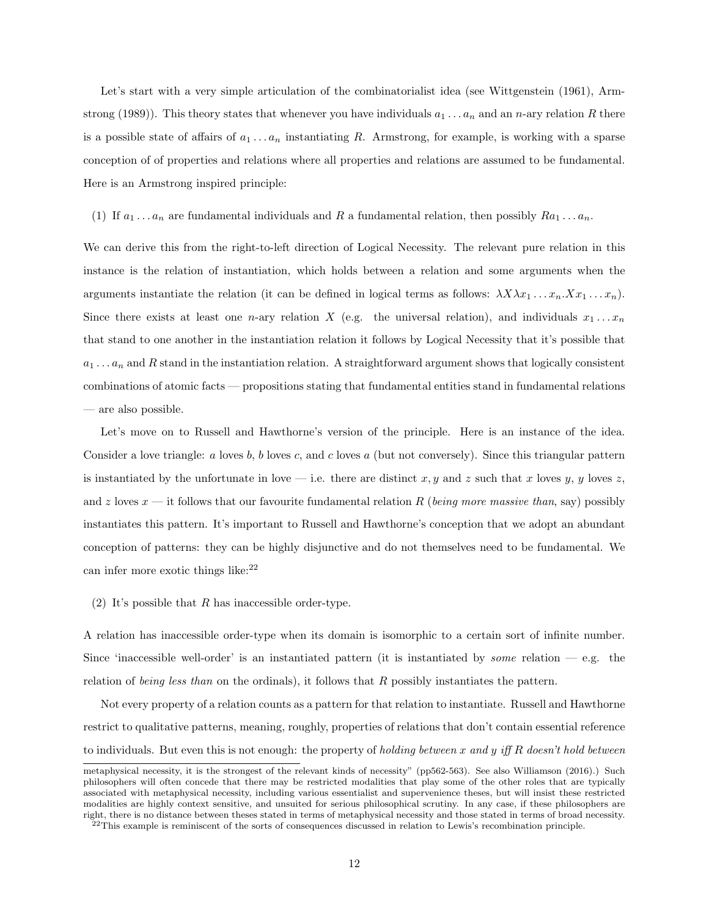Let's start with a very simple articulation of the combinatorialist idea (see Wittgenstein (1961), Armstrong (1989)). This theory states that whenever you have individuals  $a_1 \ldots a_n$  and an n-ary relation R there is a possible state of affairs of  $a_1 \ldots a_n$  instantiating R. Armstrong, for example, is working with a sparse conception of of properties and relations where all properties and relations are assumed to be fundamental. Here is an Armstrong inspired principle:

(1) If  $a_1 \ldots a_n$  are fundamental individuals and R a fundamental relation, then possibly  $Ra_1 \ldots a_n$ .

We can derive this from the right-to-left direction of Logical Necessity. The relevant pure relation in this instance is the relation of instantiation, which holds between a relation and some arguments when the arguments instantiate the relation (it can be defined in logical terms as follows:  $\lambda X \lambda x_1 \ldots x_n \cdot X x_1 \ldots x_n$ ). Since there exists at least one n-ary relation X (e.g. the universal relation), and individuals  $x_1 \ldots x_n$ that stand to one another in the instantiation relation it follows by Logical Necessity that it's possible that  $a_1 \ldots a_n$  and R stand in the instantiation relation. A straightforward argument shows that logically consistent combinations of atomic facts — propositions stating that fundamental entities stand in fundamental relations — are also possible.

Let's move on to Russell and Hawthorne's version of the principle. Here is an instance of the idea. Consider a love triangle: a loves b, b loves c, and c loves a (but not conversely). Since this triangular pattern is instantiated by the unfortunate in love — i.e. there are distinct x, y and z such that x loves y, y loves z, and z loves  $x$  — it follows that our favourite fundamental relation R (being more massive than, say) possibly instantiates this pattern. It's important to Russell and Hawthorne's conception that we adopt an abundant conception of patterns: they can be highly disjunctive and do not themselves need to be fundamental. We can infer more exotic things like: $^{22}$ 

(2) It's possible that  $R$  has inaccessible order-type.

A relation has inaccessible order-type when its domain is isomorphic to a certain sort of infinite number. Since 'inaccessible well-order' is an instantiated pattern (it is instantiated by *some* relation  $-e.g.$  the relation of being less than on the ordinals), it follows that R possibly instantiates the pattern.

Not every property of a relation counts as a pattern for that relation to instantiate. Russell and Hawthorne restrict to qualitative patterns, meaning, roughly, properties of relations that don't contain essential reference to individuals. But even this is not enough: the property of holding between x and y iff R doesn't hold between

metaphysical necessity, it is the strongest of the relevant kinds of necessity" (pp562-563). See also Williamson (2016).) Such philosophers will often concede that there may be restricted modalities that play some of the other roles that are typically associated with metaphysical necessity, including various essentialist and supervenience theses, but will insist these restricted modalities are highly context sensitive, and unsuited for serious philosophical scrutiny. In any case, if these philosophers are right, there is no distance between theses stated in terms of metaphysical necessity and those stated in terms of broad necessity.

 $^{22}$ This example is reminiscent of the sorts of consequences discussed in relation to Lewis's recombination principle.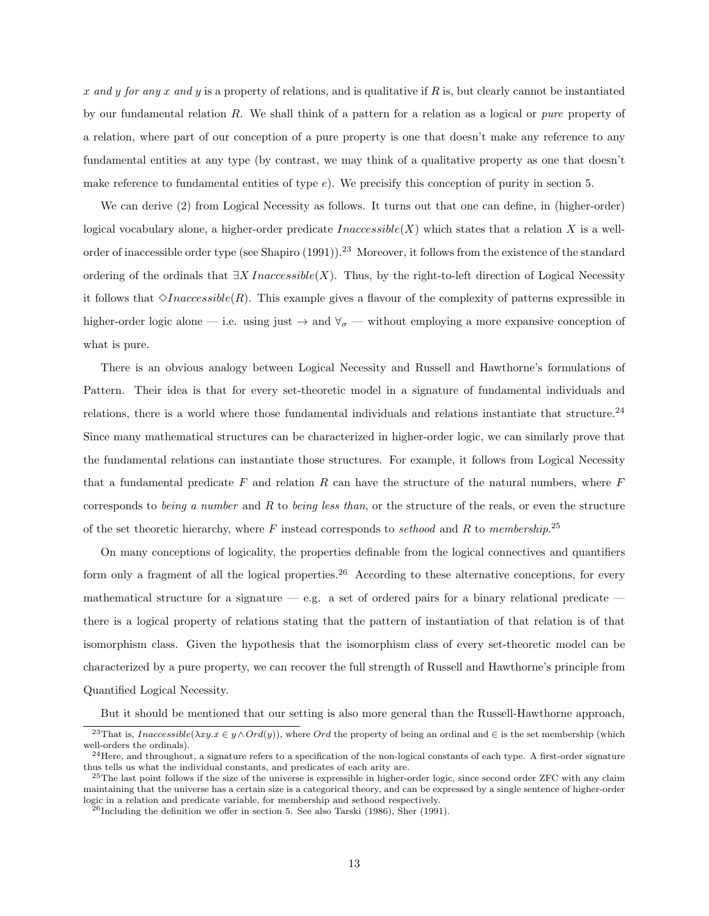x and y for any x and y is a property of relations, and is qualitative if R is, but clearly cannot be instantiated by our fundamental relation  $R$ . We shall think of a pattern for a relation as a logical or *pure* property of a relation, where part of our conception of a pure property is one that doesn't make any reference to any fundamental entities at any type (by contrast, we may think of a qualitative property as one that doesn't make reference to fundamental entities of type  $e$ ). We precisify this conception of purity in section 5.

We can derive (2) from Logical Necessity as follows. It turns out that one can define, in (higher-order) logical vocabulary alone, a higher-order predicate  $Inaccessible(X)$  which states that a relation X is a wellorder of inaccessible order type (see Shapiro (1991)).<sup>23</sup> Moreover, it follows from the existence of the standard ordering of the ordinals that  $\exists X \text{ Inaccessible}(X)$ . Thus, by the right-to-left direction of Logical Necessity it follows that  $\Diamond Inaccessible(R)$ . This example gives a flavour of the complexity of patterns expressible in higher-order logic alone — i.e. using just  $\rightarrow$  and  $\forall_{\sigma}$  — without employing a more expansive conception of what is pure.

There is an obvious analogy between Logical Necessity and Russell and Hawthorne's formulations of Pattern. Their idea is that for every set-theoretic model in a signature of fundamental individuals and relations, there is a world where those fundamental individuals and relations instantiate that structure.<sup>24</sup> Since many mathematical structures can be characterized in higher-order logic, we can similarly prove that the fundamental relations can instantiate those structures. For example, it follows from Logical Necessity that a fundamental predicate  $F$  and relation  $R$  can have the structure of the natural numbers, where  $F$ corresponds to being a number and  $R$  to being less than, or the structure of the reals, or even the structure of the set theoretic hierarchy, where  $F$  instead corresponds to sethood and  $R$  to membership.<sup>25</sup>

On many conceptions of logicality, the properties definable from the logical connectives and quantifiers form only a fragment of all the logical properties.<sup>26</sup> According to these alternative conceptions, for every mathematical structure for a signature  $-$  e.g. a set of ordered pairs for a binary relational predicate  $$ there is a logical property of relations stating that the pattern of instantiation of that relation is of that isomorphism class. Given the hypothesis that the isomorphism class of every set-theoretic model can be characterized by a pure property, we can recover the full strength of Russell and Hawthorne's principle from Quantified Logical Necessity.

But it should be mentioned that our setting is also more general than the Russell-Hawthorne approach,

<sup>&</sup>lt;sup>23</sup>That is, *Inaccessible*( $\lambda xy.x \in y \land Ord(y)$ ), where *Ord* the property of being an ordinal and  $\in$  is the set membership (which well-orders the ordinals).

 $^{24}$ Here, and throughout, a signature refers to a specification of the non-logical constants of each type. A first-order signature thus tells us what the individual constants, and predicates of each arity are.

 $^{25}$ The last point follows if the size of the universe is expressible in higher-order logic, since second order ZFC with any claim maintaining that the universe has a certain size is a categorical theory, and can be expressed by a single sentence of higher-order logic in a relation and predicate variable, for membership and sethood respectively.

 $^{26}$ Including the definition we offer in section 5. See also Tarski (1986), Sher (1991).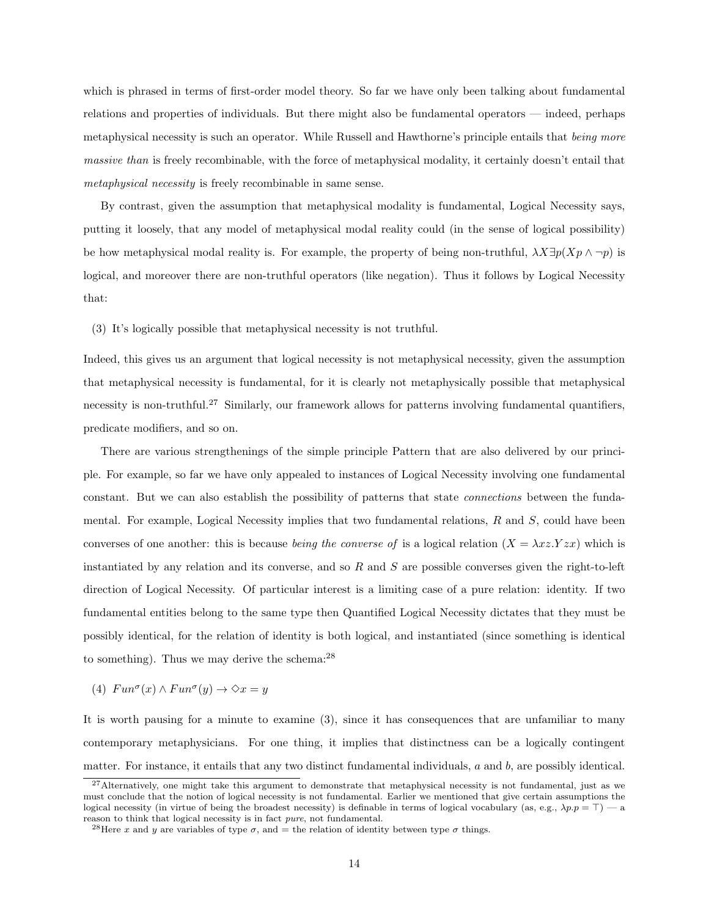which is phrased in terms of first-order model theory. So far we have only been talking about fundamental relations and properties of individuals. But there might also be fundamental operators — indeed, perhaps metaphysical necessity is such an operator. While Russell and Hawthorne's principle entails that being more massive than is freely recombinable, with the force of metaphysical modality, it certainly doesn't entail that metaphysical necessity is freely recombinable in same sense.

By contrast, given the assumption that metaphysical modality is fundamental, Logical Necessity says, putting it loosely, that any model of metaphysical modal reality could (in the sense of logical possibility) be how metaphysical modal reality is. For example, the property of being non-truthful,  $\lambda X \exists p(Xp \wedge \neg p)$  is logical, and moreover there are non-truthful operators (like negation). Thus it follows by Logical Necessity that:

(3) It's logically possible that metaphysical necessity is not truthful.

Indeed, this gives us an argument that logical necessity is not metaphysical necessity, given the assumption that metaphysical necessity is fundamental, for it is clearly not metaphysically possible that metaphysical necessity is non-truthful.<sup>27</sup> Similarly, our framework allows for patterns involving fundamental quantifiers, predicate modifiers, and so on.

There are various strengthenings of the simple principle Pattern that are also delivered by our principle. For example, so far we have only appealed to instances of Logical Necessity involving one fundamental constant. But we can also establish the possibility of patterns that state connections between the fundamental. For example, Logical Necessity implies that two fundamental relations,  $R$  and  $S$ , could have been converses of one another: this is because being the converse of is a logical relation  $(X = \lambda x z. Yzx)$  which is instantiated by any relation and its converse, and so  $R$  and  $S$  are possible converses given the right-to-left direction of Logical Necessity. Of particular interest is a limiting case of a pure relation: identity. If two fundamental entities belong to the same type then Quantified Logical Necessity dictates that they must be possibly identical, for the relation of identity is both logical, and instantiated (since something is identical to something). Thus we may derive the schema: $^{28}$ 

(4)  $Fun^{\sigma}(x) \wedge Fun^{\sigma}(y) \rightarrow \Diamond x = y$ 

It is worth pausing for a minute to examine (3), since it has consequences that are unfamiliar to many contemporary metaphysicians. For one thing, it implies that distinctness can be a logically contingent matter. For instance, it entails that any two distinct fundamental individuals, a and b, are possibly identical.

 $^{27}$ Alternatively, one might take this argument to demonstrate that metaphysical necessity is not fundamental, just as we must conclude that the notion of logical necessity is not fundamental. Earlier we mentioned that give certain assumptions the logical necessity (in virtue of being the broadest necessity) is definable in terms of logical vocabulary (as, e.g.,  $\lambda p.p = \top$ ) — a reason to think that logical necessity is in fact pure, not fundamental.

<sup>&</sup>lt;sup>28</sup>Here x and y are variables of type  $\sigma$ , and = the relation of identity between type  $\sigma$  things.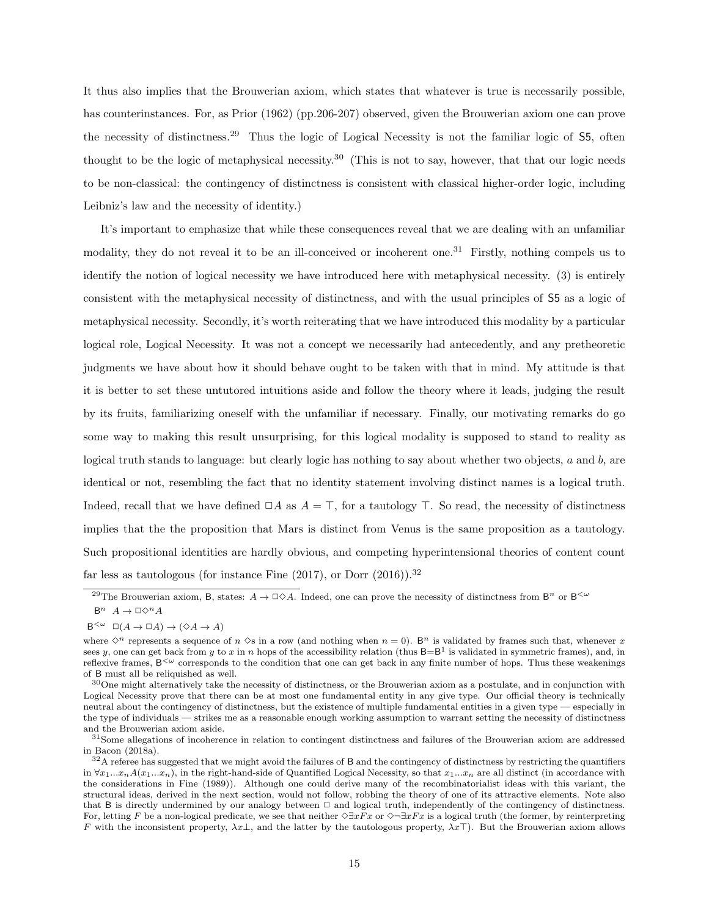It thus also implies that the Brouwerian axiom, which states that whatever is true is necessarily possible, has counterinstances. For, as Prior (1962) (pp.206-207) observed, given the Brouwerian axiom one can prove the necessity of distinctness.<sup>29</sup> Thus the logic of Logical Necessity is not the familiar logic of S5, often thought to be the logic of metaphysical necessity.<sup>30</sup> (This is not to say, however, that that our logic needs to be non-classical: the contingency of distinctness is consistent with classical higher-order logic, including Leibniz's law and the necessity of identity.)

It's important to emphasize that while these consequences reveal that we are dealing with an unfamiliar modality, they do not reveal it to be an ill-conceived or incoherent one.<sup>31</sup> Firstly, nothing compels us to identify the notion of logical necessity we have introduced here with metaphysical necessity. (3) is entirely consistent with the metaphysical necessity of distinctness, and with the usual principles of S5 as a logic of metaphysical necessity. Secondly, it's worth reiterating that we have introduced this modality by a particular logical role, Logical Necessity. It was not a concept we necessarily had antecedently, and any pretheoretic judgments we have about how it should behave ought to be taken with that in mind. My attitude is that it is better to set these untutored intuitions aside and follow the theory where it leads, judging the result by its fruits, familiarizing oneself with the unfamiliar if necessary. Finally, our motivating remarks do go some way to making this result unsurprising, for this logical modality is supposed to stand to reality as logical truth stands to language: but clearly logic has nothing to say about whether two objects, a and b, are identical or not, resembling the fact that no identity statement involving distinct names is a logical truth. Indeed, recall that we have defined  $\Box A$  as  $A = \top$ , for a tautology  $\top$ . So read, the necessity of distinctness implies that the the proposition that Mars is distinct from Venus is the same proposition as a tautology. Such propositional identities are hardly obvious, and competing hyperintensional theories of content count far less as tautologous (for instance Fine  $(2017)$ , or Dorr  $(2016)$ ).<sup>32</sup>

<sup>&</sup>lt;sup>29</sup>The Brouwerian axiom, B, states:  $A \to \Box \Diamond A$ . Indeed, one can prove the necessity of distinctness from B<sup>n</sup> or B<sup>< $\omega$ </sup>  $B^n \ A \to \Box \Diamond^n A$ 

 $B^{<\omega} \Box(A \to \Box A) \to (\Diamond A \to A)$ 

where  $\Diamond^n$  represents a sequence of  $n \Diamond s$  in a row (and nothing when  $n = 0$ ). B<sup>n</sup> is validated by frames such that, whenever x sees y, one can get back from y to x in n hops of the accessibility relation (thus  $B = B<sup>1</sup>$  is validated in symmetric frames), and, in reflexive frames,  $B<sup>{\omega}</sup>$  corresponds to the condition that one can get back in any finite number of hops. Thus these weakenings of B must all be reliquished as well.

<sup>30</sup>One might alternatively take the necessity of distinctness, or the Brouwerian axiom as a postulate, and in conjunction with Logical Necessity prove that there can be at most one fundamental entity in any give type. Our official theory is technically neutral about the contingency of distinctness, but the existence of multiple fundamental entities in a given type — especially in the type of individuals — strikes me as a reasonable enough working assumption to warrant setting the necessity of distinctness and the Brouwerian axiom aside.

 $31$ Some allegations of incoherence in relation to contingent distinctness and failures of the Brouwerian axiom are addressed in Bacon (2018a).

 $32A$  referee has suggested that we might avoid the failures of B and the contingency of distinctness by restricting the quantifiers in  $\forall x_1...x_n A(x_1...x_n)$ , in the right-hand-side of Quantified Logical Necessity, so that  $x_1...x_n$  are all distinct (in accordance with the considerations in Fine (1989)). Although one could derive many of the recombinatorialist ideas with this variant, the structural ideas, derived in the next section, would not follow, robbing the theory of one of its attractive elements. Note also that B is directly undermined by our analogy between  $\Box$  and logical truth, independently of the contingency of distinctness. For, letting F be a non-logical predicate, we see that neither  $\Diamond \exists xFx$  or  $\Diamond \neg \exists xFx$  is a logical truth (the former, by reinterpreting F with the inconsistent property,  $\lambda x \perp$ , and the latter by the tautologous property,  $\lambda x \perp$ ). But the Brouwerian axiom allows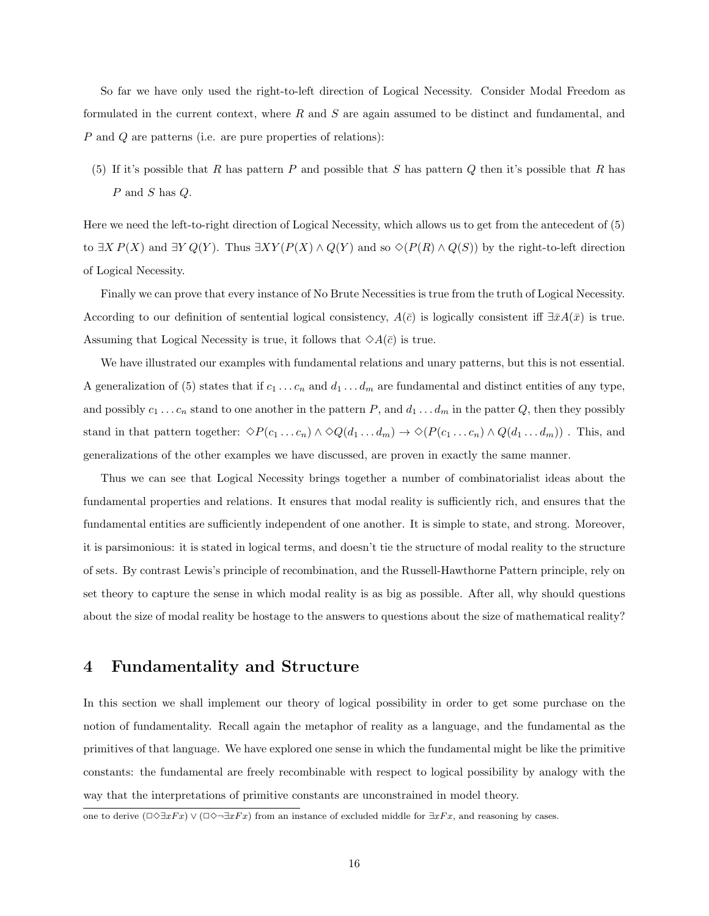So far we have only used the right-to-left direction of Logical Necessity. Consider Modal Freedom as formulated in the current context, where  $R$  and  $S$  are again assumed to be distinct and fundamental, and P and Q are patterns (i.e. are pure properties of relations):

(5) If it's possible that R has pattern P and possible that S has pattern Q then it's possible that R has P and S has Q.

Here we need the left-to-right direction of Logical Necessity, which allows us to get from the antecedent of (5) to  $\exists X P(X)$  and  $\exists Y Q(Y)$ . Thus  $\exists XY (P(X) \wedge Q(Y))$  and so  $\Diamond(P(R) \wedge Q(S))$  by the right-to-left direction of Logical Necessity.

Finally we can prove that every instance of No Brute Necessities is true from the truth of Logical Necessity. According to our definition of sentential logical consistency,  $A(\bar{c})$  is logically consistent iff  $\exists \bar{x}A(\bar{x})$  is true. Assuming that Logical Necessity is true, it follows that  $\Diamond A(\bar{c})$  is true.

We have illustrated our examples with fundamental relations and unary patterns, but this is not essential. A generalization of (5) states that if  $c_1 \ldots c_n$  and  $d_1 \ldots d_m$  are fundamental and distinct entities of any type, and possibly  $c_1 \ldots c_n$  stand to one another in the pattern P, and  $d_1 \ldots d_m$  in the patter Q, then they possibly stand in that pattern together:  $\Diamond P(c_1 \dots c_n) \land \Diamond Q(d_1 \dots d_m) \rightarrow \Diamond (P(c_1 \dots c_n) \land Q(d_1 \dots d_m))$ . This, and generalizations of the other examples we have discussed, are proven in exactly the same manner.

Thus we can see that Logical Necessity brings together a number of combinatorialist ideas about the fundamental properties and relations. It ensures that modal reality is sufficiently rich, and ensures that the fundamental entities are sufficiently independent of one another. It is simple to state, and strong. Moreover, it is parsimonious: it is stated in logical terms, and doesn't tie the structure of modal reality to the structure of sets. By contrast Lewis's principle of recombination, and the Russell-Hawthorne Pattern principle, rely on set theory to capture the sense in which modal reality is as big as possible. After all, why should questions about the size of modal reality be hostage to the answers to questions about the size of mathematical reality?

### 4 Fundamentality and Structure

In this section we shall implement our theory of logical possibility in order to get some purchase on the notion of fundamentality. Recall again the metaphor of reality as a language, and the fundamental as the primitives of that language. We have explored one sense in which the fundamental might be like the primitive constants: the fundamental are freely recombinable with respect to logical possibility by analogy with the way that the interpretations of primitive constants are unconstrained in model theory.

one to derive  $(\Box \Diamond \exists xFx) \vee (\Box \Diamond \neg \exists xFx)$  from an instance of excluded middle for  $\exists xFx$ , and reasoning by cases.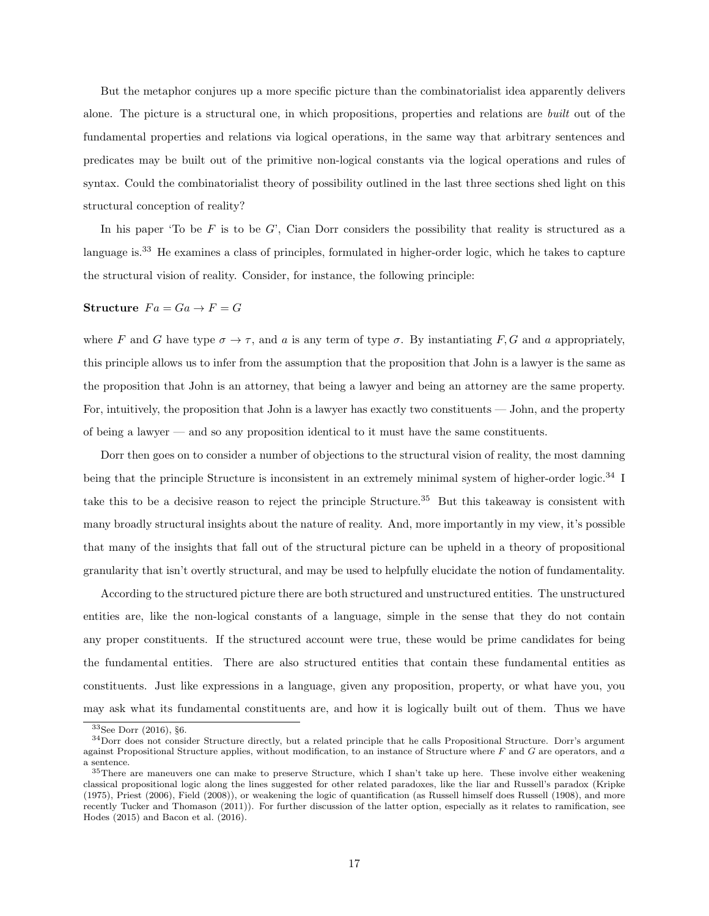But the metaphor conjures up a more specific picture than the combinatorialist idea apparently delivers alone. The picture is a structural one, in which propositions, properties and relations are built out of the fundamental properties and relations via logical operations, in the same way that arbitrary sentences and predicates may be built out of the primitive non-logical constants via the logical operations and rules of syntax. Could the combinatorialist theory of possibility outlined in the last three sections shed light on this structural conception of reality?

In his paper 'To be  $F$  is to be  $G'$ , Cian Dorr considers the possibility that reality is structured as a language is.<sup>33</sup> He examines a class of principles, formulated in higher-order logic, which he takes to capture the structural vision of reality. Consider, for instance, the following principle:

Structure  $Fa=Ga \rightarrow F=G$ 

where F and G have type  $\sigma \to \tau$ , and a is any term of type  $\sigma$ . By instantiating F, G and a appropriately, this principle allows us to infer from the assumption that the proposition that John is a lawyer is the same as the proposition that John is an attorney, that being a lawyer and being an attorney are the same property. For, intuitively, the proposition that John is a lawyer has exactly two constituents — John, and the property of being a lawyer — and so any proposition identical to it must have the same constituents.

Dorr then goes on to consider a number of objections to the structural vision of reality, the most damning being that the principle Structure is inconsistent in an extremely minimal system of higher-order logic.<sup>34</sup> I take this to be a decisive reason to reject the principle Structure.<sup>35</sup> But this takeaway is consistent with many broadly structural insights about the nature of reality. And, more importantly in my view, it's possible that many of the insights that fall out of the structural picture can be upheld in a theory of propositional granularity that isn't overtly structural, and may be used to helpfully elucidate the notion of fundamentality.

According to the structured picture there are both structured and unstructured entities. The unstructured entities are, like the non-logical constants of a language, simple in the sense that they do not contain any proper constituents. If the structured account were true, these would be prime candidates for being the fundamental entities. There are also structured entities that contain these fundamental entities as constituents. Just like expressions in a language, given any proposition, property, or what have you, you may ask what its fundamental constituents are, and how it is logically built out of them. Thus we have

<sup>33</sup>See Dorr (2016), §6.

<sup>34</sup>Dorr does not consider Structure directly, but a related principle that he calls Propositional Structure. Dorr's argument against Propositional Structure applies, without modification, to an instance of Structure where  $F$  and  $G$  are operators, and  $a$ a sentence.

<sup>&</sup>lt;sup>35</sup>There are maneuvers one can make to preserve Structure, which I shan't take up here. These involve either weakening classical propositional logic along the lines suggested for other related paradoxes, like the liar and Russell's paradox (Kripke (1975), Priest (2006), Field (2008)), or weakening the logic of quantification (as Russell himself does Russell (1908), and more recently Tucker and Thomason (2011)). For further discussion of the latter option, especially as it relates to ramification, see Hodes (2015) and Bacon et al. (2016).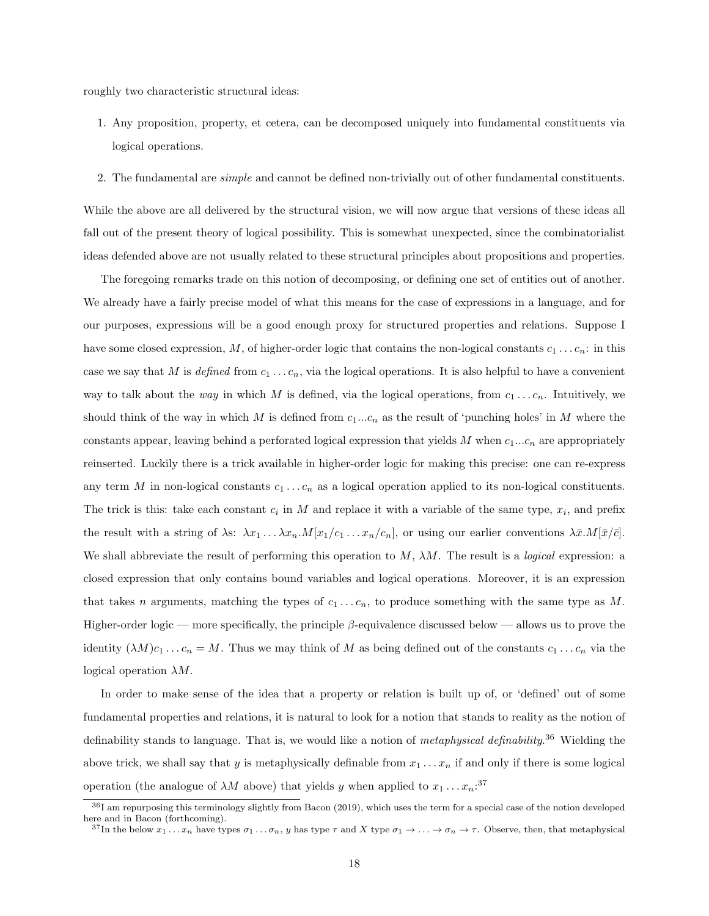roughly two characteristic structural ideas:

- 1. Any proposition, property, et cetera, can be decomposed uniquely into fundamental constituents via logical operations.
- 2. The fundamental are simple and cannot be defined non-trivially out of other fundamental constituents.

While the above are all delivered by the structural vision, we will now argue that versions of these ideas all fall out of the present theory of logical possibility. This is somewhat unexpected, since the combinatorialist ideas defended above are not usually related to these structural principles about propositions and properties.

The foregoing remarks trade on this notion of decomposing, or defining one set of entities out of another. We already have a fairly precise model of what this means for the case of expressions in a language, and for our purposes, expressions will be a good enough proxy for structured properties and relations. Suppose I have some closed expression, M, of higher-order logic that contains the non-logical constants  $c_1 \ldots c_n$ : in this case we say that M is defined from  $c_1 \ldots c_n$ , via the logical operations. It is also helpful to have a convenient way to talk about the way in which M is defined, via the logical operations, from  $c_1 \ldots c_n$ . Intuitively, we should think of the way in which M is defined from  $c_1...c_n$  as the result of 'punching holes' in M where the constants appear, leaving behind a perforated logical expression that yields  $M$  when  $c_1...c_n$  are appropriately reinserted. Luckily there is a trick available in higher-order logic for making this precise: one can re-express any term M in non-logical constants  $c_1 \ldots c_n$  as a logical operation applied to its non-logical constituents. The trick is this: take each constant  $c_i$  in M and replace it with a variable of the same type,  $x_i$ , and prefix the result with a string of  $\lambda$ s:  $\lambda x_1 \ldots \lambda x_n M[x_1/c_1 \ldots x_n/c_n]$ , or using our earlier conventions  $\lambda \bar{x}.M[\bar{x}/\bar{c}]$ . We shall abbreviate the result of performing this operation to  $M$ ,  $\lambda M$ . The result is a *logical* expression: a closed expression that only contains bound variables and logical operations. Moreover, it is an expression that takes n arguments, matching the types of  $c_1 \ldots c_n$ , to produce something with the same type as M. Higher-order logic — more specifically, the principle  $\beta$ -equivalence discussed below — allows us to prove the identity  $(\lambda M)c_1 \ldots c_n = M$ . Thus we may think of M as being defined out of the constants  $c_1 \ldots c_n$  via the logical operation  $\lambda M$ .

In order to make sense of the idea that a property or relation is built up of, or 'defined' out of some fundamental properties and relations, it is natural to look for a notion that stands to reality as the notion of definability stands to language. That is, we would like a notion of *metaphysical definability*.<sup>36</sup> Wielding the above trick, we shall say that y is metaphysically definable from  $x_1 \ldots x_n$  if and only if there is some logical operation (the analogue of  $\lambda M$  above) that yields y when applied to  $x_1 \dots x_n$ <sup>37</sup>

<sup>36</sup>I am repurposing this terminology slightly from Bacon (2019), which uses the term for a special case of the notion developed here and in Bacon (forthcoming).

<sup>&</sup>lt;sup>37</sup>In the below  $x_1 \nvert \nvert x_n$  have types  $\sigma_1 \nvert \nvert x_n$ , y has type  $\tau$  and X type  $\sigma_1 \nvert \nvert x_n \rightarrow \tau$ . Observe, then, that metaphysical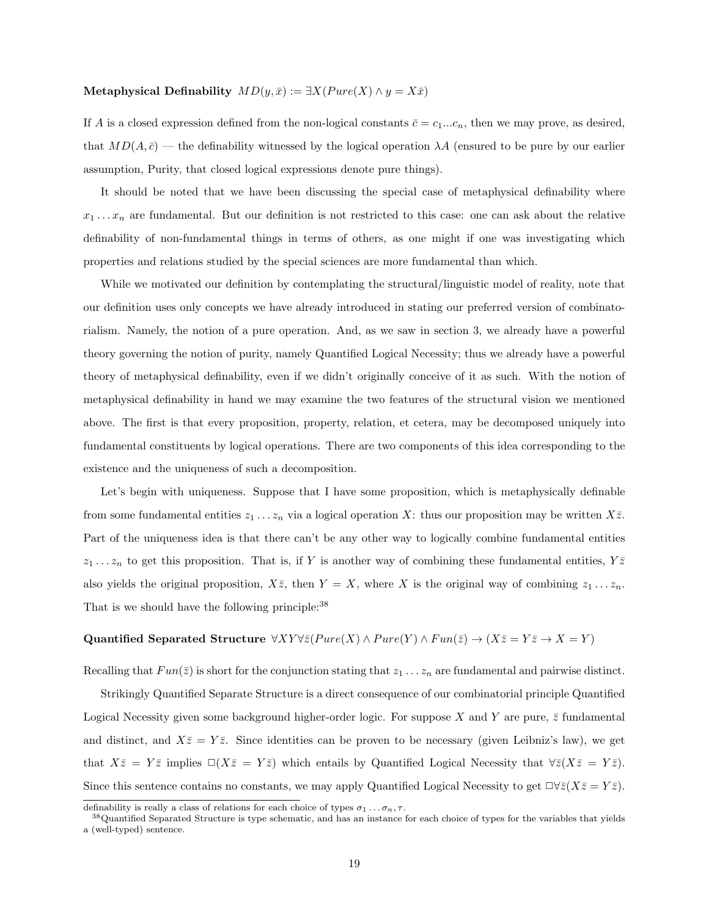#### Metaphysical Definability  $MD(y, \bar{x}) := \exists X (P \text{ure}(X) \land y = X \bar{x})$

If A is a closed expression defined from the non-logical constants  $\bar{c} = c_1...c_n$ , then we may prove, as desired, that  $MD(A, \bar{c})$  — the definability witnessed by the logical operation  $\lambda A$  (ensured to be pure by our earlier assumption, Purity, that closed logical expressions denote pure things).

It should be noted that we have been discussing the special case of metaphysical definability where  $x_1 \ldots x_n$  are fundamental. But our definition is not restricted to this case: one can ask about the relative definability of non-fundamental things in terms of others, as one might if one was investigating which properties and relations studied by the special sciences are more fundamental than which.

While we motivated our definition by contemplating the structural/linguistic model of reality, note that our definition uses only concepts we have already introduced in stating our preferred version of combinatorialism. Namely, the notion of a pure operation. And, as we saw in section 3, we already have a powerful theory governing the notion of purity, namely Quantified Logical Necessity; thus we already have a powerful theory of metaphysical definability, even if we didn't originally conceive of it as such. With the notion of metaphysical definability in hand we may examine the two features of the structural vision we mentioned above. The first is that every proposition, property, relation, et cetera, may be decomposed uniquely into fundamental constituents by logical operations. There are two components of this idea corresponding to the existence and the uniqueness of such a decomposition.

Let's begin with uniqueness. Suppose that I have some proposition, which is metaphysically definable from some fundamental entities  $z_1 \ldots z_n$  via a logical operation X: thus our proposition may be written  $X\overline{z}$ . Part of the uniqueness idea is that there can't be any other way to logically combine fundamental entities  $z_1 \ldots z_n$  to get this proposition. That is, if Y is another way of combining these fundamental entities,  $Y \overline{z}$ also yields the original proposition,  $X\overline{z}$ , then  $Y = X$ , where X is the original way of combining  $z_1 \ldots z_n$ . That is we should have the following principle:  $38$ 

# Quantified Separated Structure  $\forall XY \forall \bar{z} (P \text{ure}(X) \wedge Pure(Y) \wedge Fun(\bar{z}) \rightarrow (X \bar{z} = Y \bar{z} \rightarrow X = Y)$

Recalling that  $Fun(\bar{z})$  is short for the conjunction stating that  $z_1 \ldots z_n$  are fundamental and pairwise distinct.

Strikingly Quantified Separate Structure is a direct consequence of our combinatorial principle Quantified Logical Necessity given some background higher-order logic. For suppose X and Y are pure,  $\bar{z}$  fundamental and distinct, and  $X\overline{z} = Y\overline{z}$ . Since identities can be proven to be necessary (given Leibniz's law), we get that  $X\overline{z} = Y\overline{z}$  implies  $\square(X\overline{z} = Y\overline{z})$  which entails by Quantified Logical Necessity that  $\forall \overline{z}(X\overline{z} = Y\overline{z})$ . Since this sentence contains no constants, we may apply Quantified Logical Necessity to get  $\Box \forall \bar{z}(X\bar{z}=Y\bar{z}).$ 

definability is really a class of relations for each choice of types  $\sigma_1 \dots \sigma_n, \tau$ .

<sup>&</sup>lt;sup>38</sup>Quantified Separated Structure is type schematic, and has an instance for each choice of types for the variables that yields a (well-typed) sentence.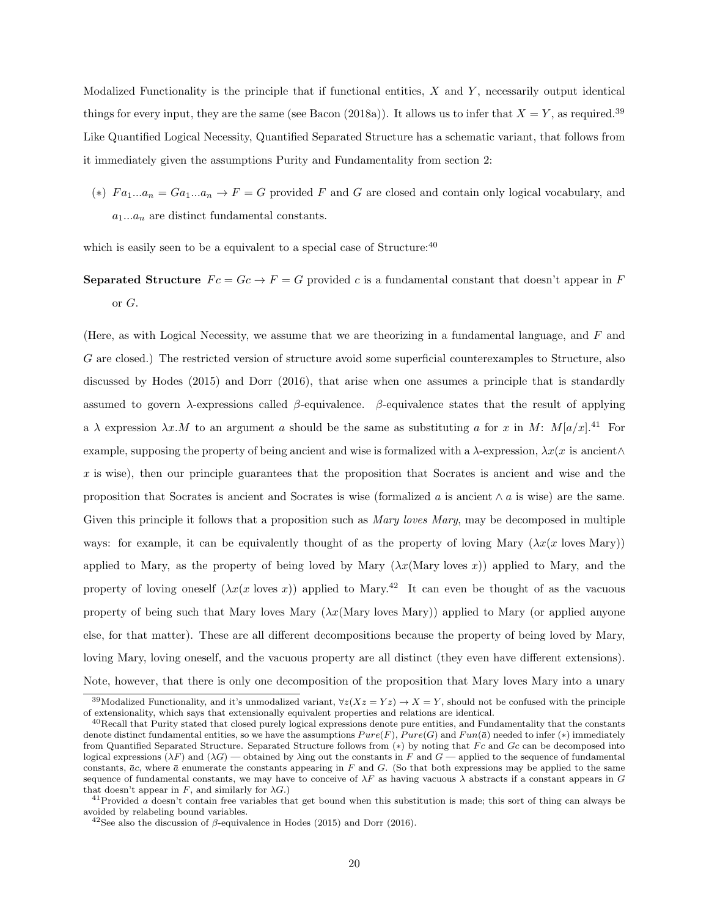Modalized Functionality is the principle that if functional entities,  $X$  and  $Y$ , necessarily output identical things for every input, they are the same (see Bacon (2018a)). It allows us to infer that  $X = Y$ , as required.<sup>39</sup> Like Quantified Logical Necessity, Quantified Separated Structure has a schematic variant, that follows from it immediately given the assumptions Purity and Fundamentality from section 2:

(\*)  $Fa_1...a_n = Ga_1...a_n \rightarrow F = G$  provided F and G are closed and contain only logical vocabulary, and  $a_1...a_n$  are distinct fundamental constants.

which is easily seen to be a equivalent to a special case of Structure: $40$ 

Separated Structure  $Fc = Gc \rightarrow F = G$  provided c is a fundamental constant that doesn't appear in F or G.

(Here, as with Logical Necessity, we assume that we are theorizing in a fundamental language, and F and G are closed.) The restricted version of structure avoid some superficial counterexamples to Structure, also discussed by Hodes (2015) and Dorr (2016), that arise when one assumes a principle that is standardly assumed to govern  $\lambda$ -expressions called  $\beta$ -equivalence.  $\beta$ -equivalence states that the result of applying a  $\lambda$  expression  $\lambda x.M$  to an argument a should be the same as substituting a for x in M:  $M[a/x]$ .<sup>41</sup> For example, supposing the property of being ancient and wise is formalized with a  $\lambda$ -expression,  $\lambda x(x)$  is ancient∧ x is wise), then our principle guarantees that the proposition that Socrates is ancient and wise and the proposition that Socrates is ancient and Socrates is wise (formalized a is ancient  $\wedge$  a is wise) are the same. Given this principle it follows that a proposition such as *Mary loves Mary*, may be decomposed in multiple ways: for example, it can be equivalently thought of as the property of loving Mary  $(\lambda x(x \text{ loves Mary}))$ applied to Mary, as the property of being loved by Mary  $(\lambda x(\text{Mary loves } x))$  applied to Mary, and the property of loving oneself  $(\lambda x(x \text{ loves } x))$  applied to Mary.<sup>42</sup> It can even be thought of as the vacuous property of being such that Mary loves Mary  $(\lambda x(\text{Mary loves Mary}))$  applied to Mary (or applied anyone else, for that matter). These are all different decompositions because the property of being loved by Mary, loving Mary, loving oneself, and the vacuous property are all distinct (they even have different extensions). Note, however, that there is only one decomposition of the proposition that Mary loves Mary into a unary

<sup>&</sup>lt;sup>39</sup>Modalized Functionality, and it's unmodalized variant,  $\forall z(Xz=Yz) \rightarrow X=Y$ , should not be confused with the principle of extensionality, which says that extensionally equivalent properties and relations are identical.

<sup>40</sup>Recall that Purity stated that closed purely logical expressions denote pure entities, and Fundamentality that the constants denote distinct fundamental entities, so we have the assumptions  $Pure(F)$ ,  $Pure(G)$  and  $Fun(\bar{a})$  needed to infer (\*) immediately from Quantified Separated Structure. Separated Structure follows from  $(*)$  by noting that  $Fc$  and  $Gc$  can be decomposed into logical expressions  $(\lambda F)$  and  $(\lambda G)$  — obtained by  $\lambda$ ing out the constants in F and G — applied to the sequence of fundamental constants,  $\bar{a}c$ , where  $\bar{a}$  enumerate the constants appearing in F and G. (So that both expressions may be applied to the same sequence of fundamental constants, we may have to conceive of  $\lambda F$  as having vacuous  $\lambda$  abstracts if a constant appears in G that doesn't appear in F, and similarly for  $\lambda G$ .)

 $^{41}$ Provided a doesn't contain free variables that get bound when this substitution is made; this sort of thing can always be avoided by relabeling bound variables.

 $42$ See also the discussion of  $\beta$ -equivalence in Hodes (2015) and Dorr (2016).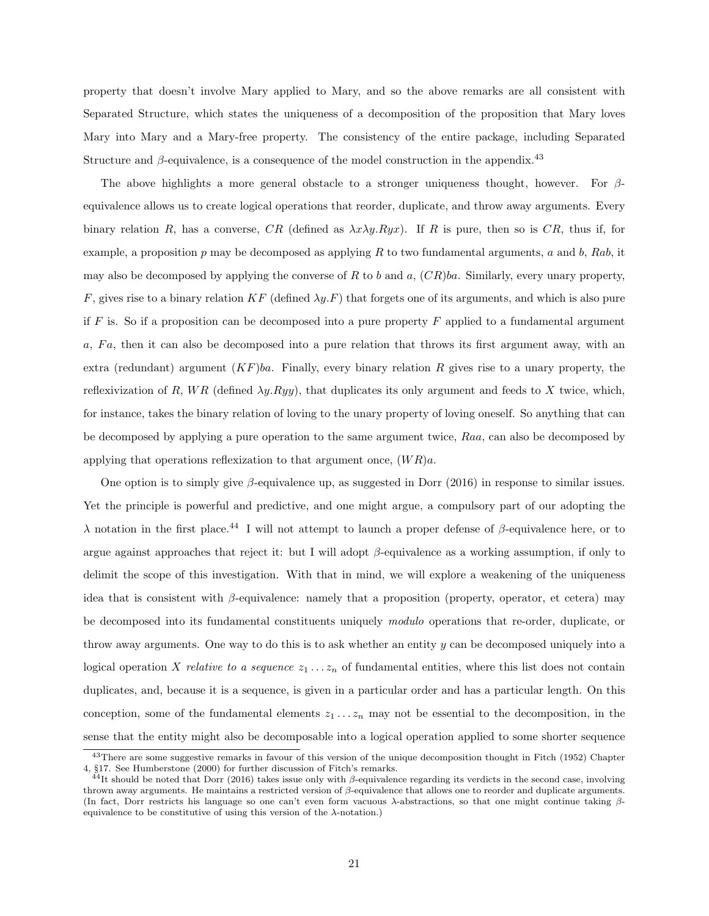property that doesn't involve Mary applied to Mary, and so the above remarks are all consistent with Separated Structure, which states the uniqueness of a decomposition of the proposition that Mary loves Mary into Mary and a Mary-free property. The consistency of the entire package, including Separated Structure and  $\beta$ -equivalence, is a consequence of the model construction in the appendix.<sup>43</sup>

The above highlights a more general obstacle to a stronger uniqueness thought, however. For  $\beta$ equivalence allows us to create logical operations that reorder, duplicate, and throw away arguments. Every binary relation R, has a converse, CR (defined as  $\lambda x \lambda y R y x$ ). If R is pure, then so is CR, thus if, for example, a proposition p may be decomposed as applying R to two fundamental arguments, a and b, Rab, it may also be decomposed by applying the converse of R to b and a,  $(CR)ba$ . Similarly, every unary property, F, gives rise to a binary relation KF (defined  $\lambda y.F$ ) that forgets one of its arguments, and which is also pure if  $F$  is. So if a proposition can be decomposed into a pure property  $F$  applied to a fundamental argument  $a, Fa$ , then it can also be decomposed into a pure relation that throws its first argument away, with an extra (redundant) argument  $(KF)ba$ . Finally, every binary relation R gives rise to a unary property, the reflexivization of R, WR (defined  $\lambda y. Ryy$ ), that duplicates its only argument and feeds to X twice, which, for instance, takes the binary relation of loving to the unary property of loving oneself. So anything that can be decomposed by applying a pure operation to the same argument twice, Raa, can also be decomposed by applying that operations reflexization to that argument once,  $(W R)$ a.

One option is to simply give  $\beta$ -equivalence up, as suggested in Dorr (2016) in response to similar issues. Yet the principle is powerful and predictive, and one might argue, a compulsory part of our adopting the λ notation in the first place.<sup>44</sup> I will not attempt to launch a proper defense of β-equivalence here, or to argue against approaches that reject it: but I will adopt  $\beta$ -equivalence as a working assumption, if only to delimit the scope of this investigation. With that in mind, we will explore a weakening of the uniqueness idea that is consistent with  $\beta$ -equivalence: namely that a proposition (property, operator, et cetera) may be decomposed into its fundamental constituents uniquely modulo operations that re-order, duplicate, or throw away arguments. One way to do this is to ask whether an entity y can be decomposed uniquely into a logical operation X relative to a sequence  $z_1 \ldots z_n$  of fundamental entities, where this list does not contain duplicates, and, because it is a sequence, is given in a particular order and has a particular length. On this conception, some of the fundamental elements  $z_1 \ldots z_n$  may not be essential to the decomposition, in the sense that the entity might also be decomposable into a logical operation applied to some shorter sequence

<sup>&</sup>lt;sup>43</sup>There are some suggestive remarks in favour of this version of the unique decomposition thought in Fitch (1952) Chapter 4, §17. See Humberstone (2000) for further discussion of Fitch's remarks.

 $^{44}$ It should be noted that Dorr (2016) takes issue only with β-equivalence regarding its verdicts in the second case, involving thrown away arguments. He maintains a restricted version of  $β$ -equivalence that allows one to reorder and duplicate arguments. (In fact, Dorr restricts his language so one can't even form vacuous λ-abstractions, so that one might continue taking βequivalence to be constitutive of using this version of the  $\lambda$ -notation.)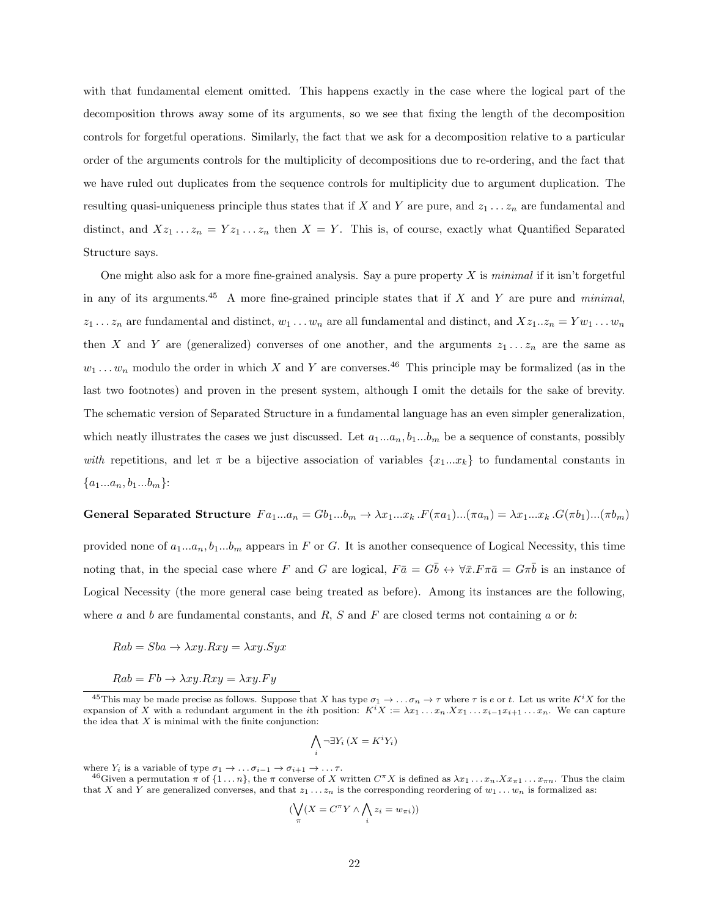with that fundamental element omitted. This happens exactly in the case where the logical part of the decomposition throws away some of its arguments, so we see that fixing the length of the decomposition controls for forgetful operations. Similarly, the fact that we ask for a decomposition relative to a particular order of the arguments controls for the multiplicity of decompositions due to re-ordering, and the fact that we have ruled out duplicates from the sequence controls for multiplicity due to argument duplication. The resulting quasi-uniqueness principle thus states that if X and Y are pure, and  $z_1 \ldots z_n$  are fundamental and distinct, and  $Xz_1 \ldots z_n = Yz_1 \ldots z_n$  then  $X = Y$ . This is, of course, exactly what Quantified Separated Structure says.

One might also ask for a more fine-grained analysis. Say a pure property X is minimal if it isn't forgetful in any of its arguments.<sup>45</sup> A more fine-grained principle states that if X and Y are pure and *minimal*,  $z_1 \ldots z_n$  are fundamental and distinct,  $w_1 \ldots w_n$  are all fundamental and distinct, and  $Xz_1 \ldots z_n = Yw_1 \ldots w_n$ then X and Y are (generalized) converses of one another, and the arguments  $z_1 \ldots z_n$  are the same as  $w_1 \ldots w_n$  modulo the order in which X and Y are converses.<sup>46</sup> This principle may be formalized (as in the last two footnotes) and proven in the present system, although I omit the details for the sake of brevity. The schematic version of Separated Structure in a fundamental language has an even simpler generalization, which neatly illustrates the cases we just discussed. Let  $a_1...a_n$ ,  $b_1...b_m$  be a sequence of constants, possibly with repetitions, and let  $\pi$  be a bijective association of variables  $\{x_1...x_k\}$  to fundamental constants in  ${a_1...a_n, b_1...b_m}$ :

General Separated Structure  $Fa_1...a_n = Gb_1...b_m \rightarrow \lambda x_1...x_k$ .  $F(\pi a_1)...(\pi a_n) = \lambda x_1...x_k$ .  $G(\pi b_1)...(\pi b_m)$ 

provided none of  $a_1...a_n$ ,  $b_1...b_m$  appears in F or G. It is another consequence of Logical Necessity, this time noting that, in the special case where F and G are logical,  $F\bar{a} = G\bar{b} \leftrightarrow \forall \bar{x}.F\pi\bar{a} = G\pi\bar{b}$  is an instance of Logical Necessity (the more general case being treated as before). Among its instances are the following, where a and b are fundamental constants, and  $R$ ,  $S$  and  $F$  are closed terms not containing  $a$  or  $b$ :

$$
Rab = Sba \rightarrow \lambda xy.Rxy = \lambda xy.Syx
$$

$$
Rab = Fb \rightarrow \lambda xy.Rxy = \lambda xy.Fy
$$

$$
\bigwedge_i \neg \exists Y_i \, (X = K^i Y_i)
$$

where  $Y_i$  is a variable of type  $\sigma_1 \to \ldots \sigma_{i-1} \to \sigma_{i+1} \to \ldots \tau$ .

$$
(\bigvee_{\pi} (X = C^{\pi} Y \wedge \bigwedge_{i} z_{i} = w_{\pi i}))
$$

<sup>&</sup>lt;sup>45</sup>This may be made precise as follows. Suppose that X has type  $\sigma_1 \to \ldots \sigma_n \to \tau$  where  $\tau$  is  $e$  or t. Let us write  $K^i X$  for the expansion of X with a redundant argument in the *i*th position:  $K^{i}X := \lambda x_1 \dots x_n X x_1 \dots x_{i-1} x_{i+1} \dots x_n$ . We can capture the idea that  $X$  is minimal with the finite conjunction:

<sup>&</sup>lt;sup>46</sup>Given a permutation  $\pi$  of  $\{1 \dots n\}$ , the  $\pi$  converse of X written  $C^{\pi}X$  is defined as  $\lambda x_1 \dots x_n$ .  $x_{\pi 1} \dots x_{\pi n}$ . Thus the claim that X and Y are generalized converses, and that  $z_1 \ldots z_n$  is the corresponding reordering of  $w_1 \ldots w_n$  is formalized as: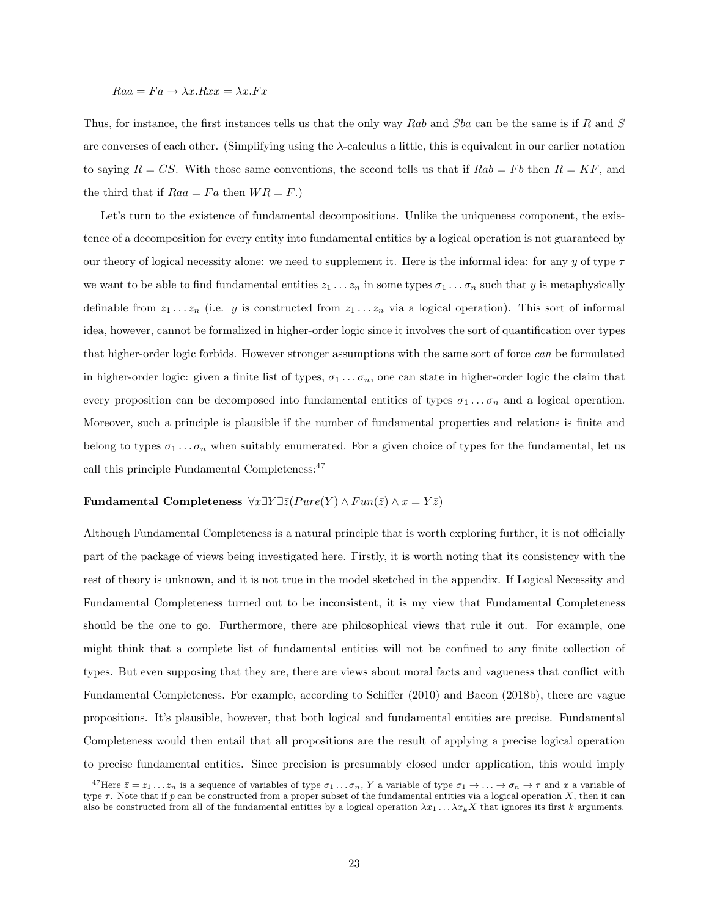#### $Raa = Fa \rightarrow \lambda x.Rxx = \lambda x.Fx$

Thus, for instance, the first instances tells us that the only way Rab and Sba can be the same is if R and S are converses of each other. (Simplifying using the  $\lambda$ -calculus a little, this is equivalent in our earlier notation to saying  $R = CS$ . With those same conventions, the second tells us that if  $Rab = Fb$  then  $R = KF$ , and the third that if  $Raa = Fa$  then  $WR = F$ .)

Let's turn to the existence of fundamental decompositions. Unlike the uniqueness component, the existence of a decomposition for every entity into fundamental entities by a logical operation is not guaranteed by our theory of logical necessity alone: we need to supplement it. Here is the informal idea: for any y of type  $\tau$ we want to be able to find fundamental entities  $z_1 \ldots z_n$  in some types  $\sigma_1 \ldots \sigma_n$  such that y is metaphysically definable from  $z_1 \ldots z_n$  (i.e. y is constructed from  $z_1 \ldots z_n$  via a logical operation). This sort of informal idea, however, cannot be formalized in higher-order logic since it involves the sort of quantification over types that higher-order logic forbids. However stronger assumptions with the same sort of force can be formulated in higher-order logic: given a finite list of types,  $\sigma_1 \ldots \sigma_n$ , one can state in higher-order logic the claim that every proposition can be decomposed into fundamental entities of types  $\sigma_1 \dots \sigma_n$  and a logical operation. Moreover, such a principle is plausible if the number of fundamental properties and relations is finite and belong to types  $\sigma_1 \ldots \sigma_n$  when suitably enumerated. For a given choice of types for the fundamental, let us call this principle Fundamental Completeness:  $47$ 

#### Fundamental Completeness  $\forall x \exists Y \exists \bar{z} (P \text{ure}(Y) \land Fun(\bar{z}) \land x = Y \bar{z})$

Although Fundamental Completeness is a natural principle that is worth exploring further, it is not officially part of the package of views being investigated here. Firstly, it is worth noting that its consistency with the rest of theory is unknown, and it is not true in the model sketched in the appendix. If Logical Necessity and Fundamental Completeness turned out to be inconsistent, it is my view that Fundamental Completeness should be the one to go. Furthermore, there are philosophical views that rule it out. For example, one might think that a complete list of fundamental entities will not be confined to any finite collection of types. But even supposing that they are, there are views about moral facts and vagueness that conflict with Fundamental Completeness. For example, according to Schiffer (2010) and Bacon (2018b), there are vague propositions. It's plausible, however, that both logical and fundamental entities are precise. Fundamental Completeness would then entail that all propositions are the result of applying a precise logical operation to precise fundamental entities. Since precision is presumably closed under application, this would imply

<sup>&</sup>lt;sup>47</sup>Here  $\bar{z} = z_1 \ldots z_n$  is a sequence of variables of type  $\sigma_1 \ldots \sigma_n$ , Y a variable of type  $\sigma_1 \rightarrow \ldots \rightarrow \sigma_n \rightarrow \tau$  and x a variable of type  $\tau$ . Note that if p can be constructed from a proper subset of the fundamental entities via a logical operation X, then it can also be constructed from all of the fundamental entities by a logical operation  $\lambda x_1 \ldots \lambda x_k X$  that ignores its first k arguments.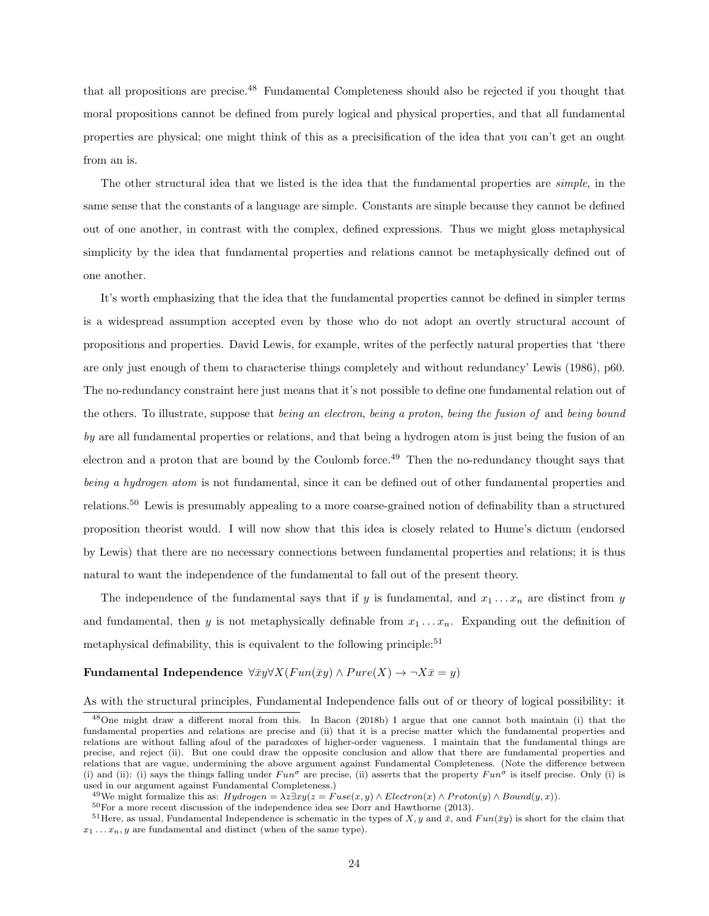that all propositions are precise.<sup>48</sup> Fundamental Completeness should also be rejected if you thought that moral propositions cannot be defined from purely logical and physical properties, and that all fundamental properties are physical; one might think of this as a precisification of the idea that you can't get an ought from an is.

The other structural idea that we listed is the idea that the fundamental properties are *simple*, in the same sense that the constants of a language are simple. Constants are simple because they cannot be defined out of one another, in contrast with the complex, defined expressions. Thus we might gloss metaphysical simplicity by the idea that fundamental properties and relations cannot be metaphysically defined out of one another.

It's worth emphasizing that the idea that the fundamental properties cannot be defined in simpler terms is a widespread assumption accepted even by those who do not adopt an overtly structural account of propositions and properties. David Lewis, for example, writes of the perfectly natural properties that 'there are only just enough of them to characterise things completely and without redundancy' Lewis (1986), p60. The no-redundancy constraint here just means that it's not possible to define one fundamental relation out of the others. To illustrate, suppose that being an electron, being a proton, being the fusion of and being bound by are all fundamental properties or relations, and that being a hydrogen atom is just being the fusion of an electron and a proton that are bound by the Coulomb force.<sup>49</sup> Then the no-redundancy thought says that being a hydrogen atom is not fundamental, since it can be defined out of other fundamental properties and relations.<sup>50</sup> Lewis is presumably appealing to a more coarse-grained notion of definability than a structured proposition theorist would. I will now show that this idea is closely related to Hume's dictum (endorsed by Lewis) that there are no necessary connections between fundamental properties and relations; it is thus natural to want the independence of the fundamental to fall out of the present theory.

The independence of the fundamental says that if y is fundamental, and  $x_1 \ldots x_n$  are distinct from y and fundamental, then y is not metaphysically definable from  $x_1 \ldots x_n$ . Expanding out the definition of metaphysical definability, this is equivalent to the following principle: $51$ 

#### Fundamental Independence  $\forall \bar{x}y \forall X (Fun(\bar{x}y) \land Pure(X) \rightarrow \neg X \bar{x} = y)$

As with the structural principles, Fundamental Independence falls out of or theory of logical possibility: it

<sup>48</sup>One might draw a different moral from this. In Bacon (2018b) I argue that one cannot both maintain (i) that the fundamental properties and relations are precise and (ii) that it is a precise matter which the fundamental properties and relations are without falling afoul of the paradoxes of higher-order vagueness. I maintain that the fundamental things are precise, and reject (ii). But one could draw the opposite conclusion and allow that there are fundamental properties and relations that are vague, undermining the above argument against Fundamental Completeness. (Note the difference between (i) and (ii): (i) says the things falling under  $Fun^{\sigma}$  are precise, (ii) asserts that the property  $Fun^{\sigma}$  is itself precise. Only (i) is used in our argument against Fundamental Completeness.)

<sup>&</sup>lt;sup>49</sup>We might formalize this as:  $Hydrogen = \lambda z \exists xy (z = Fuse(x, y) \wedge Electron(x) \wedge Proton(y) \wedge Bound(y, x)).$ 

<sup>50</sup>For a more recent discussion of the independence idea see Dorr and Hawthorne (2013).

<sup>&</sup>lt;sup>51</sup>Here, as usual, Fundamental Independence is schematic in the types of X, y and  $\bar{x}$ , and  $Fun(\bar{xy})$  is short for the claim that  $x_1 \ldots x_n$ , y are fundamental and distinct (when of the same type).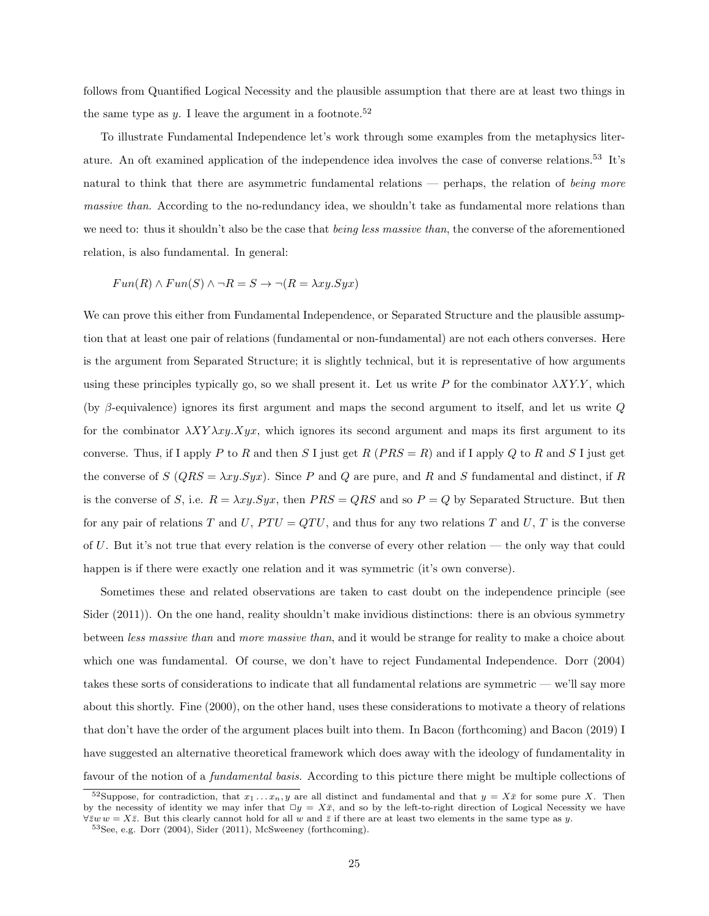follows from Quantified Logical Necessity and the plausible assumption that there are at least two things in the same type as y. I leave the argument in a footnote.<sup>52</sup>

To illustrate Fundamental Independence let's work through some examples from the metaphysics literature. An oft examined application of the independence idea involves the case of converse relations.<sup>53</sup> It's natural to think that there are asymmetric fundamental relations — perhaps, the relation of being more massive than. According to the no-redundancy idea, we shouldn't take as fundamental more relations than we need to: thus it shouldn't also be the case that *being less massive than*, the converse of the aforementioned relation, is also fundamental. In general:

$$
Fun(R) \wedge Fun(S) \wedge \neg R = S \rightarrow \neg (R = \lambda xy. Syx)
$$

We can prove this either from Fundamental Independence, or Separated Structure and the plausible assumption that at least one pair of relations (fundamental or non-fundamental) are not each others converses. Here is the argument from Separated Structure; it is slightly technical, but it is representative of how arguments using these principles typically go, so we shall present it. Let us write P for the combinator  $\lambda XY.Y$ , which (by  $\beta$ -equivalence) ignores its first argument and maps the second argument to itself, and let us write Q for the combinator  $\lambda XY\lambda xy. Xyx$ , which ignores its second argument and maps its first argument to its converse. Thus, if I apply P to R and then S I just get R ( $PRS = R$ ) and if I apply Q to R and S I just get the converse of S ( $QRS = \lambda xy.Syx$ ). Since P and Q are pure, and R and S fundamental and distinct, if R is the converse of S, i.e.  $R = \lambda xy.Syx$ , then  $PRS = QRS$  and so  $P = Q$  by Separated Structure. But then for any pair of relations T and U,  $PTU = QTU$ , and thus for any two relations T and U, T is the converse of U. But it's not true that every relation is the converse of every other relation — the only way that could happen is if there were exactly one relation and it was symmetric (it's own converse).

Sometimes these and related observations are taken to cast doubt on the independence principle (see Sider (2011)). On the one hand, reality shouldn't make invidious distinctions: there is an obvious symmetry between less massive than and more massive than, and it would be strange for reality to make a choice about which one was fundamental. Of course, we don't have to reject Fundamental Independence. Dorr (2004) takes these sorts of considerations to indicate that all fundamental relations are symmetric — we'll say more about this shortly. Fine (2000), on the other hand, uses these considerations to motivate a theory of relations that don't have the order of the argument places built into them. In Bacon (forthcoming) and Bacon (2019) I have suggested an alternative theoretical framework which does away with the ideology of fundamentality in favour of the notion of a fundamental basis. According to this picture there might be multiple collections of

<sup>&</sup>lt;sup>52</sup>Suppose, for contradiction, that  $x_1 \ldots x_n$ , y are all distinct and fundamental and that  $y = X\bar{x}$  for some pure X. Then by the necessity of identity we may infer that  $\Box y = X\bar{x}$ , and so by the left-to-right direction of Logical Necessity we have  $\forall \bar{z}w w = X\bar{z}$ . But this clearly cannot hold for all w and  $\bar{z}$  if there are at least two elements in the same type as y.

 $^{53}\mathrm{See},$ e.g. Dorr (2004), Sider (2011), McSweeney (forthcoming).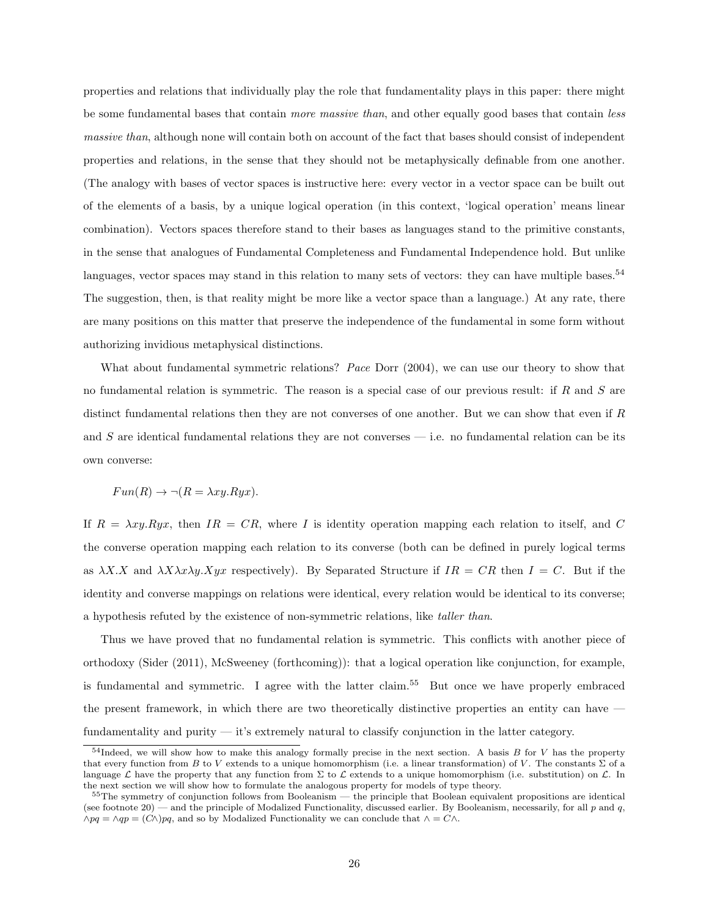properties and relations that individually play the role that fundamentality plays in this paper: there might be some fundamental bases that contain more massive than, and other equally good bases that contain less massive than, although none will contain both on account of the fact that bases should consist of independent properties and relations, in the sense that they should not be metaphysically definable from one another. (The analogy with bases of vector spaces is instructive here: every vector in a vector space can be built out of the elements of a basis, by a unique logical operation (in this context, 'logical operation' means linear combination). Vectors spaces therefore stand to their bases as languages stand to the primitive constants, in the sense that analogues of Fundamental Completeness and Fundamental Independence hold. But unlike languages, vector spaces may stand in this relation to many sets of vectors: they can have multiple bases.<sup>54</sup> The suggestion, then, is that reality might be more like a vector space than a language.) At any rate, there are many positions on this matter that preserve the independence of the fundamental in some form without authorizing invidious metaphysical distinctions.

What about fundamental symmetric relations? Pace Dorr (2004), we can use our theory to show that no fundamental relation is symmetric. The reason is a special case of our previous result: if  $R$  and  $S$  are distinct fundamental relations then they are not converses of one another. But we can show that even if R and S are identical fundamental relations they are not converses  $-$  i.e. no fundamental relation can be its own converse:

$$
Fun(R) \to \neg (R = \lambda xy.Ryx).
$$

If  $R = \lambda xy.Ryx$ , then  $IR = CR$ , where I is identity operation mapping each relation to itself, and C the converse operation mapping each relation to its converse (both can be defined in purely logical terms as  $\lambda X.X$  and  $\lambda X\lambda x\lambda y.Xyx$  respectively). By Separated Structure if  $IR = CR$  then  $I = C$ . But if the identity and converse mappings on relations were identical, every relation would be identical to its converse; a hypothesis refuted by the existence of non-symmetric relations, like taller than.

Thus we have proved that no fundamental relation is symmetric. This conflicts with another piece of orthodoxy (Sider (2011), McSweeney (forthcoming)): that a logical operation like conjunction, for example, is fundamental and symmetric. I agree with the latter claim.<sup>55</sup> But once we have properly embraced the present framework, in which there are two theoretically distinctive properties an entity can have fundamentality and purity — it's extremely natural to classify conjunction in the latter category.

 $54$ Indeed, we will show how to make this analogy formally precise in the next section. A basis B for V has the property that every function from B to V extends to a unique homomorphism (i.e. a linear transformation) of V. The constants  $\Sigma$  of a language  $\mathcal L$  have the property that any function from  $\Sigma$  to  $\mathcal L$  extends to a unique homomorphism (i.e. substitution) on  $\mathcal L$ . In the next section we will show how to formulate the analogous property for models of type theory.

<sup>&</sup>lt;sup>55</sup>The symmetry of conjunction follows from Booleanism — the principle that Boolean equivalent propositions are identical (see footnote 20) — and the principle of Modalized Functionality, discussed earlier. By Booleanism, necessarily, for all  $p$  and  $q$ ,  $\wedge pq = \wedge qp = (C\wedge) pq$ , and so by Modalized Functionality we can conclude that  $\wedge = C\wedge$ .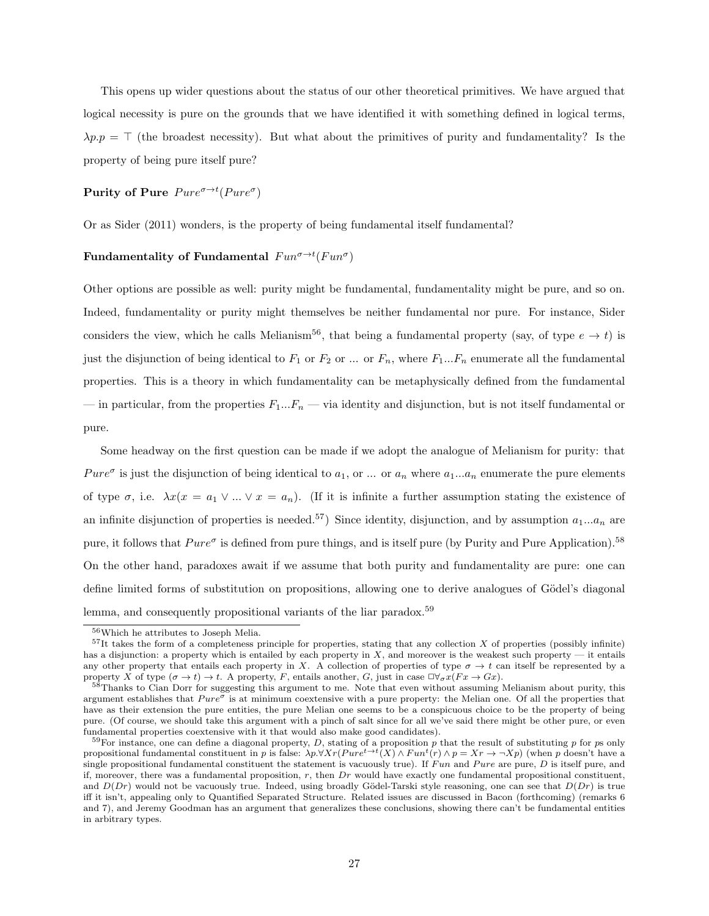This opens up wider questions about the status of our other theoretical primitives. We have argued that logical necessity is pure on the grounds that we have identified it with something defined in logical terms,  $\lambda p.p = \top$  (the broadest necessity). But what about the primitives of purity and fundamentality? Is the property of being pure itself pure?

#### Purity of Pure  $Pure^{\sigma\rightarrow t}(Pure^{\sigma})$

Or as Sider (2011) wonders, is the property of being fundamental itself fundamental?

#### Fundamentality of Fundamental  $\text{Fun}^{\sigma \to t}(\text{Fun}^{\sigma})$

Other options are possible as well: purity might be fundamental, fundamentality might be pure, and so on. Indeed, fundamentality or purity might themselves be neither fundamental nor pure. For instance, Sider considers the view, which he calls Melianism<sup>56</sup>, that being a fundamental property (say, of type  $e \to t$ ) is just the disjunction of being identical to  $F_1$  or  $F_2$  or ... or  $F_n$ , where  $F_1...F_n$  enumerate all the fundamental properties. This is a theory in which fundamentality can be metaphysically defined from the fundamental — in particular, from the properties  $F_1...F_n$  — via identity and disjunction, but is not itself fundamental or pure.

Some headway on the first question can be made if we adopt the analogue of Melianism for purity: that Pure<sup> $\sigma$ </sup> is just the disjunction of being identical to  $a_1$ , or ... or  $a_n$  where  $a_1...a_n$  enumerate the pure elements of type  $\sigma$ , i.e.  $\lambda x(x = a_1 \vee ... \vee x = a_n)$ . (If it is infinite a further assumption stating the existence of an infinite disjunction of properties is needed.<sup>57</sup>) Since identity, disjunction, and by assumption  $a_1...a_n$  are pure, it follows that  $Pure^{\sigma}$  is defined from pure things, and is itself pure (by Purity and Pure Application).<sup>58</sup> On the other hand, paradoxes await if we assume that both purity and fundamentality are pure: one can define limited forms of substitution on propositions, allowing one to derive analogues of Gödel's diagonal lemma, and consequently propositional variants of the liar paradox.<sup>59</sup>

<sup>56</sup>Which he attributes to Joseph Melia.

 $57$ It takes the form of a completeness principle for properties, stating that any collection X of properties (possibly infinite) has a disjunction: a property which is entailed by each property in  $X$ , and moreover is the weakest such property — it entails any other property that entails each property in X. A collection of properties of type  $\sigma \to t$  can itself be represented by a property X of type  $(\sigma \to t) \to t$ . A property, F, entails another, G, just in case  $\Box \forall_{\sigma} x(Fx \to Gx)$ .

<sup>&</sup>lt;sup>58</sup>Thanks to Cian Dorr for suggesting this argument to me. Note that even without assuming Melianism about purity, this argument establishes that  $Pure^{\sigma}$  is at minimum coextensive with a pure property: the Melian one. Of all the properties that have as their extension the pure entities, the pure Melian one seems to be a conspicuous choice to be the property of being pure. (Of course, we should take this argument with a pinch of salt since for all we've said there might be other pure, or even fundamental properties coextensive with it that would also make good candidates).

 $59$ For instance, one can define a diagonal property, D, stating of a proposition p that the result of substituting p for ps only propositional fundamental constituent in p is false:  $\lambda p \cdot \forall X r (Pure^{t\rightarrow t}(X) \wedge Fun^{t}(r) \wedge p = Xr \rightarrow \neg Xp)$  (when p doesn't have a single propositional fundamental constituent the statement is vacuously true). If Fun and Pure are pure, D is itself pure, and if, moreover, there was a fundamental proposition,  $r$ , then  $Dr$  would have exactly one fundamental propositional constituent, and  $D(Dr)$  would not be vacuously true. Indeed, using broadly Gödel-Tarski style reasoning, one can see that  $D(Dr)$  is true iff it isn't, appealing only to Quantified Separated Structure. Related issues are discussed in Bacon (forthcoming) (remarks 6 and 7), and Jeremy Goodman has an argument that generalizes these conclusions, showing there can't be fundamental entities in arbitrary types.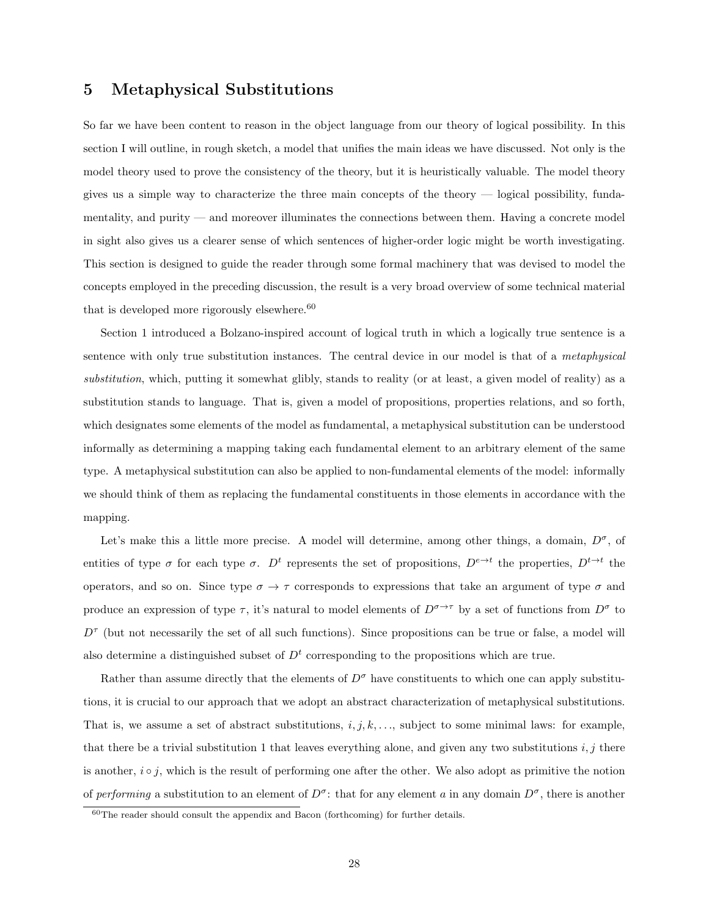### 5 Metaphysical Substitutions

So far we have been content to reason in the object language from our theory of logical possibility. In this section I will outline, in rough sketch, a model that unifies the main ideas we have discussed. Not only is the model theory used to prove the consistency of the theory, but it is heuristically valuable. The model theory gives us a simple way to characterize the three main concepts of the theory — logical possibility, fundamentality, and purity — and moreover illuminates the connections between them. Having a concrete model in sight also gives us a clearer sense of which sentences of higher-order logic might be worth investigating. This section is designed to guide the reader through some formal machinery that was devised to model the concepts employed in the preceding discussion, the result is a very broad overview of some technical material that is developed more rigorously elsewhere.  $\!60}$ 

Section 1 introduced a Bolzano-inspired account of logical truth in which a logically true sentence is a sentence with only true substitution instances. The central device in our model is that of a metaphysical substitution, which, putting it somewhat glibly, stands to reality (or at least, a given model of reality) as a substitution stands to language. That is, given a model of propositions, properties relations, and so forth, which designates some elements of the model as fundamental, a metaphysical substitution can be understood informally as determining a mapping taking each fundamental element to an arbitrary element of the same type. A metaphysical substitution can also be applied to non-fundamental elements of the model: informally we should think of them as replacing the fundamental constituents in those elements in accordance with the mapping.

Let's make this a little more precise. A model will determine, among other things, a domain,  $D^{\sigma}$ , of entities of type  $\sigma$  for each type  $\sigma$ .  $D^t$  represents the set of propositions,  $D^{e\to t}$  the properties,  $D^{t\to t}$  the operators, and so on. Since type  $\sigma \to \tau$  corresponds to expressions that take an argument of type  $\sigma$  and produce an expression of type  $\tau$ , it's natural to model elements of  $D^{\sigma \to \tau}$  by a set of functions from  $D^{\sigma}$  to  $D^{\tau}$  (but not necessarily the set of all such functions). Since propositions can be true or false, a model will also determine a distinguished subset of  $D<sup>t</sup>$  corresponding to the propositions which are true.

Rather than assume directly that the elements of  $D^{\sigma}$  have constituents to which one can apply substitutions, it is crucial to our approach that we adopt an abstract characterization of metaphysical substitutions. That is, we assume a set of abstract substitutions,  $i, j, k, \ldots$ , subject to some minimal laws: for example, that there be a trivial substitution 1 that leaves everything alone, and given any two substitutions  $i, j$  there is another,  $i \circ j$ , which is the result of performing one after the other. We also adopt as primitive the notion of performing a substitution to an element of  $D^{\sigma}$ : that for any element a in any domain  $D^{\sigma}$ , there is another

<sup>60</sup>The reader should consult the appendix and Bacon (forthcoming) for further details.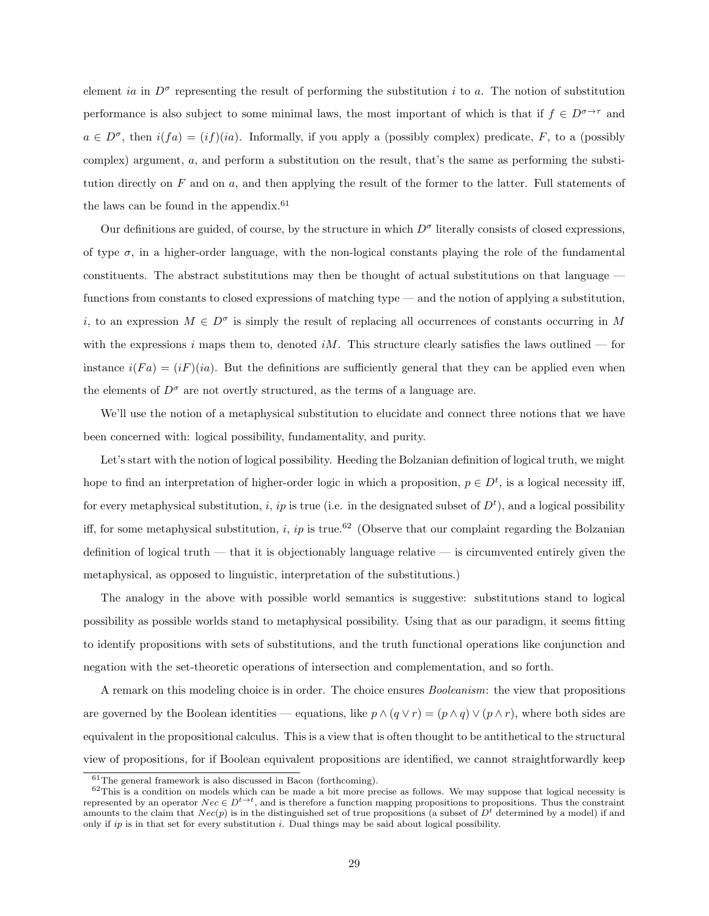element ia in  $D^{\sigma}$  representing the result of performing the substitution i to a. The notion of substitution performance is also subject to some minimal laws, the most important of which is that if  $f \in D^{\sigma \to \tau}$  and  $a \in D^{\sigma}$ , then  $i(fa) = (if)(ia)$ . Informally, if you apply a (possibly complex) predicate, F, to a (possibly complex) argument, a, and perform a substitution on the result, that's the same as performing the substitution directly on  $F$  and on  $a$ , and then applying the result of the former to the latter. Full statements of the laws can be found in the appendix.<sup>61</sup>

Our definitions are guided, of course, by the structure in which  $D^{\sigma}$  literally consists of closed expressions, of type  $\sigma$ , in a higher-order language, with the non-logical constants playing the role of the fundamental constituents. The abstract substitutions may then be thought of actual substitutions on that language functions from constants to closed expressions of matching type — and the notion of applying a substitution, i, to an expression  $M \in D^{\sigma}$  is simply the result of replacing all occurrences of constants occurring in M with the expressions i maps them to, denoted iM. This structure clearly satisfies the laws outlined — for instance  $i(Fa) = (iF)(ia)$ . But the definitions are sufficiently general that they can be applied even when the elements of  $D^{\sigma}$  are not overtly structured, as the terms of a language are.

We'll use the notion of a metaphysical substitution to elucidate and connect three notions that we have been concerned with: logical possibility, fundamentality, and purity.

Let's start with the notion of logical possibility. Heeding the Bolzanian definition of logical truth, we might hope to find an interpretation of higher-order logic in which a proposition,  $p \in D^t$ , is a logical necessity iff, for every metaphysical substitution, i, ip is true (i.e. in the designated subset of  $D^t$ ), and a logical possibility iff, for some metaphysical substitution, i, ip is true.<sup>62</sup> (Observe that our complaint regarding the Bolzanian definition of logical truth — that it is objectionably language relative — is circumvented entirely given the metaphysical, as opposed to linguistic, interpretation of the substitutions.)

The analogy in the above with possible world semantics is suggestive: substitutions stand to logical possibility as possible worlds stand to metaphysical possibility. Using that as our paradigm, it seems fitting to identify propositions with sets of substitutions, and the truth functional operations like conjunction and negation with the set-theoretic operations of intersection and complementation, and so forth.

A remark on this modeling choice is in order. The choice ensures Booleanism: the view that propositions are governed by the Boolean identities — equations, like  $p \wedge (q \vee r) = (p \wedge q) \vee (p \wedge r)$ , where both sides are equivalent in the propositional calculus. This is a view that is often thought to be antithetical to the structural view of propositions, for if Boolean equivalent propositions are identified, we cannot straightforwardly keep

 $61$ The general framework is also discussed in Bacon (forthcoming).

 $62$ This is a condition on models which can be made a bit more precise as follows. We may suppose that logical necessity is represented by an operator  $Nec \in D^{t\to t}$ , and is therefore a function mapping propositions to propositions. Thus the constraint amounts to the claim that  $Nec(p)$  is in the distinguished set of true propositions (a subset of  $D<sup>t</sup>$  determined by a model) if and only if  $ip$  is in that set for every substitution i. Dual things may be said about logical possibility.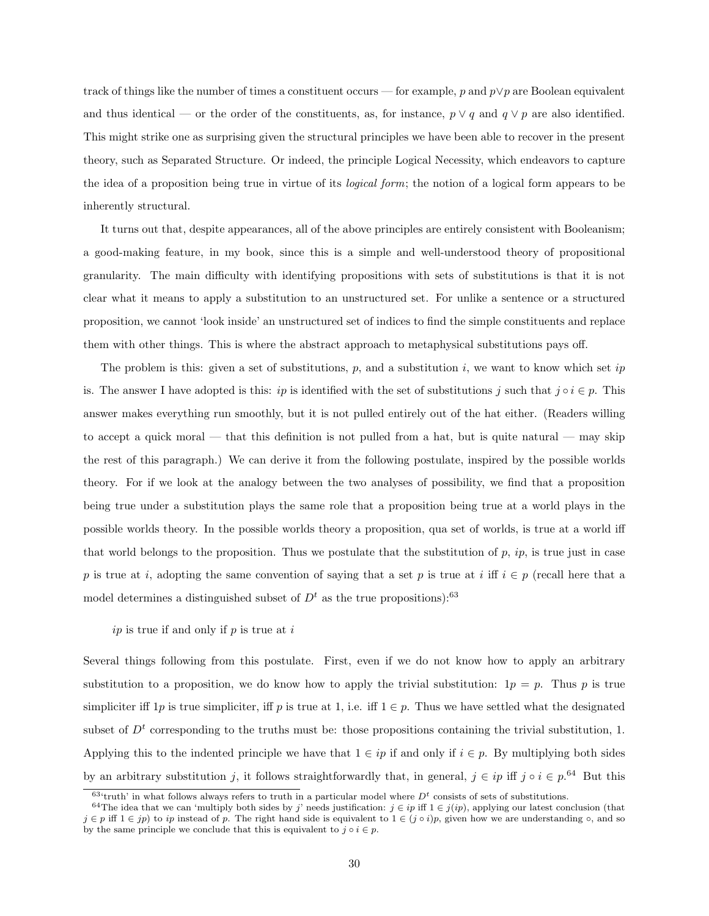track of things like the number of times a constituent occurs — for example, p and  $p \vee p$  are Boolean equivalent and thus identical — or the order of the constituents, as, for instance,  $p \lor q$  and  $q \lor p$  are also identified. This might strike one as surprising given the structural principles we have been able to recover in the present theory, such as Separated Structure. Or indeed, the principle Logical Necessity, which endeavors to capture the idea of a proposition being true in virtue of its logical form; the notion of a logical form appears to be inherently structural.

It turns out that, despite appearances, all of the above principles are entirely consistent with Booleanism; a good-making feature, in my book, since this is a simple and well-understood theory of propositional granularity. The main difficulty with identifying propositions with sets of substitutions is that it is not clear what it means to apply a substitution to an unstructured set. For unlike a sentence or a structured proposition, we cannot 'look inside' an unstructured set of indices to find the simple constituents and replace them with other things. This is where the abstract approach to metaphysical substitutions pays off.

The problem is this: given a set of substitutions,  $p$ , and a substitution i, we want to know which set ip is. The answer I have adopted is this: ip is identified with the set of substitutions j such that  $j \circ i \in p$ . This answer makes everything run smoothly, but it is not pulled entirely out of the hat either. (Readers willing to accept a quick moral — that this definition is not pulled from a hat, but is quite natural — may skip the rest of this paragraph.) We can derive it from the following postulate, inspired by the possible worlds theory. For if we look at the analogy between the two analyses of possibility, we find that a proposition being true under a substitution plays the same role that a proposition being true at a world plays in the possible worlds theory. In the possible worlds theory a proposition, qua set of worlds, is true at a world iff that world belongs to the proposition. Thus we postulate that the substitution of  $p$ ,  $ip$ , is true just in case p is true at i, adopting the same convention of saying that a set p is true at i iff  $i \in p$  (recall here that a model determines a distinguished subset of  $D<sup>t</sup>$  as the true propositions):<sup>63</sup>

#### $ip$  is true if and only if  $p$  is true at  $i$

Several things following from this postulate. First, even if we do not know how to apply an arbitrary substitution to a proposition, we do know how to apply the trivial substitution:  $1p = p$ . Thus p is true simpliciter iff 1p is true simpliciter, iff p is true at 1, i.e. iff  $1 \in p$ . Thus we have settled what the designated subset of  $D<sup>t</sup>$  corresponding to the truths must be: those propositions containing the trivial substitution, 1. Applying this to the indented principle we have that  $1 \in ip$  if and only if  $i \in p$ . By multiplying both sides by an arbitrary substitution j, it follows straightforwardly that, in general,  $j \in ip$  iff  $j \circ i \in p^{.64}$  But this

 $63$ 'truth' in what follows always refers to truth in a particular model where  $D<sup>t</sup>$  consists of sets of substitutions.

<sup>&</sup>lt;sup>64</sup>The idea that we can 'multiply both sides by j' needs justification:  $j \in ip$  iff  $1 \in j(ip)$ , applying our latest conclusion (that  $j \in p$  iff  $1 \in jp$  to ip instead of p. The right hand side is equivalent to  $1 \in (j \circ i)p$ , given how we are understanding  $\circ$ , and so by the same principle we conclude that this is equivalent to  $j \circ i \in p$ .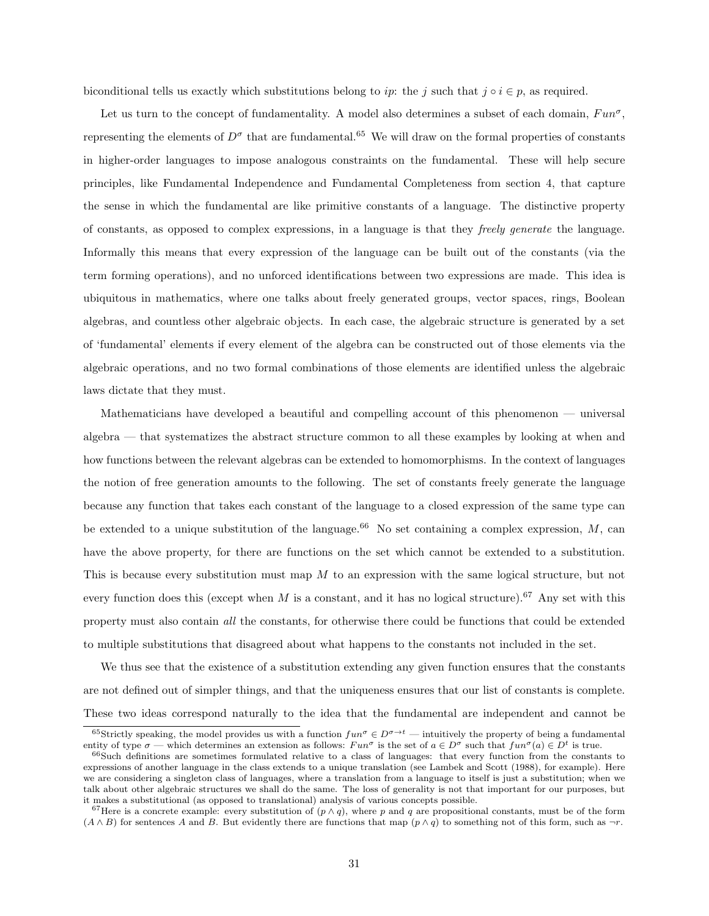biconditional tells us exactly which substitutions belong to ip: the j such that  $j \circ i \in p$ , as required.

Let us turn to the concept of fundamentality. A model also determines a subset of each domain,  $Fun^{\sigma}$ , representing the elements of  $D^{\sigma}$  that are fundamental.<sup>65</sup> We will draw on the formal properties of constants in higher-order languages to impose analogous constraints on the fundamental. These will help secure principles, like Fundamental Independence and Fundamental Completeness from section 4, that capture the sense in which the fundamental are like primitive constants of a language. The distinctive property of constants, as opposed to complex expressions, in a language is that they freely generate the language. Informally this means that every expression of the language can be built out of the constants (via the term forming operations), and no unforced identifications between two expressions are made. This idea is ubiquitous in mathematics, where one talks about freely generated groups, vector spaces, rings, Boolean algebras, and countless other algebraic objects. In each case, the algebraic structure is generated by a set of 'fundamental' elements if every element of the algebra can be constructed out of those elements via the algebraic operations, and no two formal combinations of those elements are identified unless the algebraic laws dictate that they must.

Mathematicians have developed a beautiful and compelling account of this phenomenon — universal algebra — that systematizes the abstract structure common to all these examples by looking at when and how functions between the relevant algebras can be extended to homomorphisms. In the context of languages the notion of free generation amounts to the following. The set of constants freely generate the language because any function that takes each constant of the language to a closed expression of the same type can be extended to a unique substitution of the language.<sup>66</sup> No set containing a complex expression,  $M$ , can have the above property, for there are functions on the set which cannot be extended to a substitution. This is because every substitution must map M to an expression with the same logical structure, but not every function does this (except when M is a constant, and it has no logical structure).<sup>67</sup> Any set with this property must also contain all the constants, for otherwise there could be functions that could be extended to multiple substitutions that disagreed about what happens to the constants not included in the set.

We thus see that the existence of a substitution extending any given function ensures that the constants are not defined out of simpler things, and that the uniqueness ensures that our list of constants is complete. These two ideas correspond naturally to the idea that the fundamental are independent and cannot be

 $\frac{65}{3}$ trictly speaking, the model provides us with a function  $fun^{\sigma} \in D^{\sigma \to t}$  — intuitively the property of being a fundamental entity of type  $\sigma$  — which determines an extension as follows:  $Fun^{\sigma}$  is the set of  $a \in D^{\sigma}$  such that  $fun^{\sigma}(a) \in D^t$  is true.

<sup>66</sup>Such definitions are sometimes formulated relative to a class of languages: that every function from the constants to expressions of another language in the class extends to a unique translation (see Lambek and Scott (1988), for example). Here we are considering a singleton class of languages, where a translation from a language to itself is just a substitution; when we talk about other algebraic structures we shall do the same. The loss of generality is not that important for our purposes, but it makes a substitutional (as opposed to translational) analysis of various concepts possible.

<sup>&</sup>lt;sup>67</sup>Here is a concrete example: every substitution of  $(p \wedge q)$ , where p and q are propositional constants, must be of the form  $(A \wedge B)$  for sentences A and B. But evidently there are functions that map  $(p \wedge q)$  to something not of this form, such as  $\neg r$ .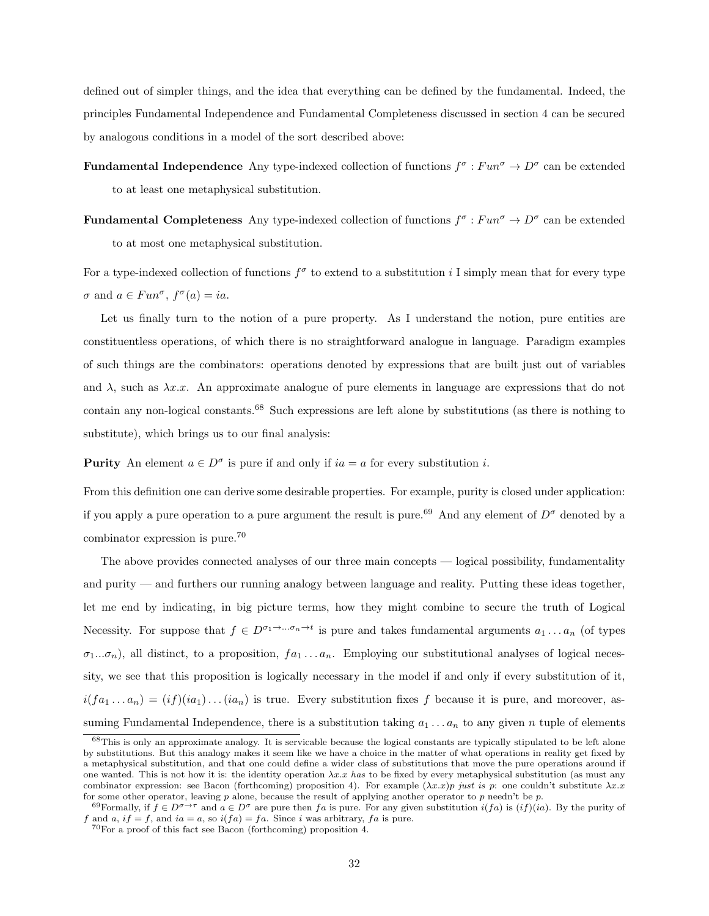defined out of simpler things, and the idea that everything can be defined by the fundamental. Indeed, the principles Fundamental Independence and Fundamental Completeness discussed in section 4 can be secured by analogous conditions in a model of the sort described above:

**Fundamental Independence** Any type-indexed collection of functions  $f^{\sigma}: Fun^{\sigma} \to D^{\sigma}$  can be extended to at least one metaphysical substitution.

**Fundamental Completeness** Any type-indexed collection of functions  $f^{\sigma}: Fun^{\sigma} \to D^{\sigma}$  can be extended to at most one metaphysical substitution.

For a type-indexed collection of functions  $f^{\sigma}$  to extend to a substitution i I simply mean that for every type  $\sigma$  and  $a \in Fun^{\sigma}, f^{\sigma}(a) = ia.$ 

Let us finally turn to the notion of a pure property. As I understand the notion, pure entities are constituentless operations, of which there is no straightforward analogue in language. Paradigm examples of such things are the combinators: operations denoted by expressions that are built just out of variables and  $\lambda$ , such as  $\lambda x.x$ . An approximate analogue of pure elements in language are expressions that do not contain any non-logical constants.<sup>68</sup> Such expressions are left alone by substitutions (as there is nothing to substitute), which brings us to our final analysis:

**Purity** An element  $a \in D^{\sigma}$  is pure if and only if  $ia = a$  for every substitution i.

From this definition one can derive some desirable properties. For example, purity is closed under application: if you apply a pure operation to a pure argument the result is pure.<sup>69</sup> And any element of  $D^{\sigma}$  denoted by a combinator expression is pure.<sup>70</sup>

The above provides connected analyses of our three main concepts — logical possibility, fundamentality and purity — and furthers our running analogy between language and reality. Putting these ideas together, let me end by indicating, in big picture terms, how they might combine to secure the truth of Logical Necessity. For suppose that  $f \in D^{\sigma_1 \to \dots \sigma_n \to t}$  is pure and takes fundamental arguments  $a_1 \dots a_n$  (of types  $\sigma_1...\sigma_n$ ), all distinct, to a proposition,  $fa_1...a_n$ . Employing our substitutional analyses of logical necessity, we see that this proposition is logically necessary in the model if and only if every substitution of it,  $i(f a_1 \ldots a_n) = (if)(ia_1) \ldots (ia_n)$  is true. Every substitution fixes f because it is pure, and moreover, assuming Fundamental Independence, there is a substitution taking  $a_1 \ldots a_n$  to any given n tuple of elements

<sup>&</sup>lt;sup>68</sup>This is only an approximate analogy. It is servicable because the logical constants are typically stipulated to be left alone by substitutions. But this analogy makes it seem like we have a choice in the matter of what operations in reality get fixed by a metaphysical substitution, and that one could define a wider class of substitutions that move the pure operations around if one wanted. This is not how it is: the identity operation  $\lambda x.$  has to be fixed by every metaphysical substitution (as must any combinator expression: see Bacon (forthcoming) proposition 4). For example  $(\lambda x.x)p$  just is p: one couldn't substitute  $\lambda x.x$ for some other operator, leaving p alone, because the result of applying another operator to p needn't be p.

<sup>&</sup>lt;sup>69</sup>Formally, if  $f \in D^{\sigma \to \tau}$  and  $a \in D^{\sigma}$  are pure then fa is pure. For any given substitution  $i(fa)$  is  $(if)(ia)$ . By the purity of f and a, if = f, and ia = a, so  $i(fa) = fa$ . Since i was arbitrary, fa is pure.

 $^{70}\rm{For}$  a proof of this fact see Bacon (forthcoming) proposition 4.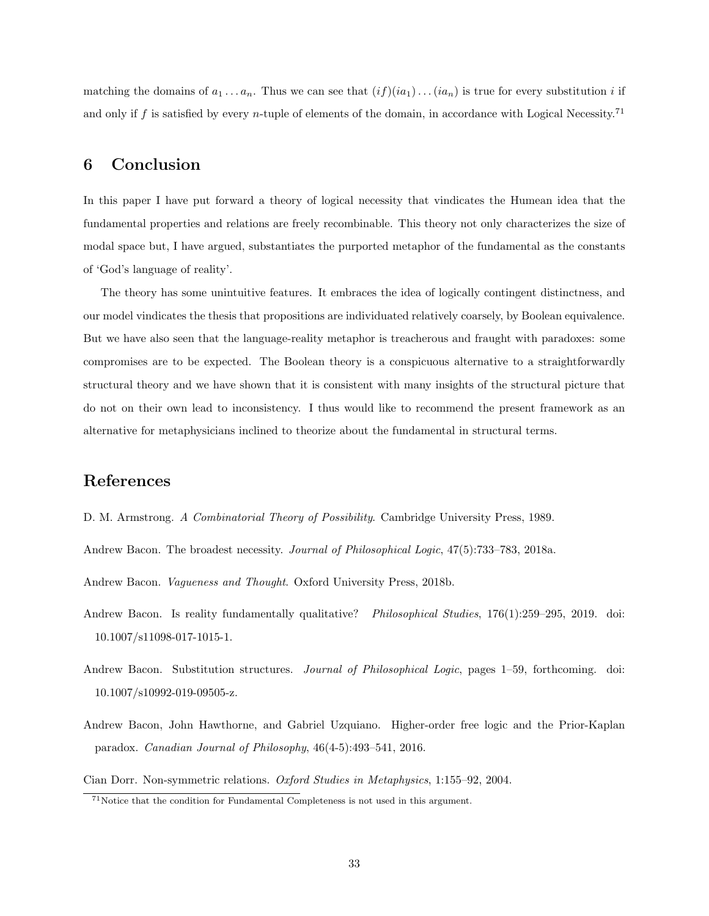matching the domains of  $a_1 \ldots a_n$ . Thus we can see that  $(if)(ia_1) \ldots (ia_n)$  is true for every substitution i if and only if f is satisfied by every n-tuple of elements of the domain, in accordance with Logical Necessity.<sup>71</sup>

## 6 Conclusion

In this paper I have put forward a theory of logical necessity that vindicates the Humean idea that the fundamental properties and relations are freely recombinable. This theory not only characterizes the size of modal space but, I have argued, substantiates the purported metaphor of the fundamental as the constants of 'God's language of reality'.

The theory has some unintuitive features. It embraces the idea of logically contingent distinctness, and our model vindicates the thesis that propositions are individuated relatively coarsely, by Boolean equivalence. But we have also seen that the language-reality metaphor is treacherous and fraught with paradoxes: some compromises are to be expected. The Boolean theory is a conspicuous alternative to a straightforwardly structural theory and we have shown that it is consistent with many insights of the structural picture that do not on their own lead to inconsistency. I thus would like to recommend the present framework as an alternative for metaphysicians inclined to theorize about the fundamental in structural terms.

### References

- D. M. Armstrong. A Combinatorial Theory of Possibility. Cambridge University Press, 1989.
- Andrew Bacon. The broadest necessity. Journal of Philosophical Logic, 47(5):733–783, 2018a.

Andrew Bacon. Vagueness and Thought. Oxford University Press, 2018b.

- Andrew Bacon. Is reality fundamentally qualitative? Philosophical Studies, 176(1):259–295, 2019. doi: 10.1007/s11098-017-1015-1.
- Andrew Bacon. Substitution structures. Journal of Philosophical Logic, pages 1–59, forthcoming. doi: 10.1007/s10992-019-09505-z.
- Andrew Bacon, John Hawthorne, and Gabriel Uzquiano. Higher-order free logic and the Prior-Kaplan paradox. Canadian Journal of Philosophy, 46(4-5):493–541, 2016.

Cian Dorr. Non-symmetric relations. Oxford Studies in Metaphysics, 1:155–92, 2004.

<sup>71</sup>Notice that the condition for Fundamental Completeness is not used in this argument.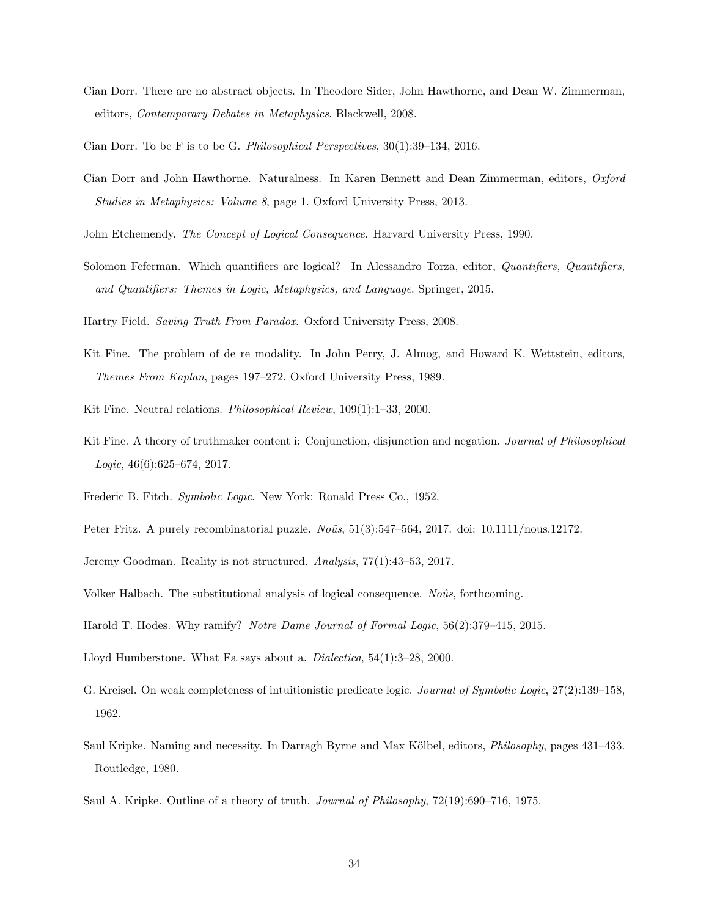- Cian Dorr. There are no abstract objects. In Theodore Sider, John Hawthorne, and Dean W. Zimmerman, editors, Contemporary Debates in Metaphysics. Blackwell, 2008.
- Cian Dorr. To be F is to be G. Philosophical Perspectives, 30(1):39–134, 2016.
- Cian Dorr and John Hawthorne. Naturalness. In Karen Bennett and Dean Zimmerman, editors, Oxford Studies in Metaphysics: Volume 8, page 1. Oxford University Press, 2013.
- John Etchemendy. The Concept of Logical Consequence. Harvard University Press, 1990.
- Solomon Feferman. Which quantifiers are logical? In Alessandro Torza, editor, Quantifiers, Quantifiers, and Quantifiers: Themes in Logic, Metaphysics, and Language. Springer, 2015.

Hartry Field. Saving Truth From Paradox. Oxford University Press, 2008.

- Kit Fine. The problem of de re modality. In John Perry, J. Almog, and Howard K. Wettstein, editors, Themes From Kaplan, pages 197–272. Oxford University Press, 1989.
- Kit Fine. Neutral relations. Philosophical Review, 109(1):1–33, 2000.
- Kit Fine. A theory of truthmaker content i: Conjunction, disjunction and negation. *Journal of Philosophical* Logic, 46(6):625–674, 2017.
- Frederic B. Fitch. Symbolic Logic. New York: Ronald Press Co., 1952.
- Peter Fritz. A purely recombinatorial puzzle.  $No\hat{u}$ s, 51(3):547–564, 2017. doi: 10.1111/nous.12172.
- Jeremy Goodman. Reality is not structured. Analysis, 77(1):43–53, 2017.

Volker Halbach. The substitutional analysis of logical consequence. No $\hat{u}$ s, forthcoming.

- Harold T. Hodes. Why ramify? Notre Dame Journal of Formal Logic, 56(2):379–415, 2015.
- Lloyd Humberstone. What Fa says about a. Dialectica, 54(1):3–28, 2000.
- G. Kreisel. On weak completeness of intuitionistic predicate logic. Journal of Symbolic Logic, 27(2):139–158, 1962.
- Saul Kripke. Naming and necessity. In Darragh Byrne and Max Kölbel, editors, *Philosophy*, pages 431–433. Routledge, 1980.
- Saul A. Kripke. Outline of a theory of truth. Journal of Philosophy, 72(19):690–716, 1975.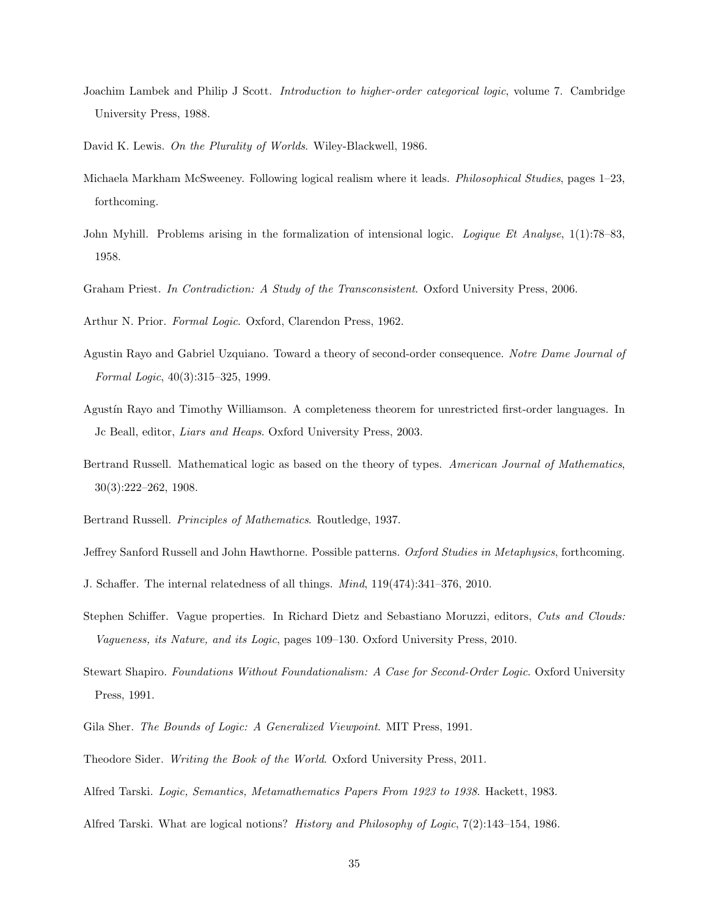- Joachim Lambek and Philip J Scott. Introduction to higher-order categorical logic, volume 7. Cambridge University Press, 1988.
- David K. Lewis. On the Plurality of Worlds. Wiley-Blackwell, 1986.
- Michaela Markham McSweeney. Following logical realism where it leads. Philosophical Studies, pages 1–23, forthcoming.
- John Myhill. Problems arising in the formalization of intensional logic. Logique Et Analyse, 1(1):78–83, 1958.
- Graham Priest. In Contradiction: A Study of the Transconsistent. Oxford University Press, 2006.

Arthur N. Prior. Formal Logic. Oxford, Clarendon Press, 1962.

- Agustin Rayo and Gabriel Uzquiano. Toward a theory of second-order consequence. Notre Dame Journal of Formal Logic, 40(3):315–325, 1999.
- Agustín Rayo and Timothy Williamson. A completeness theorem for unrestricted first-order languages. In Jc Beall, editor, Liars and Heaps. Oxford University Press, 2003.
- Bertrand Russell. Mathematical logic as based on the theory of types. American Journal of Mathematics, 30(3):222–262, 1908.
- Bertrand Russell. Principles of Mathematics. Routledge, 1937.
- Jeffrey Sanford Russell and John Hawthorne. Possible patterns. Oxford Studies in Metaphysics, forthcoming.
- J. Schaffer. The internal relatedness of all things. Mind, 119(474):341–376, 2010.
- Stephen Schiffer. Vague properties. In Richard Dietz and Sebastiano Moruzzi, editors, Cuts and Clouds: Vagueness, its Nature, and its Logic, pages 109–130. Oxford University Press, 2010.
- Stewart Shapiro. Foundations Without Foundationalism: A Case for Second-Order Logic. Oxford University Press, 1991.
- Gila Sher. The Bounds of Logic: A Generalized Viewpoint. MIT Press, 1991.
- Theodore Sider. Writing the Book of the World. Oxford University Press, 2011.
- Alfred Tarski. Logic, Semantics, Metamathematics Papers From 1923 to 1938. Hackett, 1983.
- Alfred Tarski. What are logical notions? History and Philosophy of Logic, 7(2):143–154, 1986.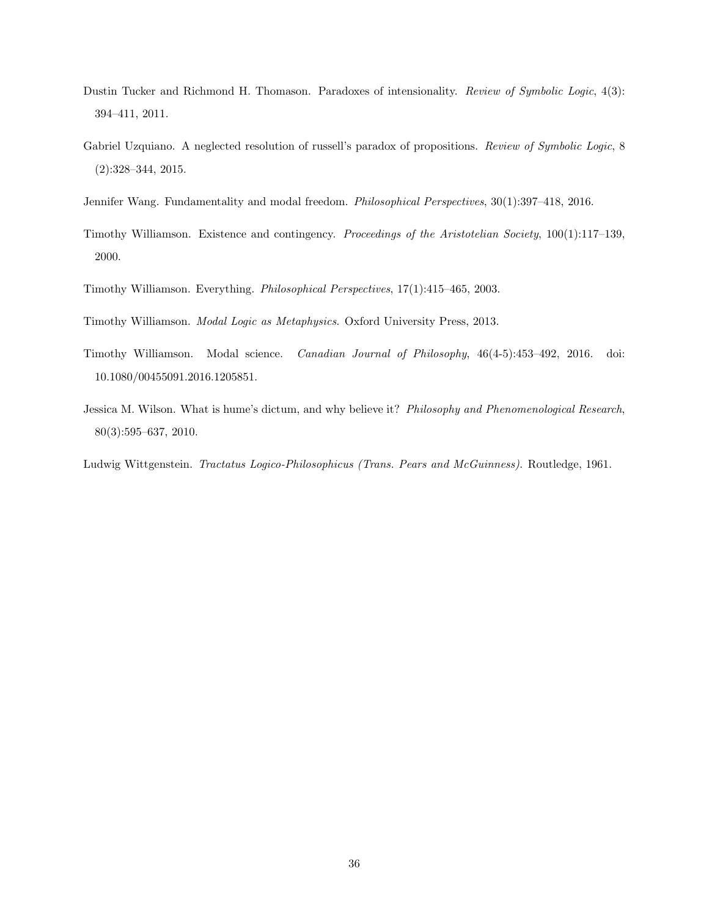- Dustin Tucker and Richmond H. Thomason. Paradoxes of intensionality. Review of Symbolic Logic, 4(3): 394–411, 2011.
- Gabriel Uzquiano. A neglected resolution of russell's paradox of propositions. Review of Symbolic Logic, 8 (2):328–344, 2015.
- Jennifer Wang. Fundamentality and modal freedom. Philosophical Perspectives, 30(1):397–418, 2016.
- Timothy Williamson. Existence and contingency. Proceedings of the Aristotelian Society, 100(1):117–139, 2000.
- Timothy Williamson. Everything. Philosophical Perspectives, 17(1):415–465, 2003.
- Timothy Williamson. Modal Logic as Metaphysics. Oxford University Press, 2013.
- Timothy Williamson. Modal science. Canadian Journal of Philosophy, 46(4-5):453–492, 2016. doi: 10.1080/00455091.2016.1205851.
- Jessica M. Wilson. What is hume's dictum, and why believe it? Philosophy and Phenomenological Research, 80(3):595–637, 2010.
- Ludwig Wittgenstein. Tractatus Logico-Philosophicus (Trans. Pears and McGuinness). Routledge, 1961.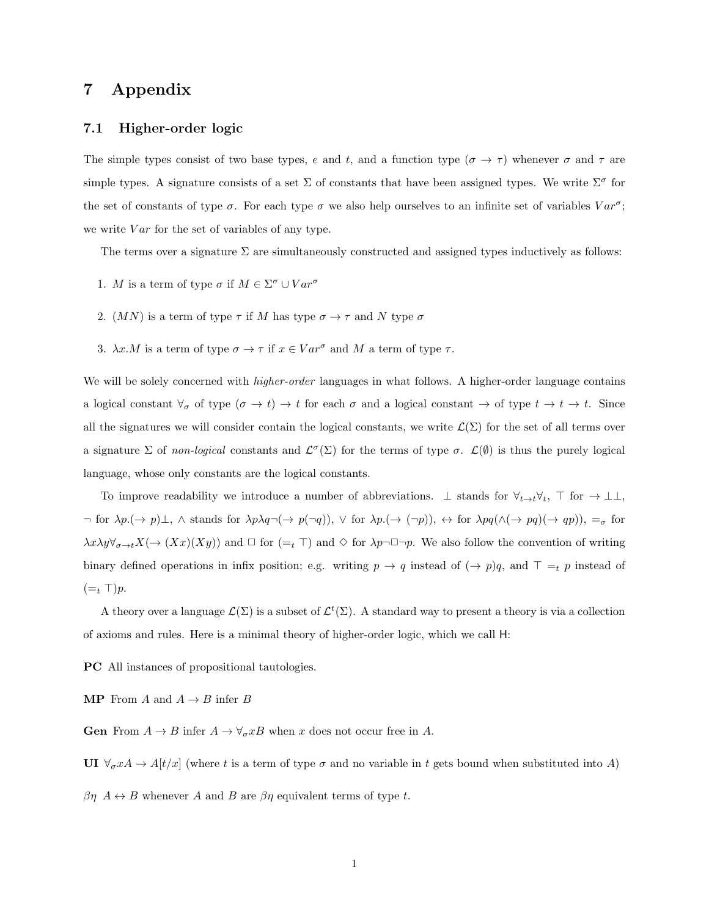## 7 Appendix

#### 7.1 Higher-order logic

The simple types consist of two base types, e and t, and a function type  $(\sigma \to \tau)$  whenever  $\sigma$  and  $\tau$  are simple types. A signature consists of a set  $\Sigma$  of constants that have been assigned types. We write  $\Sigma^{\sigma}$  for the set of constants of type  $\sigma$ . For each type  $\sigma$  we also help ourselves to an infinite set of variables  $Var^{\sigma}$ ; we write  $Var$  for the set of variables of any type.

The terms over a signature  $\Sigma$  are simultaneously constructed and assigned types inductively as follows:

- 1. M is a term of type  $\sigma$  if  $M \in \Sigma^{\sigma} \cup Var^{\sigma}$
- 2.  $(MN)$  is a term of type  $\tau$  if M has type  $\sigma \to \tau$  and N type  $\sigma$
- 3.  $\lambda x.M$  is a term of type  $\sigma \to \tau$  if  $x \in Var^{\sigma}$  and M a term of type  $\tau$ .

We will be solely concerned with *higher-order* languages in what follows. A higher-order language contains a logical constant  $\forall_{\sigma}$  of type  $(\sigma \to t) \to t$  for each  $\sigma$  and a logical constant  $\to$  of type  $t \to t \to t$ . Since all the signatures we will consider contain the logical constants, we write  $\mathcal{L}(\Sigma)$  for the set of all terms over a signature  $\Sigma$  of non-logical constants and  $\mathcal{L}^{\sigma}(\Sigma)$  for the terms of type  $\sigma$ .  $\mathcal{L}(\emptyset)$  is thus the purely logical language, whose only constants are the logical constants.

To improve readability we introduce a number of abbreviations.  $\perp$  stands for  $\forall_{t\to t}\forall_t$ ,  $\top$  for  $\to \perp \perp$ ,  $\neg$  for  $\lambda p.(\rightarrow p)\bot$ ,  $\wedge$  stands for  $\lambda p\lambda q\neg(\rightarrow p(\neg q)), \vee$  for  $\lambda p.(\rightarrow (\neg p)), \leftrightarrow$  for  $\lambda pq(\wedge(\rightarrow pq)(\rightarrow qp)), =_{\sigma}$  for  $\lambda x \lambda y \forall_{\sigma \to t} X (\to (Xx)(Xy))$  and  $\Box$  for  $(=_t \top)$  and  $\diamond$  for  $\lambda p \neg \Box \neg p$ . We also follow the convention of writing binary defined operations in infix position; e.g. writing  $p \to q$  instead of  $(\to p)q$ , and  $\top =t p$  instead of  $(=_t \top)p$ .

A theory over a language  $\mathcal{L}(\Sigma)$  is a subset of  $\mathcal{L}^t(\Sigma)$ . A standard way to present a theory is via a collection of axioms and rules. Here is a minimal theory of higher-order logic, which we call H:

PC All instances of propositional tautologies.

**MP** From A and  $A \rightarrow B$  infer B

**Gen** From  $A \to B$  infer  $A \to \forall_{\sigma} xB$  when x does not occur free in A.

UI  $\forall_{\sigma} x A \rightarrow A[t/x]$  (where t is a term of type  $\sigma$  and no variable in t gets bound when substituted into A)

 $\beta\eta$   $A \leftrightarrow B$  whenever A and B are  $\beta\eta$  equivalent terms of type t.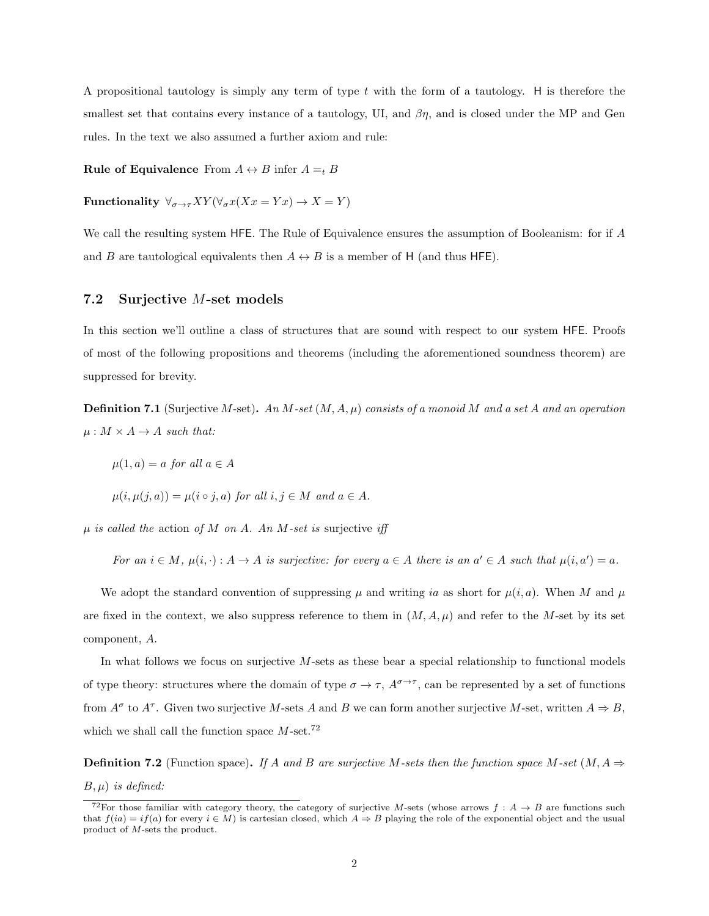A propositional tautology is simply any term of type t with the form of a tautology. H is therefore the smallest set that contains every instance of a tautology, UI, and  $\beta\eta$ , and is closed under the MP and Gen rules. In the text we also assumed a further axiom and rule:

**Rule of Equivalence** From  $A \leftrightarrow B$  infer  $A =_t B$ 

Functionality  $\forall_{\sigma \to \tau} XY (\forall_{\sigma} x (Xx = Yx) \to X = Y)$ 

We call the resulting system HFE. The Rule of Equivalence ensures the assumption of Booleanism: for if A and B are tautological equivalents then  $A \leftrightarrow B$  is a member of H (and thus HFE).

#### 7.2 Surjective M-set models

In this section we'll outline a class of structures that are sound with respect to our system HFE. Proofs of most of the following propositions and theorems (including the aforementioned soundness theorem) are suppressed for brevity.

**Definition 7.1** (Surjective M-set). An M-set  $(M, A, \mu)$  consists of a monoid M and a set A and an operation  $\mu : M \times A \rightarrow A$  such that:

$$
\mu(1, a) = a \text{ for all } a \in A
$$

$$
\mu(i, \mu(j, a)) = \mu(i \circ j, a) \text{ for all } i, j \in M \text{ and } a \in A.
$$

 $\mu$  is called the action of M on A. An M-set is surjective iff

For an  $i \in M$ ,  $\mu(i, \cdot) : A \to A$  is surjective: for every  $a \in A$  there is an  $a' \in A$  such that  $\mu(i, a') = a$ .

We adopt the standard convention of suppressing  $\mu$  and writing ia as short for  $\mu(i, a)$ . When M and  $\mu$ are fixed in the context, we also suppress reference to them in  $(M, A, \mu)$  and refer to the M-set by its set component, A.

In what follows we focus on surjective M-sets as these bear a special relationship to functional models of type theory: structures where the domain of type  $\sigma \to \tau$ ,  $A^{\sigma \to \tau}$ , can be represented by a set of functions from  $A^{\sigma}$  to  $A^{\tau}$ . Given two surjective M-sets A and B we can form another surjective M-set, written  $A \Rightarrow B$ , which we shall call the function space  $M$ -set.<sup>72</sup>

**Definition 7.2** (Function space). If A and B are surjective M-sets then the function space M-set  $(M, A \Rightarrow$  $B, \mu$ ) is defined:

<sup>&</sup>lt;sup>72</sup>For those familiar with category theory, the category of surjective M-sets (whose arrows  $f : A \rightarrow B$  are functions such that  $f(ia) = if(a)$  for every  $i \in M$ ) is cartesian closed, which  $A \Rightarrow B$  playing the role of the exponential object and the usual product of M-sets the product.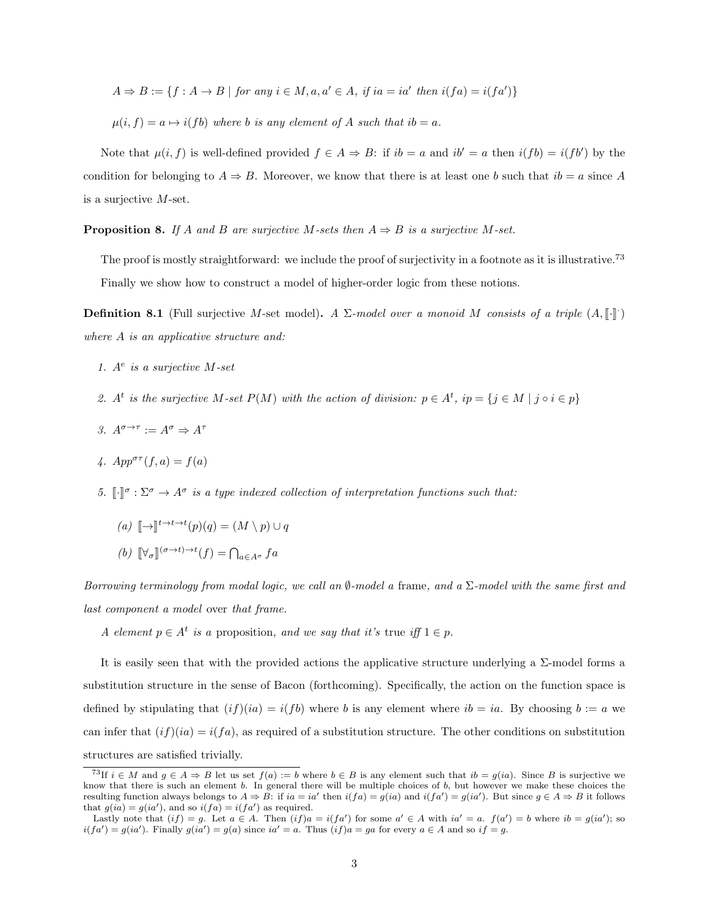$$
A \Rightarrow B := \{ f : A \to B \mid \text{for any } i \in M, a, a' \in A, \text{ if } ia = ia' \text{ then } i(fa) = i(fa') \}
$$

 $\mu(i, f) = a \mapsto i(fb)$  where b is any element of A such that  $ib = a$ .

Note that  $\mu(i, f)$  is well-defined provided  $f \in A \Rightarrow B$ : if  $ib = a$  and  $ib' = a$  then  $i(fb) = i(fb')$  by the condition for belonging to  $A \Rightarrow B$ . Moreover, we know that there is at least one b such that  $ib = a$  since A is a surjective M-set.

**Proposition 8.** If A and B are surjective M-sets then  $A \Rightarrow B$  is a surjective M-set.

The proof is mostly straightforward: we include the proof of surjectivity in a footnote as it is illustrative.<sup>73</sup> Finally we show how to construct a model of higher-order logic from these notions.

**Definition 8.1** (Full surjective M-set model). A  $\Sigma$ -model over a monoid M consists of a triple  $(A, [\![\cdot]\!]$ .) where A is an applicative structure and:

- 1.  $A^e$  is a surjective M-set
- 2. A<sup>t</sup> is the surjective M-set  $P(M)$  with the action of division:  $p \in A^t$ , i $p = \{j \in M \mid j \circ i \in p\}$
- 3.  $A^{\sigma \to \tau} := A^{\sigma} \Rightarrow A^{\tau}$
- 4.  $App^{\sigma\tau}(f, a) = f(a)$
- 5.  $\llbracket \cdot \rrbracket^{\sigma} : \Sigma^{\sigma} \to A^{\sigma}$  is a type indexed collection of interpretation functions such that:

$$
(a) \quad [\! [ \to ] \!]^{t \to t \to t} (p)(q) = (M \setminus p) \cup q
$$

(b)  $[\![\forall_{\sigma}\!](^{\sigma\to t)\to t}(f) = \bigcap_{a\in A^{\sigma}} fa$ 

Borrowing terminology from modal logic, we call an  $\emptyset$ -model a frame, and a  $\Sigma$ -model with the same first and last component a model over that frame.

A element  $p \in A^t$  is a proposition, and we say that it's true iff  $1 \in p$ .

It is easily seen that with the provided actions the applicative structure underlying a  $\Sigma$ -model forms a substitution structure in the sense of Bacon (forthcoming). Specifically, the action on the function space is defined by stipulating that  $(i f)(ia) = i (fb)$  where b is any element where  $ib = ia$ . By choosing  $b := a$  we can infer that  $(if)(ia) = i(fa)$ , as required of a substitution structure. The other conditions on substitution structures are satisfied trivially.

<sup>&</sup>lt;sup>73</sup>If  $i \in M$  and  $g \in A \Rightarrow B$  let us set  $f(a) := b$  where  $b \in B$  is any element such that  $ib = g(ia)$ . Since B is surjective we know that there is such an element b. In general there will be multiple choices of b, but however we make these choices the resulting function always belongs to  $A \Rightarrow B$ : if  $ia = ia'$  then  $i(fa) = g(ia)$  and  $i(fa') = g(ia')$ . But since  $g \in A \Rightarrow B$  it follows that  $g(ia) = g(ia')$ , and so  $i(fa) = i(fa')$  as required.

Lastly note that  $(if) = g$ . Let  $a \in A$ . Then  $(if)a = i(fa')$  for some  $a' \in A$  with  $ia' = a$ .  $f(a') = b$  where  $ib = g(ia')$ ; so  $i(fa') = g(ia')$ . Finally  $g(ia') = g(a)$  since  $ia' = a$ . Thus  $(if)a = ga$  for every  $a \in A$  and so  $if = g$ .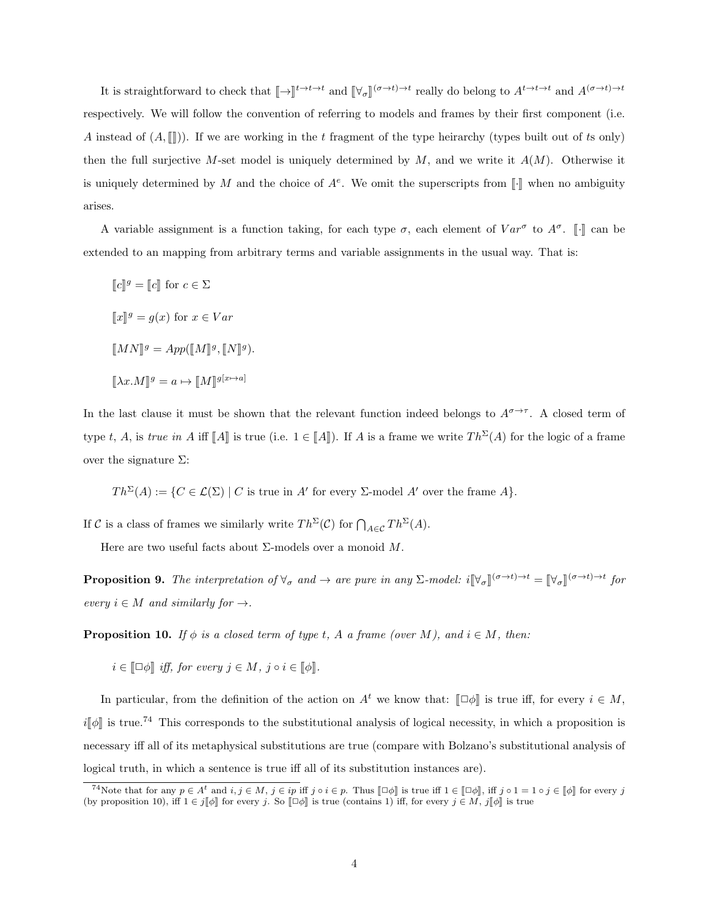It is straightforward to check that  $[\![\to]\!]^{t\to t\to t}$  and  $[\![\forall_\sigma]\!]^{(\sigma\to t)\to t}$  really do belong to  $A^{t\to t\to t}$  and  $A^{(\sigma\to t)\to t}$ respectively. We will follow the convention of referring to models and frames by their first component (i.e. A instead of  $(A,\mathbb{N})$ . If we are working in the t fragment of the type heirarchy (types built out of ts only) then the full surjective M-set model is uniquely determined by  $M$ , and we write it  $A(M)$ . Otherwise it is uniquely determined by M and the choice of  $A^e$ . We omit the superscripts from  $[\![\cdot]\!]$  when no ambiguity arises.

A variable assignment is a function taking, for each type  $\sigma$ , each element of  $Var^{\sigma}$  to  $A^{\sigma}$ . [·] can be extended to an mapping from arbitrary terms and variable assignments in the usual way. That is:

 $\llbracket c \rrbracket^g = \llbracket c \rrbracket$  for  $c \in \Sigma$  $\llbracket x \rrbracket^g = g(x)$  for  $x \in Var$  $\llbracket MN \rrbracket^g = App(\llbracket M \rrbracket^g, \llbracket N \rrbracket^g).$  $[\![\lambda x.M]\!]^g = a \mapsto [\![M]\!]^{g[\![x \mapsto a]}$ 

In the last clause it must be shown that the relevant function indeed belongs to  $A^{\sigma \to \tau}$ . A closed term of type t, A, is true in A iff  $[A]$  is true (i.e.  $1 \in [A]$ ). If A is a frame we write  $Th^{\Sigma}(A)$  for the logic of a frame over the signature  $Σ$ :

 $Th^{\Sigma}(A) := \{ C \in \mathcal{L}(\Sigma) \mid C \text{ is true in } A' \text{ for every } \Sigma \text{-model } A' \text{ over the frame } A \}.$ 

If C is a class of frames we similarly write  $Th^{\Sigma}(\mathcal{C})$  for  $\bigcap_{A\in\mathcal{C}} Th^{\Sigma}(A)$ .

Here are two useful facts about  $\Sigma$ -models over a monoid  $M$ .

**Proposition 9.** The interpretation of  $\forall_{\sigma}$  and  $\rightarrow$  are pure in any  $\Sigma$ -model:  $i[\forall_{\sigma}](\sigma \rightarrow t) \rightarrow t = [\forall_{\sigma}](\sigma \rightarrow t) \rightarrow t$  for every  $i \in M$  and similarly for  $\rightarrow$ .

**Proposition 10.** If  $\phi$  is a closed term of type t, A a frame (over M), and  $i \in M$ , then:

 $i \in \llbracket \Box \phi \rrbracket$  iff, for every  $j \in M$ ,  $j \circ i \in \llbracket \phi \rrbracket$ .

In particular, from the definition of the action on  $A^t$  we know that:  $\llbracket \Box \phi \rrbracket$  is true iff, for every  $i \in M$ ,  $i\llbracket \phi \rrbracket$  is true.<sup>74</sup> This corresponds to the substitutional analysis of logical necessity, in which a proposition is necessary iff all of its metaphysical substitutions are true (compare with Bolzano's substitutional analysis of logical truth, in which a sentence is true iff all of its substitution instances are).

<sup>&</sup>lt;sup>74</sup>Note that for any  $p \in A^t$  and  $i, j \in M$ ,  $j \in ip$  iff  $j \circ i \in p$ . Thus  $[\Box \phi]$  is true iff  $1 \in [\Box \phi]$ , iff  $j \circ 1 = 1 \circ j \in [\phi]$  for every  $j$ <br>is proposition 10) iff  $1 \in \mathbb{Z}$  is true (contains 1) iff for even  $i \in M$  if (by proposition 10), iff  $1 \in j[\![\phi]\!]$  for every j. So  $[\![\Box \phi]\!]$  is true (contains 1) iff, for every  $j \in M$ ,  $j[\![\phi]\!]$  is true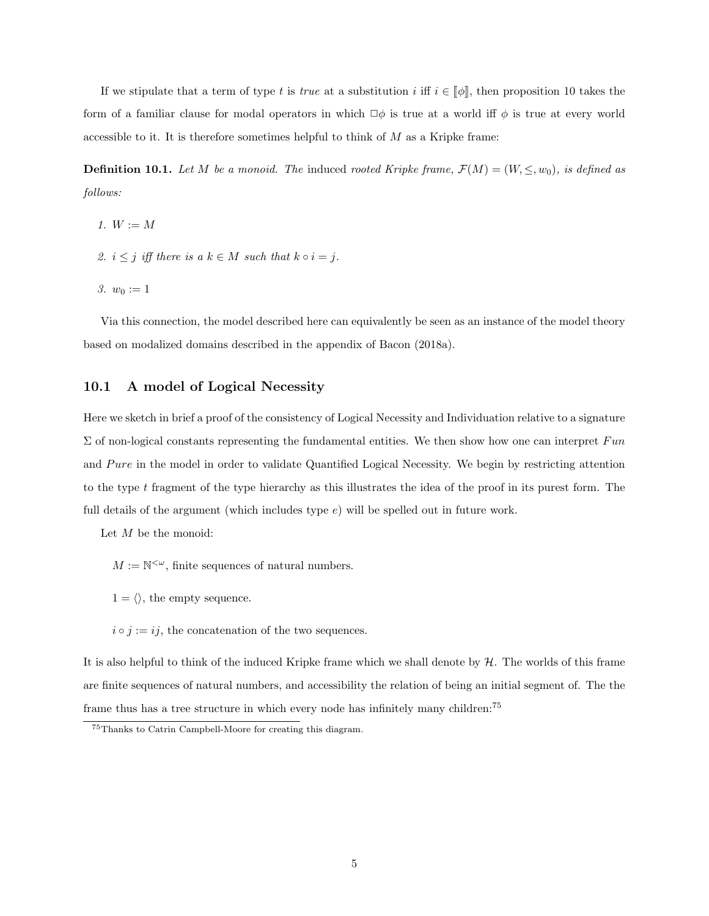If we stipulate that a term of type t is true at a substitution i iff  $i \in [\![\phi]\!]$ , then proposition 10 takes the form of a familiar clause for modal operators in which  $\Box \phi$  is true at a world iff  $\phi$  is true at every world accessible to it. It is therefore sometimes helpful to think of M as a Kripke frame:

**Definition 10.1.** Let M be a monoid. The induced rooted Kripke frame,  $\mathcal{F}(M) = (W, \leq, w_0)$ , is defined as follows:

- 1.  $W := M$
- 2.  $i \leq j$  iff there is a  $k \in M$  such that  $k \circ i = j$ .
- 3.  $w_0 := 1$

Via this connection, the model described here can equivalently be seen as an instance of the model theory based on modalized domains described in the appendix of Bacon (2018a).

#### 10.1 A model of Logical Necessity

Here we sketch in brief a proof of the consistency of Logical Necessity and Individuation relative to a signature  $\Sigma$  of non-logical constants representing the fundamental entities. We then show how one can interpret Fun and Pure in the model in order to validate Quantified Logical Necessity. We begin by restricting attention to the type t fragment of the type hierarchy as this illustrates the idea of the proof in its purest form. The full details of the argument (which includes type  $e$ ) will be spelled out in future work.

Let  $M$  be the monoid:

- $M := \mathbb{N}^{\leq \omega}$ , finite sequences of natural numbers.
- $1 = \langle \rangle$ , the empty sequence.

 $i \circ j := ij$ , the concatenation of the two sequences.

It is also helpful to think of the induced Kripke frame which we shall denote by  $H$ . The worlds of this frame are finite sequences of natural numbers, and accessibility the relation of being an initial segment of. The the frame thus has a tree structure in which every node has infinitely many children:<sup>75</sup>

<sup>75</sup>Thanks to Catrin Campbell-Moore for creating this diagram.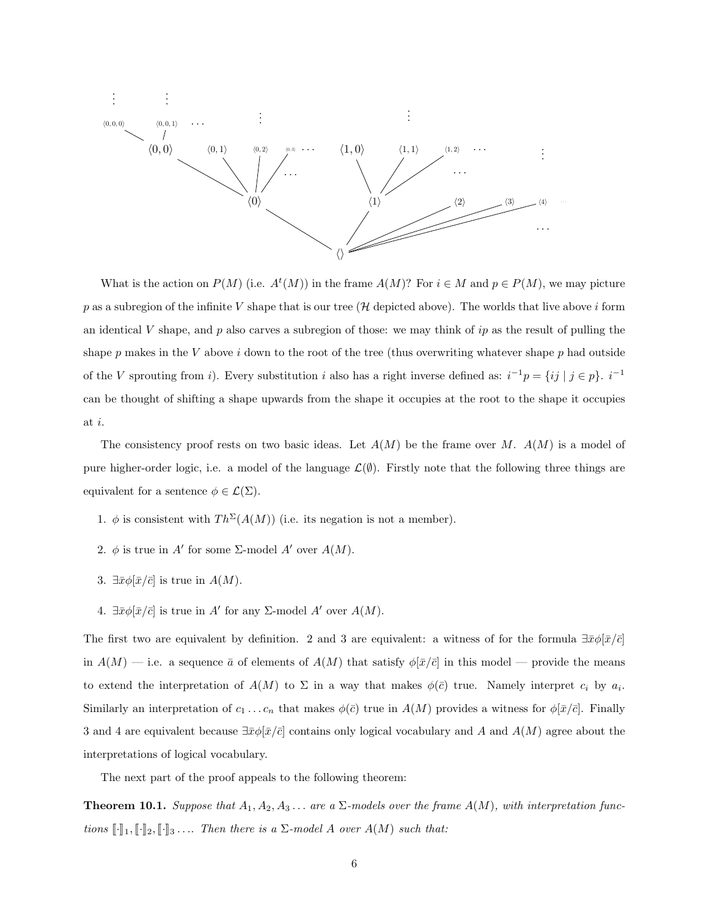

What is the action on  $P(M)$  (i.e.  $A^t(M)$ ) in the frame  $A(M)$ ? For  $i \in M$  and  $p \in P(M)$ , we may picture p as a subregion of the infinite V shape that is our tree (H depicted above). The worlds that live above i form an identical V shape, and p also carves a subregion of those: we may think of ip as the result of pulling the shape p makes in the V above i down to the root of the tree (thus overwriting whatever shape p had outside of the V sprouting from i). Every substitution i also has a right inverse defined as:  $i^{-1}p = \{ij \mid j \in p\}$ .  $i^{-1}$ can be thought of shifting a shape upwards from the shape it occupies at the root to the shape it occupies at i.

The consistency proof rests on two basic ideas. Let  $A(M)$  be the frame over M.  $A(M)$  is a model of pure higher-order logic, i.e. a model of the language  $\mathcal{L}(\emptyset)$ . Firstly note that the following three things are equivalent for a sentence  $\phi \in \mathcal{L}(\Sigma)$ .

- 1.  $\phi$  is consistent with  $Th^{\Sigma}(A(M))$  (i.e. its negation is not a member).
- 2.  $\phi$  is true in A' for some  $\Sigma$ -model A' over  $A(M)$ .
- 3.  $\exists \bar{x}\phi[\bar{x}/\bar{c}]$  is true in  $A(M)$ .
- 4.  $\exists \bar{x}\phi[\bar{x}/\bar{c}]$  is true in A' for any  $\Sigma$ -model A' over  $A(M)$ .

The first two are equivalent by definition. 2 and 3 are equivalent: a witness of for the formula  $\exists \bar{x}\phi[\bar{x}/\bar{c}]$ in  $A(M)$  — i.e. a sequence  $\bar{a}$  of elements of  $A(M)$  that satisfy  $\phi[\bar{x}/\bar{c}]$  in this model — provide the means to extend the interpretation of  $A(M)$  to  $\Sigma$  in a way that makes  $\phi(\bar{c})$  true. Namely interpret  $c_i$  by  $a_i$ . Similarly an interpretation of  $c_1 \ldots c_n$  that makes  $\phi(\bar{c})$  true in  $A(M)$  provides a witness for  $\phi[\bar{x}/\bar{c}]$ . Finally 3 and 4 are equivalent because  $\exists \bar{x}\phi[\bar{x}/\bar{c}]$  contains only logical vocabulary and A and  $A(M)$  agree about the interpretations of logical vocabulary.

The next part of the proof appeals to the following theorem:

**Theorem 10.1.** Suppose that  $A_1, A_2, A_3, \ldots$  are a  $\Sigma$ -models over the frame  $A(M)$ , with interpretation functions  $[\![\cdot]\!]_1, [\![\cdot]\!]_2, [\![\cdot]\!]_3 \ldots$  Then there is a  $\Sigma$ -model A over  $A(M)$  such that: